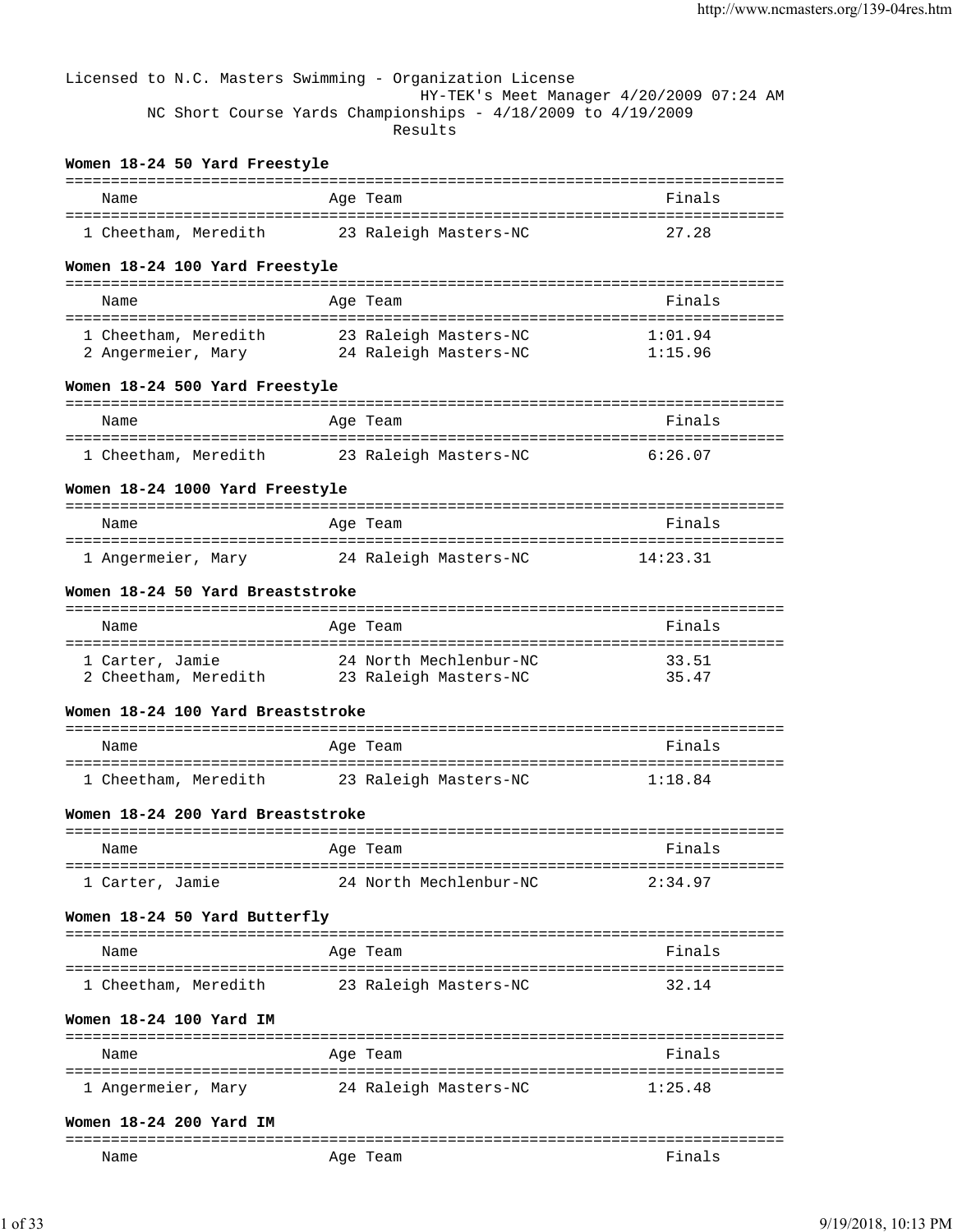|                                                              | Licensed to N.C. Masters Swimming - Organization License<br>NC Short Course Yards Championships - 4/18/2009 to 4/19/2009 | HY-TEK's Meet Manager 4/20/2009 07:24 AM |
|--------------------------------------------------------------|--------------------------------------------------------------------------------------------------------------------------|------------------------------------------|
|                                                              | Results                                                                                                                  |                                          |
| Women 18-24 50 Yard Freestyle                                |                                                                                                                          | ==================================       |
| Name                                                         | Age Team                                                                                                                 | Finals                                   |
| 1 Cheetham, Meredith 23 Raleigh Masters-NC                   |                                                                                                                          | 27.28                                    |
| Women 18-24 100 Yard Freestyle                               |                                                                                                                          |                                          |
| Name                                                         | Age Team                                                                                                                 | Finals                                   |
|                                                              | 1 Cheetham, Meredith 23 Raleigh Masters-NC                                                                               | 1:01.94                                  |
|                                                              | 2 Angermeier, Mary 24 Raleigh Masters-NC                                                                                 | 1:15.96                                  |
| Women 18-24 500 Yard Freestyle                               |                                                                                                                          |                                          |
| Name                                                         | Age Team                                                                                                                 | Finals                                   |
| 1 Cheetham, Meredith 23 Raleigh Masters-NC                   |                                                                                                                          | 6:26.07                                  |
| Women 18-24 1000 Yard Freestyle                              |                                                                                                                          |                                          |
| Name                                                         | Age Team                                                                                                                 | Finals                                   |
| 1 Angermeier, Mary 24 Raleigh Masters-NC                     |                                                                                                                          | 14:23.31                                 |
| Women 18-24 50 Yard Breaststroke                             |                                                                                                                          |                                          |
|                                                              |                                                                                                                          |                                          |
| Name                                                         | Age Team                                                                                                                 | Finals                                   |
| 2 Cheetham, Meredith 23 Raleigh Masters-NC                   | 1 Carter, Jamie 14 North Mechlenbur-NC                                                                                   | 33.51<br>35.47                           |
| Women 18-24 100 Yard Breaststroke                            |                                                                                                                          |                                          |
| Name                                                         | Age Team                                                                                                                 | Finals                                   |
| ====================================<br>1 Cheetham, Meredith | -------------------------------------<br>23 Raleigh Masters-NC                                                           | =========<br>1:18.84                     |
| Women 18-24 200 Yard Breaststroke                            |                                                                                                                          |                                          |
|                                                              |                                                                                                                          |                                          |
| Name                                                         | Age Team                                                                                                                 | Finals                                   |
| 1 Carter, Jamie                                              | 24 North Mechlenbur-NC                                                                                                   | 2:34.97                                  |
| Women 18-24 50 Yard Butterfly                                |                                                                                                                          |                                          |
| Name                                                         | Age Team                                                                                                                 | Finals                                   |
| 1 Cheetham, Meredith                                         | 23 Raleigh Masters-NC                                                                                                    | 32.14                                    |
| Women 18-24 100 Yard IM                                      |                                                                                                                          |                                          |
| Name                                                         | Age Team                                                                                                                 | Finals                                   |
| 1 Angermeier, Mary                                           | 24 Raleigh Masters-NC                                                                                                    | 1:25.48                                  |
| Women 18-24 200 Yard IM                                      |                                                                                                                          |                                          |
| Name                                                         | Age Team                                                                                                                 | Finals                                   |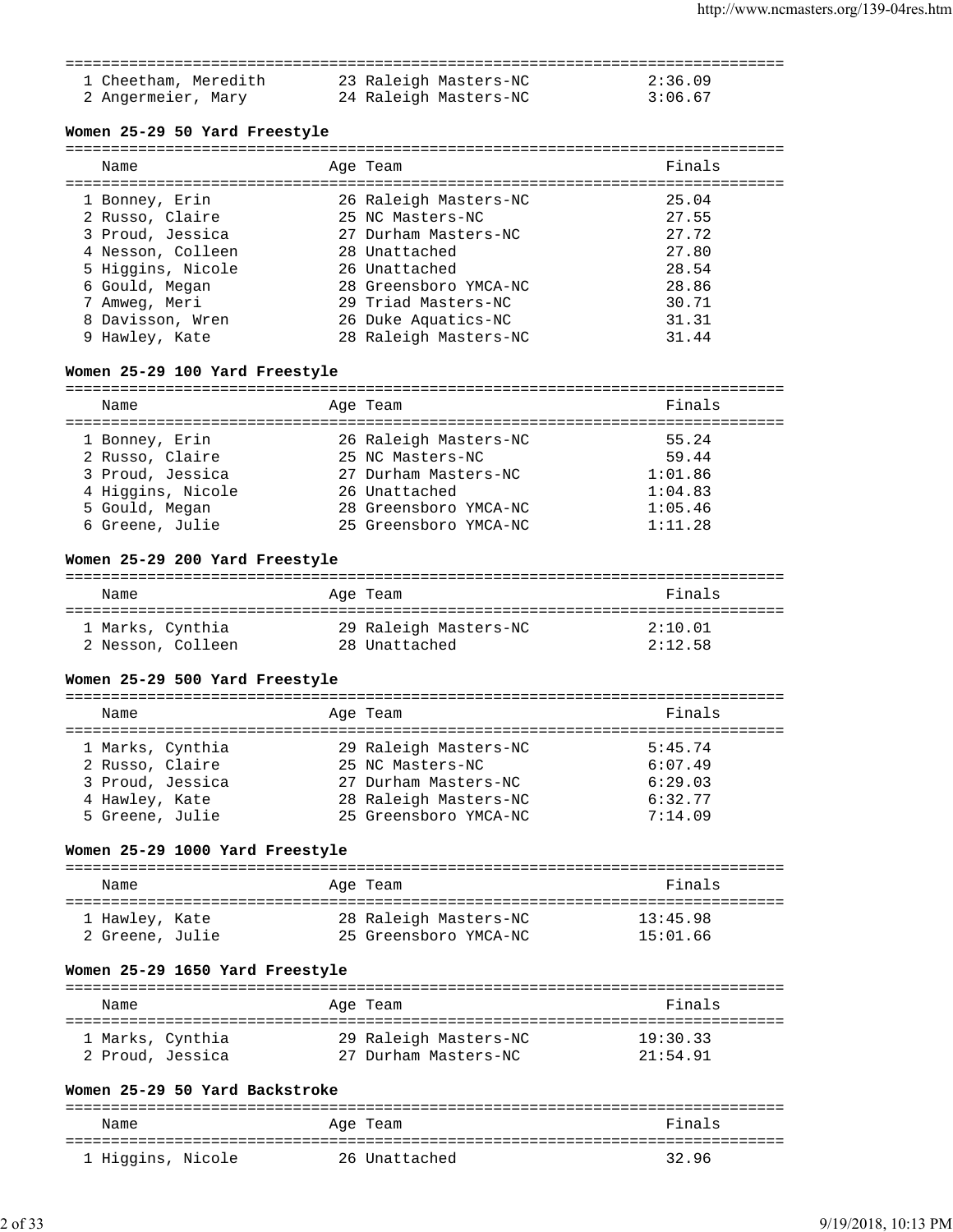### =============================================================================== 1 Cheetham, Meredith 23 Raleigh Masters-NC 2:36.09 2 Angermeier, Mary 24 Raleigh Masters-NC 3:06.67

### **Women 25-29 50 Yard Freestyle**

| Name              | Age Team              | Finals |
|-------------------|-----------------------|--------|
| 1 Bonney, Erin    | 26 Raleigh Masters-NC | 25.04  |
| 2 Russo, Claire   | 25 NC Masters-NC      | 27.55  |
| 3 Proud, Jessica  | 27 Durham Masters-NC  | 27.72  |
| 4 Nesson, Colleen | 28 Unattached         | 27.80  |
| 5 Higgins, Nicole | 26 Unattached         | 28.54  |
| 6 Gould, Megan    | 28 Greensboro YMCA-NC | 28.86  |
| 7 Amweg, Meri     | 29 Triad Masters-NC   | 30.71  |
| 8 Davisson, Wren  | 26 Duke Aquatics-NC   | 31.31  |
| 9 Hawley, Kate    | 28 Raleigh Masters-NC | 31.44  |
|                   |                       |        |

### **Women 25-29 100 Yard Freestyle**

=============================================================================== Name **Age Team** Age Team **Finals** =============================================================================== 1 Bonney, Erin 26 Raleigh Masters-NC 55.24 2 Russo, Claire 25 NC Masters-NC 20 20 144 3 Proud, Jessica 27 Durham Masters-NC 1:01.86 4 Higgins, Nicole 26 Unattached 1:04.83 5 Gould, Megan 28 Greensboro YMCA-NC 1:05.46 6 Greene, Julie 25 Greensboro YMCA-NC 1:11.28

#### **Women 25-29 200 Yard Freestyle**

| Name              | Age Team              | Finals  |
|-------------------|-----------------------|---------|
| 1 Marks, Cynthia  | 29 Raleigh Masters-NC | 2:10.01 |
| 2 Nesson, Colleen | 28 Unattached         | 2:12.58 |

#### **Women 25-29 500 Yard Freestyle**

=============================================================================== Name **Age Team Age Team Age Team Rinals** =============================================================================== 1 Marks, Cynthia 29 Raleigh Masters-NC 5:45.74 2 Russo, Claire 25 NC Masters-NC 6:07.49 3 Proud, Jessica 27 Durham Masters-NC 6:29.03 4 Hawley, Kate 28 Raleigh Masters-NC 6:32.77 5 Greene, Julie 25 Greensboro YMCA-NC 7:14.09

### **Women 25-29 1000 Yard Freestyle**

| Name            | Age Team              | Finals   |
|-----------------|-----------------------|----------|
| 1 Hawley, Kate  | 28 Raleigh Masters-NC | 13:45.98 |
| 2 Greene, Julie | 25 Greensboro YMCA-NC | 15:01.66 |

#### **Women 25-29 1650 Yard Freestyle**

| Name             | Age Team              | Finals   |
|------------------|-----------------------|----------|
| 1 Marks, Cynthia | 29 Raleigh Masters-NC | 19:30.33 |
| 2 Proud, Jessica | 27 Durham Masters-NC  | 21:54.91 |

#### **Women 25-29 50 Yard Backstroke**

| Name              | Age Team      | Finals |
|-------------------|---------------|--------|
| 1 Higgins, Nicole | 26 Unattached | 32.96  |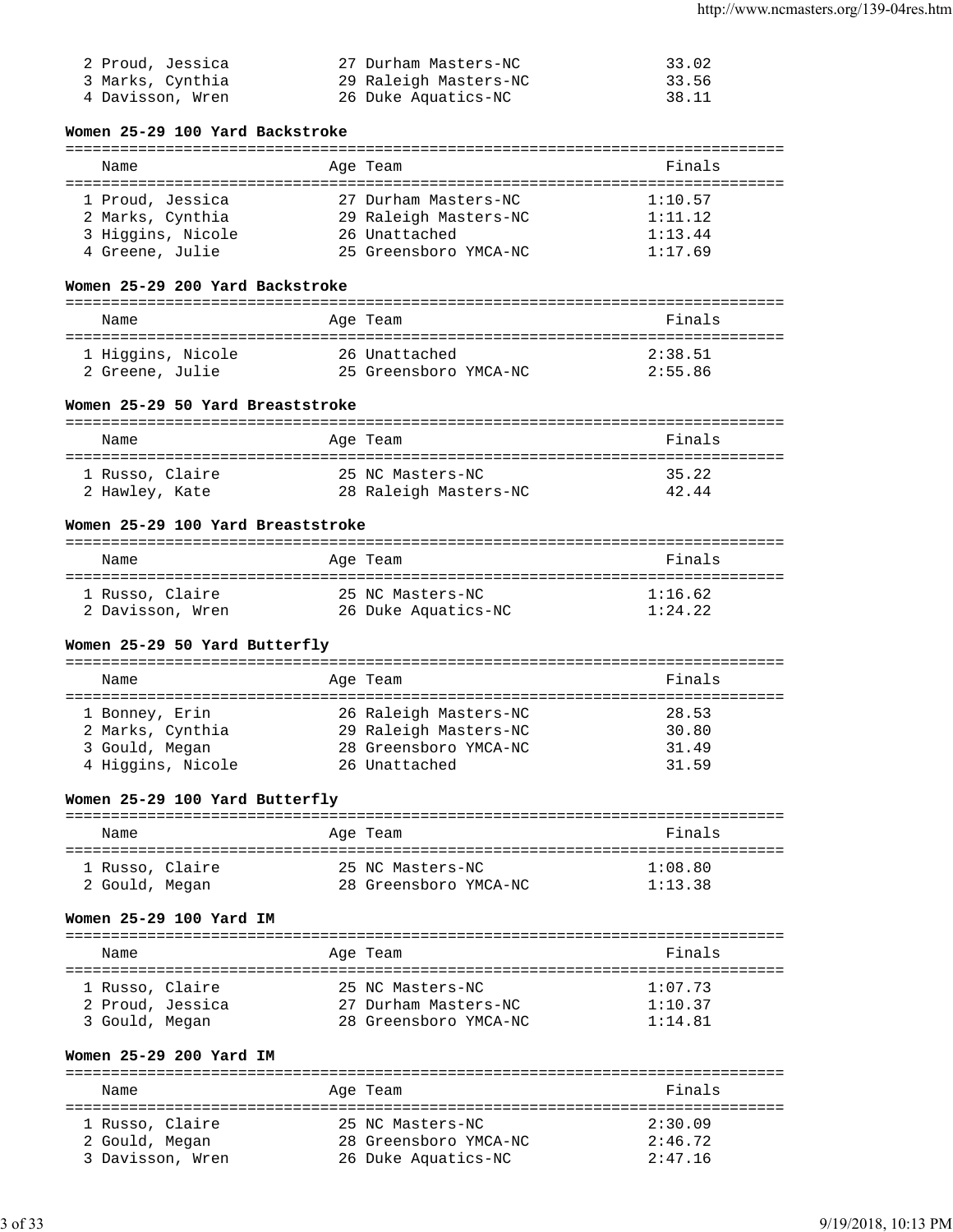| 2 Proud, Jessica | 27 Durham Masters-NC  | 33.02 |
|------------------|-----------------------|-------|
| 3 Marks, Cynthia | 29 Raleigh Masters-NC | 33.56 |
| 4 Davisson, Wren | 26 Duke Aquatics-NC   | 38.11 |

# **Women 25-29 100 Yard Backstroke**

| Name              | Age Team              | Finals  |
|-------------------|-----------------------|---------|
| 1 Proud, Jessica  | 27 Durham Masters-NC  | 1:10.57 |
| 2 Marks, Cynthia  | 29 Raleigh Masters-NC | 1:11.12 |
| 3 Higgins, Nicole | 26 Unattached         | 1:13.44 |
| 4 Greene, Julie   | 25 Greensboro YMCA-NC | 1:17.69 |

# **Women 25-29 200 Yard Backstroke**

| Name              | Age Team              | Finals  |
|-------------------|-----------------------|---------|
| 1 Higgins, Nicole | 26 Unattached         | 2:38.51 |
| 2 Greene, Julie   | 25 Greensboro YMCA-NC | 2:55.86 |

# **Women 25-29 50 Yard Breaststroke**

| Name            | Age Team              | Finals |
|-----------------|-----------------------|--------|
| 1 Russo, Claire | 25 NC Masters-NC      | 35.22  |
| 2 Hawley, Kate  | 28 Raleigh Masters-NC | 42.44  |

# **Women 25-29 100 Yard Breaststroke**

| Name             | Age Team            | Finals  |
|------------------|---------------------|---------|
| 1 Russo, Claire  | 25 NC Masters-NC    | 1:16.62 |
| 2 Davisson, Wren | 26 Duke Aquatics-NC | 1:24.22 |

# **Women 25-29 50 Yard Butterfly**

|  | Name              |  | Age Team              | Finals |
|--|-------------------|--|-----------------------|--------|
|  |                   |  |                       |        |
|  | 1 Bonney, Erin    |  | 26 Raleigh Masters-NC | 28.53  |
|  | 2 Marks, Cynthia  |  | 29 Raleigh Masters-NC | 30.80  |
|  | 3 Gould, Megan    |  | 28 Greensboro YMCA-NC | 31.49  |
|  | 4 Higgins, Nicole |  | 26 Unattached         | 31.59  |
|  |                   |  |                       |        |

# **Women 25-29 100 Yard Butterfly**

| Name            | Age Team              | Finals  |
|-----------------|-----------------------|---------|
| 1 Russo, Claire | 25 NC Masters-NC      | 1:08.80 |
| 2 Gould, Megan  | 28 Greensboro YMCA-NC | 1:13.38 |

# **Women 25-29 100 Yard IM**

| Name             | Age Team              | Finals  |
|------------------|-----------------------|---------|
| 1 Russo, Claire  | 25 NC Masters-NC      | 1:07.73 |
| 2 Proud, Jessica | 27 Durham Masters-NC  | 1:10.37 |
| 3 Gould, Megan   | 28 Greensboro YMCA-NC | 1:14.81 |

# **Women 25-29 200 Yard IM**

| Name             | Age Team              | Finals  |
|------------------|-----------------------|---------|
| 1 Russo, Claire  | 25 NC Masters-NC      | 2:30.09 |
| 2 Gould, Megan   | 28 Greensboro YMCA-NC | 2:46.72 |
| 3 Davisson, Wren | 26 Duke Aquatics-NC   | 2:47.16 |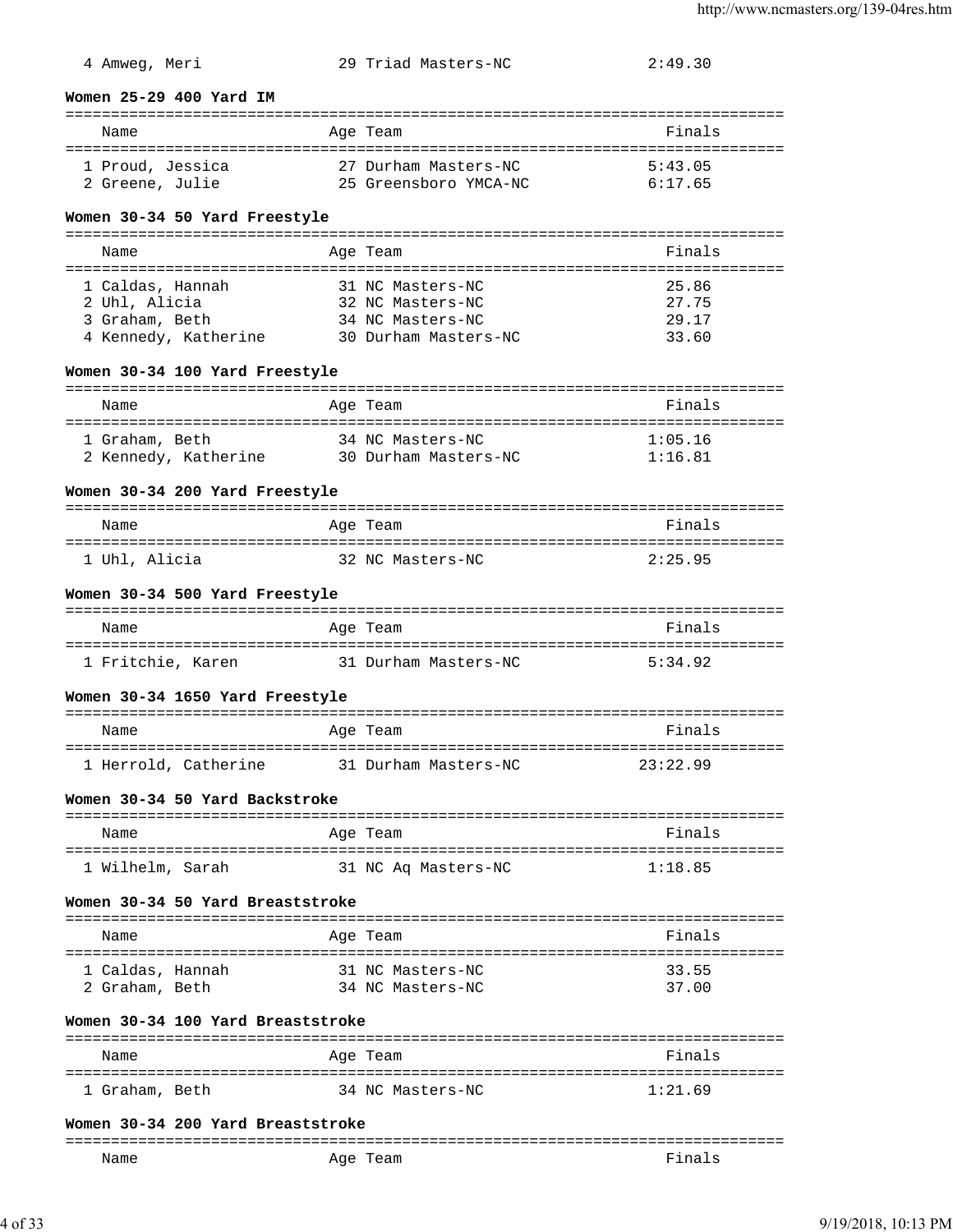# 4 Amweg, Meri 29 Triad Masters-NC 2:49.30

#### **Women 25-29 400 Yard IM**

| Name             | Age Team              | Finals  |
|------------------|-----------------------|---------|
| 1 Proud, Jessica | 27 Durham Masters-NC  | 5:43.05 |
| 2 Greene, Julie  | 25 Greensboro YMCA-NC | 6:17.65 |

### **Women 30-34 50 Yard Freestyle**

| Name                 | Age Team             | Finals |
|----------------------|----------------------|--------|
|                      |                      |        |
| 1 Caldas, Hannah     | 31 NC Masters-NC     | 25.86  |
| 2 Uhl, Alicia        | 32 NC Masters-NC     | 27.75  |
| 3 Graham, Beth       | 34 NC Masters-NC     | 29.17  |
| 4 Kennedy, Katherine | 30 Durham Masters-NC | 33.60  |

#### **Women 30-34 100 Yard Freestyle**

| Name                 | Age Team             | Finals  |
|----------------------|----------------------|---------|
|                      |                      |         |
| 1 Graham, Beth       | 34 NC Masters-NC     | 1:05.16 |
| 2 Kennedy, Katherine | 30 Durham Masters-NC | 1:16.81 |

### **Women 30-34 200 Yard Freestyle**

| Name          | Age Team         | Finals  |
|---------------|------------------|---------|
| 1 Uhl, Alicia | 32 NC Masters-NC | 2:25.95 |

### **Women 30-34 500 Yard Freestyle**

| Name              | Age Team             | Finals  |
|-------------------|----------------------|---------|
|                   |                      |         |
| 1 Fritchie, Karen | 31 Durham Masters-NC | 5:34.92 |

### **Women 30-34 1650 Yard Freestyle**

| Name                 | Age Team             | Finals   |
|----------------------|----------------------|----------|
| 1 Herrold, Catherine | 31 Durham Masters-NC | 23:22.99 |

# **Women 30-34 50 Yard Backstroke**

| Name             | Age Team            | Finals  |
|------------------|---------------------|---------|
| 1 Wilhelm, Sarah | 31 NC Ag Masters-NC | 1:18.85 |

### **Women 30-34 50 Yard Breaststroke**

| Name                               |  | Age Team                             | Finals         |
|------------------------------------|--|--------------------------------------|----------------|
| 1 Caldas, Hannah<br>2 Graham, Beth |  | 31 NC Masters-NC<br>34 NC Masters-NC | 33.55<br>37.00 |

#### **Women 30-34 100 Yard Breaststroke**

| Name           | Age Team         | Finals  |
|----------------|------------------|---------|
| 1 Graham, Beth | 34 NC Masters-NC | 1:21.69 |

#### **Women 30-34 200 Yard Breaststroke**

| ----- |            |    |
|-------|------------|----|
| Name  | Aqe<br>cau | na |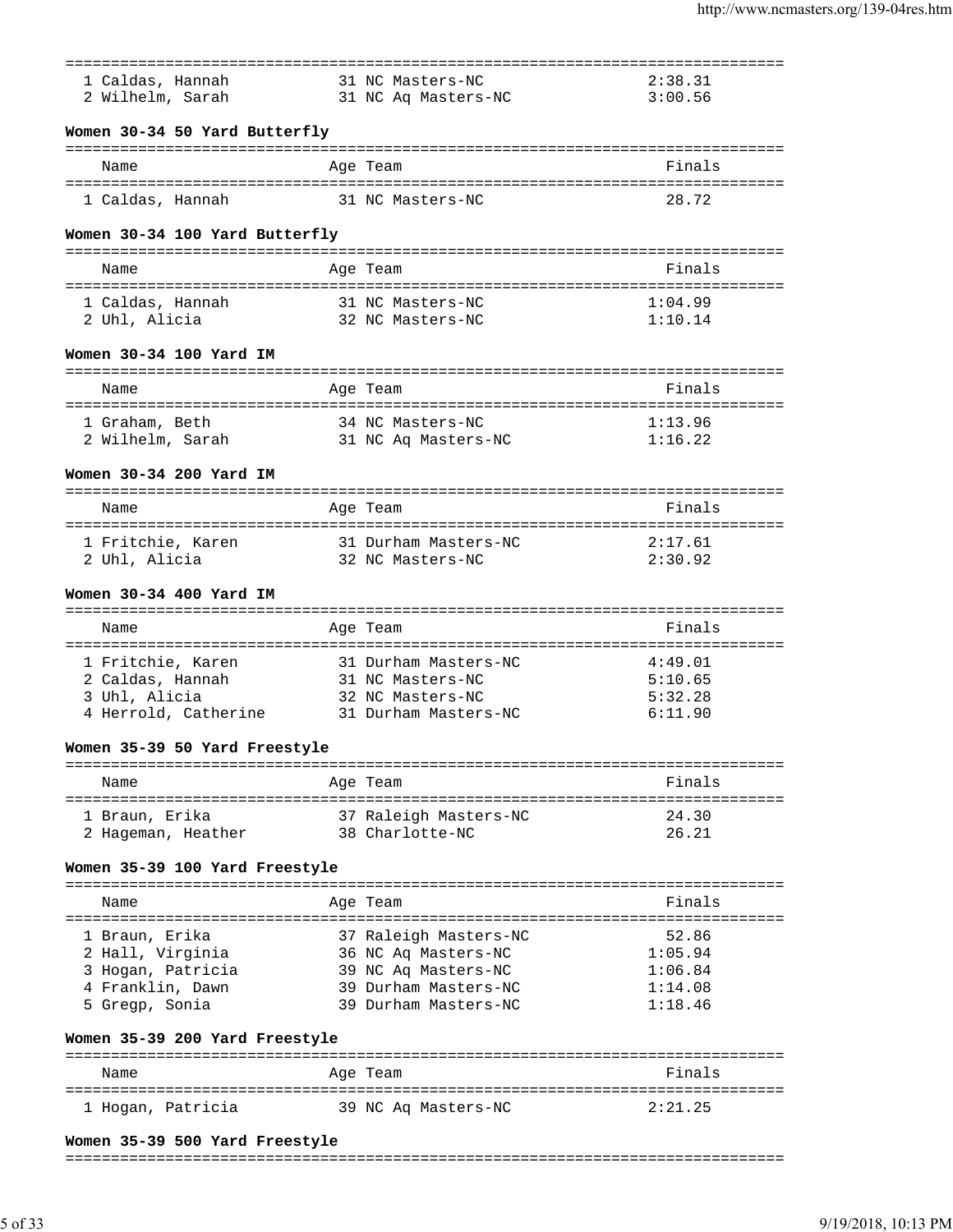|                                    |                                              | =================================== |
|------------------------------------|----------------------------------------------|-------------------------------------|
| 1 Caldas, Hannah                   | 31 NC Masters-NC                             | 2:38.31                             |
| 2 Wilhelm, Sarah                   | 31 NC Aq Masters-NC                          | 3:00.56                             |
|                                    |                                              |                                     |
| Women 30-34 50 Yard Butterfly      |                                              |                                     |
| Name                               | Age Team                                     | Finals                              |
|                                    | 31 NC Masters-NC                             |                                     |
| 1 Caldas, Hannah                   |                                              | 28.72                               |
| Women 30-34 100 Yard Butterfly     |                                              |                                     |
|                                    |                                              | Finals                              |
| Name                               | Age Team                                     |                                     |
| 1 Caldas, Hannah                   | 31 NC Masters-NC                             | 1:04.99                             |
| 2 Uhl, Alicia                      | 32 NC Masters-NC                             | 1:10.14                             |
| Women 30-34 100 Yard IM            |                                              |                                     |
|                                    |                                              |                                     |
| Name                               | Age Team                                     | Finals                              |
| 1 Graham, Beth                     | 34 NC Masters-NC                             | 1:13.96                             |
| 1 Graham, Beth<br>2 Wilhelm, Sarah | 31 NC Aq Masters-NC                          | 1:16.22                             |
|                                    |                                              |                                     |
| Women 30-34 200 Yard IM            |                                              |                                     |
| Name                               | Age Team                                     | Finals                              |
|                                    |                                              |                                     |
| 1 Fritchie, Karen<br>2 Uhl, Alicia | 31 Durham Masters-NC<br>32 NC Masters-NC     | 2:17.61<br>2:30.92                  |
|                                    |                                              |                                     |
| Women 30-34 400 Yard IM            |                                              |                                     |
|                                    |                                              |                                     |
| Name                               | Age Team                                     | Finals                              |
| 1 Fritchie, Karen                  | 31 Durham Masters-NC                         | 4:49.01                             |
| 2 Caldas, Hannah                   | 31 NC Masters-NC                             | 5:10.65                             |
| 3 Uhl, Alicia                      | 32 NC Masters-NC                             | 5:32.28                             |
| 4 Herrold, Catherine               | 31 Durham Masters-NC                         | 6:11.90                             |
| Women 35-39 50 Yard Freestyle      |                                              |                                     |
|                                    |                                              |                                     |
| Name                               | Age Team                                     | Finals                              |
| 1 Braun, Erika                     | 37 Raleigh Masters-NC                        | 24.30                               |
| 2 Hageman, Heather                 | 38 Charlotte-NC                              | 26.21                               |
|                                    |                                              |                                     |
| Women 35-39 100 Yard Freestyle     |                                              |                                     |
| Name                               | Age Team                                     | Finals                              |
|                                    |                                              |                                     |
| 1 Braun, Erika                     | 37 Raleigh Masters-NC                        | 52.86                               |
| 2 Hall, Virginia                   | 36 NC Aq Masters-NC                          | 1:05.94                             |
| 3 Hogan, Patricia                  | 39 NC Aq Masters-NC                          | 1:06.84                             |
| 4 Franklin, Dawn<br>5 Gregp, Sonia | 39 Durham Masters-NC<br>39 Durham Masters-NC | 1:14.08<br>1:18.46                  |
|                                    |                                              |                                     |
| Women 35-39 200 Yard Freestyle     |                                              |                                     |
| Name                               | Age Team                                     | ======================<br>Finals    |
|                                    |                                              |                                     |
| 1 Hogan, Patricia                  | 39 NC Aq Masters-NC                          | 2:21.25                             |
|                                    |                                              |                                     |

### **Women 35-39 500 Yard Freestyle**

#### ===============================================================================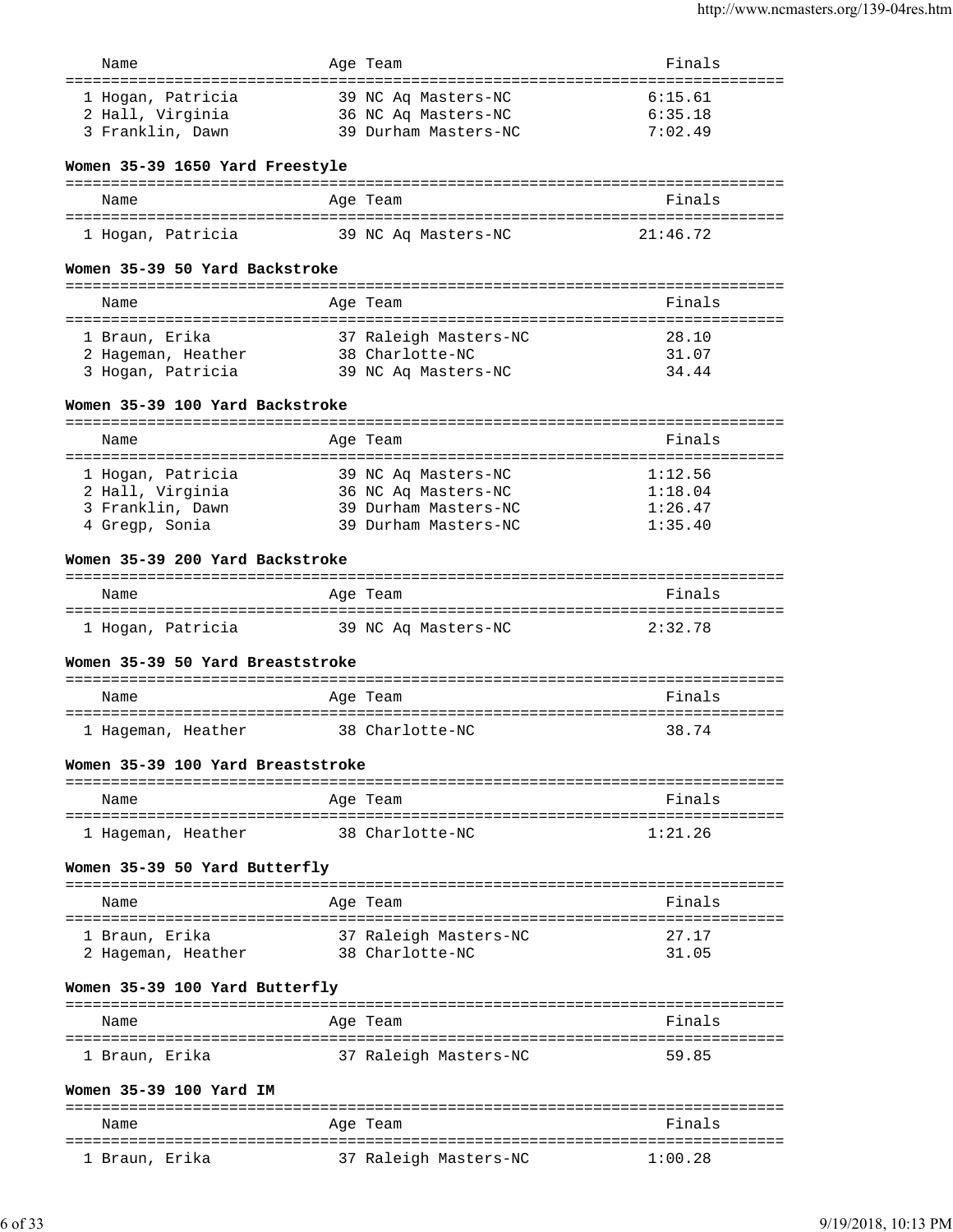| Name                              | Age Team              | Finals   |
|-----------------------------------|-----------------------|----------|
|                                   |                       |          |
| 1 Hogan, Patricia                 | 39 NC Aq Masters-NC   | 6:15.61  |
| 2 Hall, Virginia                  | 36 NC Aq Masters-NC   | 6:35.18  |
| 3 Franklin, Dawn                  | 39 Durham Masters-NC  | 7:02.49  |
| Women 35-39 1650 Yard Freestyle   |                       |          |
|                                   |                       |          |
| Name                              | Age Team              | Finals   |
| 1 Hogan, Patricia                 | 39 NC Aq Masters-NC   | 21:46.72 |
| Women 35-39 50 Yard Backstroke    |                       |          |
|                                   |                       |          |
| Name                              | Age Team              | Finals   |
|                                   |                       |          |
| 1 Braun, Erika                    | 37 Raleigh Masters-NC | 28.10    |
| 2 Hageman, Heather                | 38 Charlotte-NC       | 31.07    |
| 3 Hogan, Patricia                 | 39 NC Aq Masters-NC   | 34.44    |
| Women 35-39 100 Yard Backstroke   |                       |          |
|                                   |                       |          |
| Name                              | Age Team              | Finals   |
| 1 Hogan, Patricia                 | 39 NC Ag Masters-NC   | 1:12.56  |
| 2 Hall, Virginia                  | 36 NC Aq Masters-NC   | 1:18.04  |
| 3 Franklin, Dawn                  | 39 Durham Masters-NC  | 1:26.47  |
| 4 Gregp, Sonia                    | 39 Durham Masters-NC  | 1:35.40  |
|                                   |                       |          |
| Women 35-39 200 Yard Backstroke   |                       |          |
| Name                              | Age Team              | Finals   |
|                                   |                       |          |
| 1 Hogan, Patricia                 | 39 NC Aq Masters-NC   | 2:32.78  |
| Women 35-39 50 Yard Breaststroke  |                       |          |
| Name                              | Aqe Team              | Finals   |
|                                   |                       |          |
| 1 Hageman, Heather                | 38 Charlotte-NC       | 38.74    |
| Women 35-39 100 Yard Breaststroke |                       |          |
| Name                              | Aqe Team              | Finals   |
|                                   |                       |          |
| 1 Hageman, Heather                | 38 Charlotte-NC       | 1:21.26  |
| Women 35-39 50 Yard Butterfly     |                       |          |
| Name                              | Age Team              | Finals   |
| 1 Braun, Erika                    | 37 Raleigh Masters-NC | 27.17    |
| 2 Hageman, Heather                | 38 Charlotte-NC       | 31.05    |
|                                   |                       |          |
| Women 35-39 100 Yard Butterfly    |                       |          |
| --------------------              | ===========           |          |
| Name                              | Age Team              | Finals   |
| 1 Braun, Erika                    | 37 Raleigh Masters-NC | 59.85    |
|                                   |                       |          |
| Women 35-39 100 Yard IM           |                       |          |
| Name                              |                       | Finals   |
|                                   | Age Team              |          |

1 Braun, Erika 37 Raleigh Masters-NC 1:00.28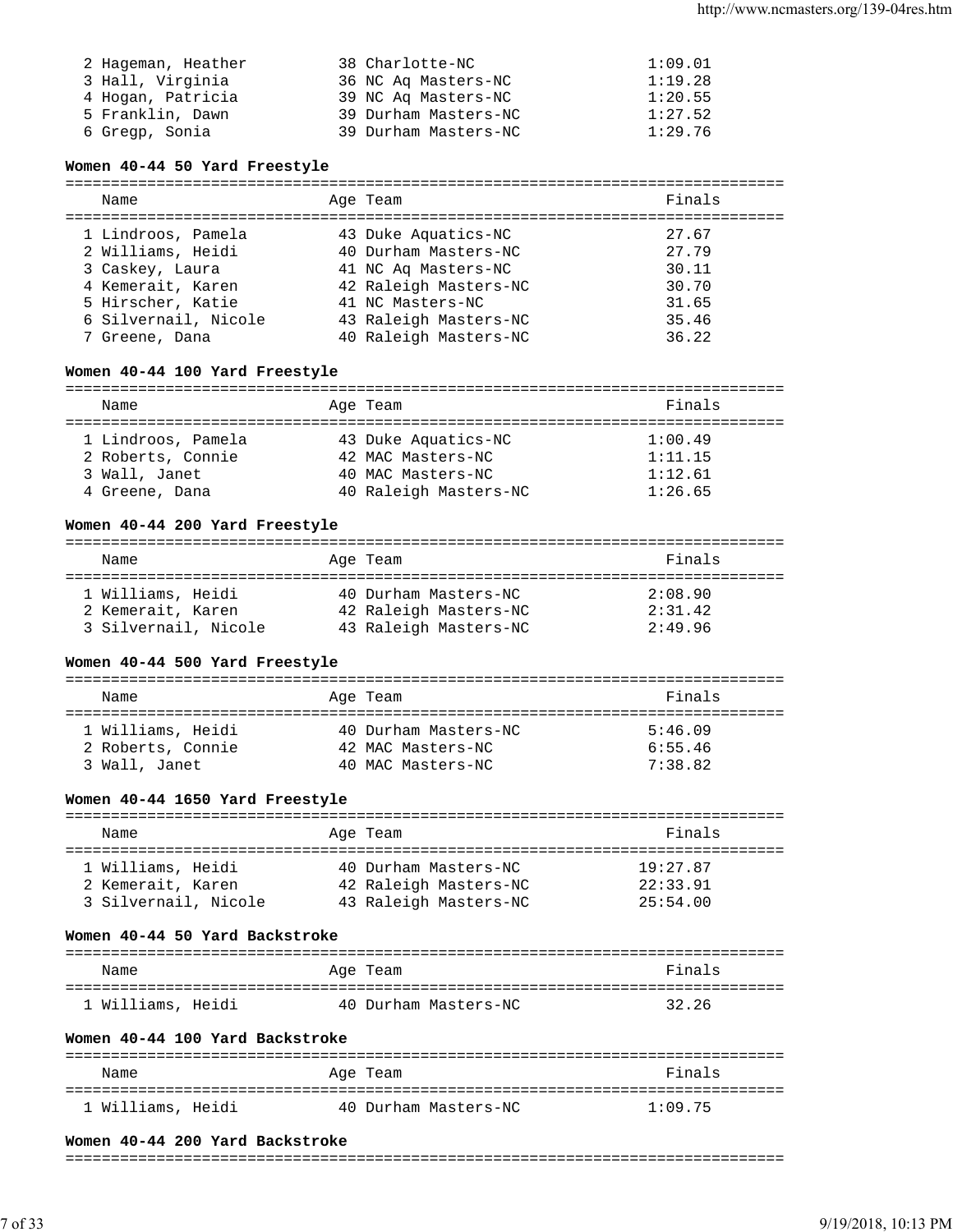| 2 Hageman, Heather | 38 Charlotte-NC      | 1:09.01 |
|--------------------|----------------------|---------|
| 3 Hall, Virginia   | 36 NC Ag Masters-NC  | 1:19.28 |
| 4 Hogan, Patricia  | 39 NC Ag Masters-NC  | 1:20.55 |
| 5 Franklin, Dawn   | 39 Durham Masters-NC | 1:27.52 |
| 6 Gregp, Sonia     | 39 Durham Masters-NC | 1:29.76 |

### **Women 40-44 50 Yard Freestyle**

=============================================================================== Name Age Team Finals =============================================================================== 1 Lindroos, Pamela 43 Duke Aquatics-NC 27.67 2 Williams, Heidi 40 Durham Masters-NC 27.79 3 Caskey, Laura 41 NC Aq Masters-NC 30.11 4 Kemerait, Karen 42 Raleigh Masters-NC 30.70 5 Hirscher, Katie 41 NC Masters-NC 31.65 6 Silvernail, Nicole 43 Raleigh Masters-NC 35.46 7 Greene, Dana 40 Raleigh Masters-NC 36.22

### **Women 40-44 100 Yard Freestyle**

=============================================================================== Name **Age Team Age Team Age Team Primals** 

| 1 Lindroos, Pamela | 43 Duke Aquatics-NC   | 1:00.49 |
|--------------------|-----------------------|---------|
| 2 Roberts, Connie  | 42 MAC Masters-NC     | 1:11.15 |
| 3 Wall, Janet      | 40 MAC Masters-NC     | 1:12.61 |
| 4 Greene, Dana     | 40 Raleigh Masters-NC | 1:26.65 |

### **Women 40-44 200 Yard Freestyle**

| Name                 | Age Team              | Finals  |
|----------------------|-----------------------|---------|
| 1 Williams, Heidi    | 40 Durham Masters-NC  | 2:08.90 |
| 2 Kemerait, Karen    | 42 Raleigh Masters-NC | 2:31.42 |
| 3 Silvernail, Nicole | 43 Raleigh Masters-NC | 2:49.96 |

# **Women 40-44 500 Yard Freestyle**

| Name                                                    | Age Team                                                       | Finals                        |
|---------------------------------------------------------|----------------------------------------------------------------|-------------------------------|
| 1 Williams, Heidi<br>2 Roberts, Connie<br>3 Wall, Janet | 40 Durham Masters-NC<br>42 MAC Masters-NC<br>40 MAC Masters-NC | 5:46.09<br>6:55.46<br>7:38.82 |

### **Women 40-44 1650 Yard Freestyle**

| Name                 | Age Team              | Finals   |
|----------------------|-----------------------|----------|
| 1 Williams, Heidi    | 40 Durham Masters-NC  | 19:27.87 |
| 2 Kemerait, Karen    | 42 Raleigh Masters-NC | 22:33.91 |
| 3 Silvernail, Nicole | 43 Raleigh Masters-NC | 25:54.00 |

### **Women 40-44 50 Yard Backstroke**

| Name              | Age Team             | Finals |
|-------------------|----------------------|--------|
| 1 Williams, Heidi | 40 Durham Masters-NC | 32.26  |

### **Women 40-44 100 Yard Backstroke**

| Name              | Age Team             | Finals  |
|-------------------|----------------------|---------|
| 1 Williams, Heidi | 40 Durham Masters-NC | 1:09.75 |

# **Women 40-44 200 Yard Backstroke**

### ===============================================================================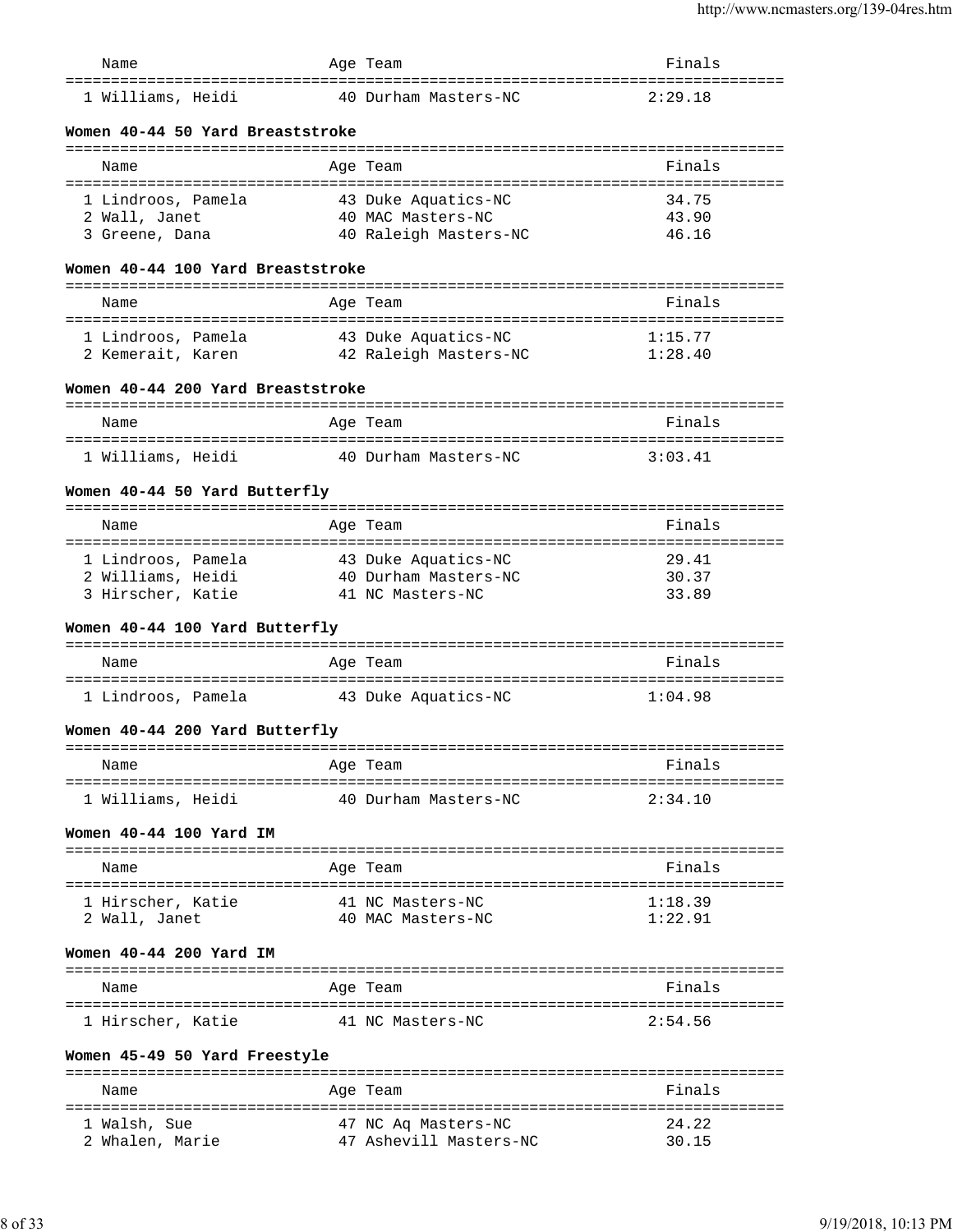| Name                                                       | Age Team                                              | Finals                          |
|------------------------------------------------------------|-------------------------------------------------------|---------------------------------|
| ================================<br>1 Williams, Heidi      | 40 Durham Masters-NC                                  | 2:29.18                         |
| Women 40-44 50 Yard Breaststroke                           |                                                       |                                 |
|                                                            |                                                       |                                 |
| Name                                                       | Age Team                                              | Finals                          |
| 1 Lindroos, Pamela                                         | 43 Duke Aquatics-NC                                   | 34.75                           |
| 2 Wall, Janet                                              | 40 MAC Masters-NC                                     | 43.90                           |
| 3 Greene, Dana                                             | 40 Raleigh Masters-NC                                 | 46.16                           |
| Women 40-44 100 Yard Breaststroke                          |                                                       |                                 |
| Name                                                       |                                                       | Finals                          |
|                                                            | Age Team                                              |                                 |
| 1 Lindroos, Pamela                                         | 43 Duke Aquatics-NC                                   | 1:15.77                         |
|                                                            | 2 Kemerait, Karen <a>&gt; 42 Raleigh Masters-NC</a>   | 1:28.40                         |
| Women 40-44 200 Yard Breaststroke                          |                                                       |                                 |
| Name                                                       | Age Team                                              | Finals                          |
|                                                            |                                                       |                                 |
| 1 Williams, Heidi                                          | 40 Durham Masters-NC                                  | 3:03.41                         |
| Women 40-44 50 Yard Butterfly                              |                                                       |                                 |
| Name                                                       | Age Team                                              | Finals                          |
| 1 Lindroos, Pamela                                         | 43 Duke Aquatics-NC                                   | 29.41                           |
| 2 Williams, Heidi                                          | 40 Durham Masters-NC                                  | 30.37                           |
| 3 Hirscher, Katie                                          | 41 NC Masters-NC                                      | 33.89                           |
| Women 40-44 100 Yard Butterfly                             |                                                       |                                 |
| Name                                                       | Age Team                                              | Finals                          |
| 1 Lindroos, Pamela                                         | 43 Duke Aquatics-NC                                   | 1:04.98                         |
| Women 40-44 200 Yard Butterfly                             |                                                       |                                 |
| Name                                                       | Age Team                                              | Finals                          |
| =====================================<br>1 Williams, Heidi | :========================<br>40 Durham Masters-NC     | 2:34.10                         |
|                                                            |                                                       |                                 |
| Women 40-44 100 Yard IM                                    |                                                       |                                 |
| Name                                                       | Age Team                                              | Finals                          |
| ===========================                                | ===========                                           |                                 |
| 1 Hirscher, Katie<br>2 Wall, Janet                         | 41 NC Masters-NC<br>40 MAC Masters-NC                 | 1:18.39<br>1:22.91              |
|                                                            |                                                       |                                 |
| Women 40-44 200 Yard IM                                    |                                                       |                                 |
| Name                                                       | Age Team                                              | Finals                          |
| 1 Hirscher, Katie                                          | 41 NC Masters-NC                                      | 2:54.56                         |
| Women 45-49 50 Yard Freestyle                              |                                                       |                                 |
|                                                            |                                                       | ------------------------------- |
| Name                                                       | Age Team                                              | Finals<br>--------------------- |
| 1 Walsh, Sue                                               | ==============================<br>47 NC Aq Masters-NC | 24.22                           |
| 2 Whalen, Marie                                            | 47 Ashevill Masters-NC                                | 30.15                           |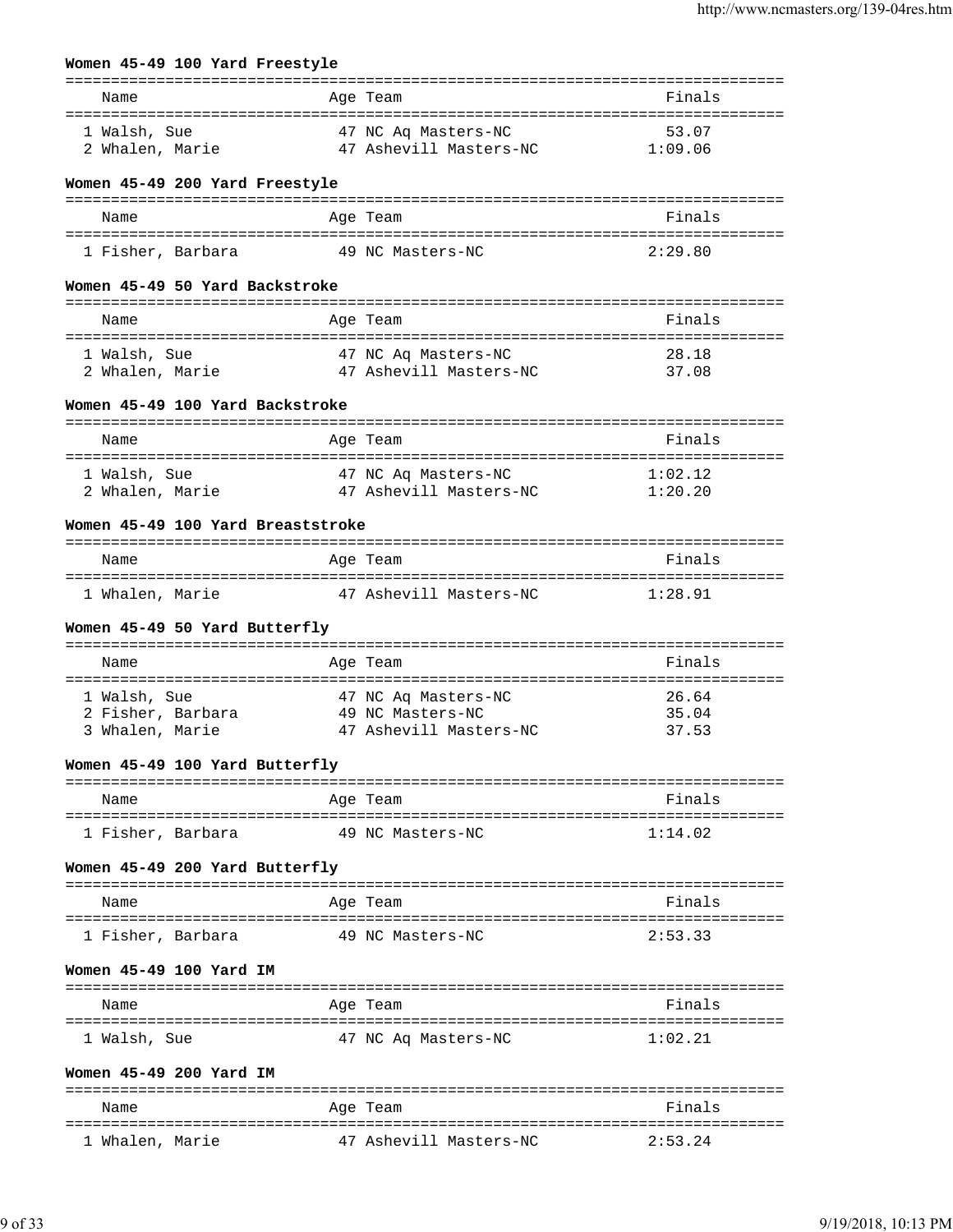# **Women 45-49 100 Yard Freestyle**

| Name                                     | Age Team                   |                                               | Finals  |
|------------------------------------------|----------------------------|-----------------------------------------------|---------|
|                                          |                            |                                               |         |
| 1 Walsh, Sue                             |                            | 47 NC Aq Masters-NC                           | 53.07   |
| 2 Whalen, Marie                          |                            | 47 Ashevill Masters-NC                        | 1:09.06 |
| Women 45-49 200 Yard Freestyle           |                            |                                               |         |
| Name                                     | Age Team                   |                                               | Finals  |
|                                          |                            |                                               |         |
| 1 Fisher, Barbara                        |                            | 49 NC Masters-NC                              | 2:29.80 |
| Women 45-49 50 Yard Backstroke           |                            |                                               |         |
| Name                                     | Age Team                   |                                               | Finals  |
|                                          |                            |                                               |         |
| 1 Walsh, Sue                             |                            |                                               | 28.18   |
| 2 Whalen, Marie                          |                            | 47 NC Aq Masters-NC<br>47 Ashevill Masters-NC | 37.08   |
| Women 45-49 100 Yard Backstroke          |                            |                                               |         |
|                                          |                            |                                               |         |
| Name                                     | Age Team                   |                                               | Finals  |
| 1 Walsh, Sue                             |                            | 47 NC Aq Masters-NC                           | 1:02.12 |
| 2 Whalen, Marie 3 47 Ashevill Masters-NC |                            |                                               | 1:20.20 |
|                                          |                            |                                               |         |
| Women 45-49 100 Yard Breaststroke        |                            |                                               |         |
| Name                                     | Age Team                   |                                               | Finals  |
|                                          |                            |                                               |         |
| 1 Whalen, Marie                          |                            | 47 Ashevill Masters-NC                        | 1:28.91 |
| Women 45-49 50 Yard Butterfly            |                            |                                               |         |
|                                          |                            |                                               |         |
| Name                                     | Age Team                   |                                               | Finals  |
|                                          |                            |                                               |         |
| 1 Walsh, Sue                             |                            | 47 NC Ag Masters-NC                           | 26.64   |
| 2 Fisher, Barbara 49 NC Masters-NC       |                            |                                               | 35.04   |
| 3 Whalen, Marie                          |                            | 47 Ashevill Masters-NC                        | 37.53   |
| Women 45-49 100 Yard Butterfly           |                            |                                               |         |
| Name                                     | Age Team                   |                                               | Finals  |
|                                          |                            |                                               |         |
| 1 Fisher, Barbara                        |                            | 49 NC Masters-NC                              | 1:14.02 |
| Women 45-49 200 Yard Butterfly           |                            |                                               |         |
| Name                                     | Age Team                   |                                               | Finals  |
|                                          |                            |                                               |         |
| 1 Fisher, Barbara                        |                            | 49 NC Masters-NC                              | 2:53.33 |
| Women 45-49 100 Yard IM                  |                            |                                               |         |
|                                          |                            |                                               |         |
| Name                                     | Age Team<br>============== | ----------------------------------            | Finals  |
| 1 Walsh, Sue                             |                            | 47 NC Aq Masters-NC                           | 1:02.21 |
| Women 45-49 200 Yard IM                  |                            |                                               |         |
|                                          |                            |                                               |         |
| Name                                     | Age Team                   |                                               | Finals  |
| 1 Whalen, Marie                          |                            | 47 Ashevill Masters-NC                        | 2:53.24 |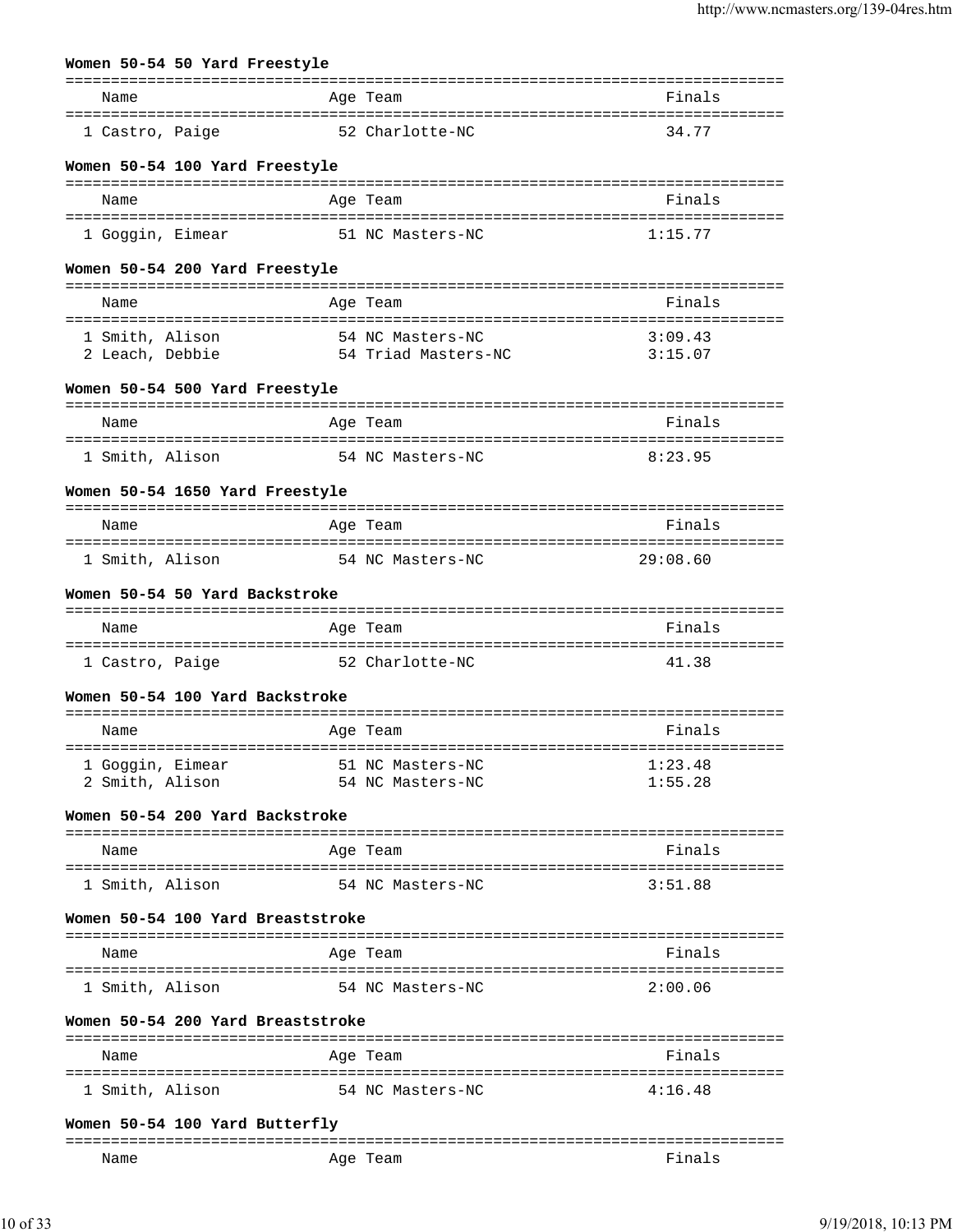# **Women 50-54 50 Yard Freestyle**

| Name                                                      | Age Team                                              | Finals             |
|-----------------------------------------------------------|-------------------------------------------------------|--------------------|
| ===================================<br>1 Castro, Paige    | 52 Charlotte-NC                                       | 34.77              |
| Women 50-54 100 Yard Freestyle<br>Name                    | Age Team                                              | Finals             |
|                                                           |                                                       |                    |
| 1 Goggin, Eimear                                          | 51 NC Masters-NC                                      | 1:15.77            |
| Women 50-54 200 Yard Freestyle                            |                                                       |                    |
| Name                                                      | Age Team                                              | Finals             |
| 1 Smith, Alison<br>2 Leach, Debbie                        | 54 NC Masters-NC<br>54 Triad Masters-NC               | 3:09.43<br>3:15.07 |
| Women 50-54 500 Yard Freestyle                            |                                                       |                    |
| Name                                                      | Age Team                                              | Finals             |
| 1 Smith, Alison                                           | 54 NC Masters-NC                                      | 8:23.95            |
| Women 50-54 1650 Yard Freestyle                           |                                                       |                    |
| Name                                                      | Age Team                                              | Finals             |
| ======================================<br>1 Smith, Alison | ---------------------------------<br>54 NC Masters-NC | 29:08.60           |
| Women 50-54 50 Yard Backstroke                            |                                                       |                    |
| Name                                                      | Age Team                                              | Finals             |
| 1 Castro, Paige                                           | 52 Charlotte-NC                                       | 41.38              |
| Women 50-54 100 Yard Backstroke                           |                                                       |                    |
| Name                                                      | Age Team                                              | Finals             |
| 1 Goggin, Eimear                                          | 51 NC Masters-NC                                      | 1:23.48            |
| 2 Smith, Alison                                           | 54 NC Masters-NC                                      | 1:55.28            |
| Women 50-54 200 Yard Backstroke                           |                                                       |                    |
| Name                                                      | Age Team                                              | Finals             |
| 1 Smith, Alison                                           | 54 NC Masters-NC                                      | 3:51.88            |
| Women 50-54 100 Yard Breaststroke                         |                                                       |                    |
| Name                                                      | Age Team                                              | Finals             |
| 1 Smith, Alison                                           | 54 NC Masters-NC                                      | 2:00.06            |
| Women 50-54 200 Yard Breaststroke                         |                                                       |                    |
| Name                                                      | Age Team                                              | Finals             |
| 1 Smith, Alison                                           | 54 NC Masters-NC                                      | 4:16.48            |
|                                                           |                                                       |                    |

### **Women 50-54 100 Yard Butterfly**

| ----- |            |    |
|-------|------------|----|
| Name  | Aqe<br>cau | na |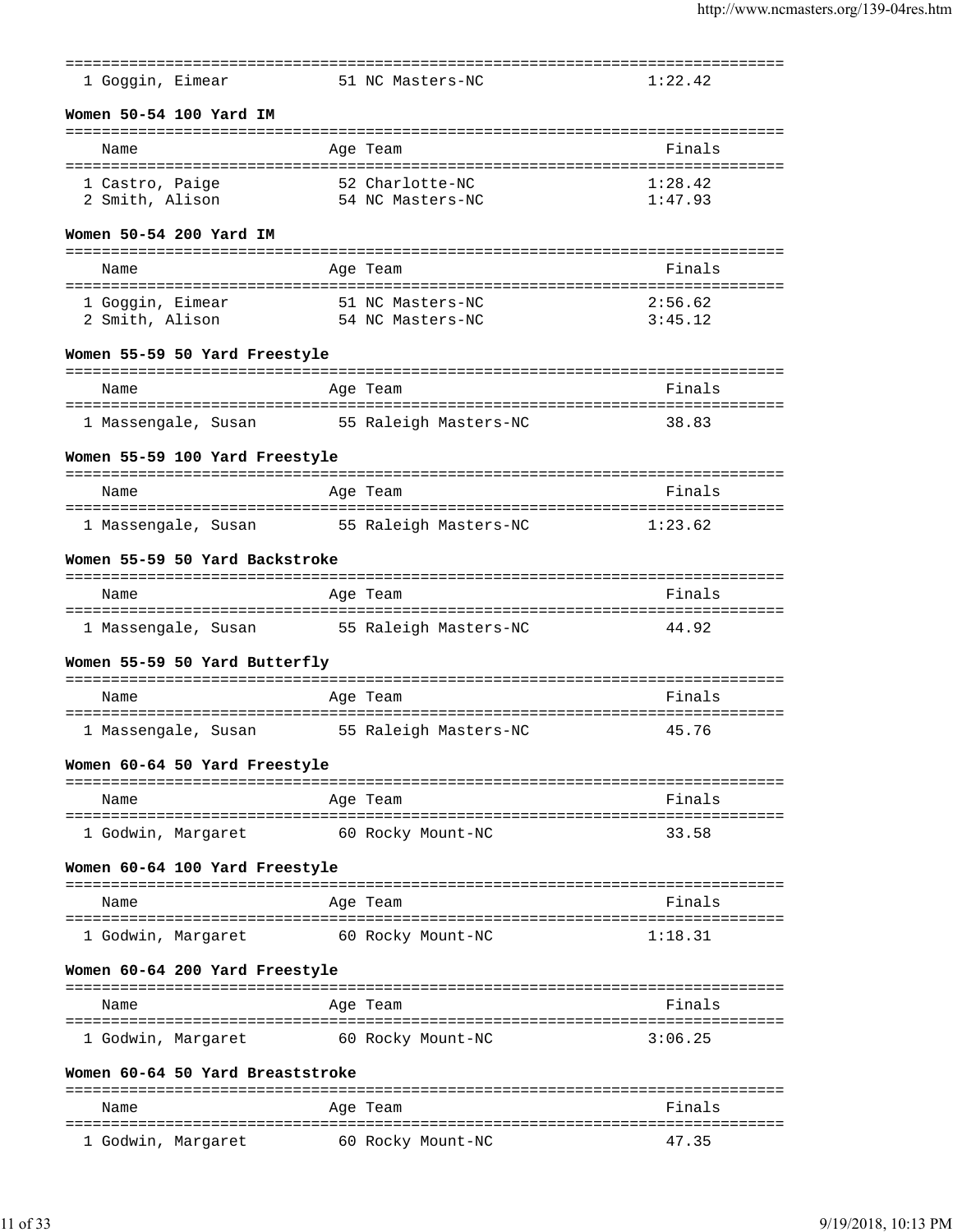| 1 Goggin, Eimear                                            |          | 51 NC Masters-NC            | 1:22.42                  |
|-------------------------------------------------------------|----------|-----------------------------|--------------------------|
| Women 50-54 100 Yard IM                                     |          |                             |                          |
| Name                                                        | Age Team | --------------------------- | Finals                   |
| ====================================<br>1 Castro, Paige     |          | 52 Charlotte-NC             | 1:28.42                  |
| 2 Smith, Alison                                             |          | 54 NC Masters-NC            | 1:47.93                  |
| Women 50-54 200 Yard IM                                     |          |                             |                          |
| Name                                                        | Age Team |                             | Finals                   |
| 1 Goggin, Eimear                                            |          | 51 NC Masters-NC            | 2:56.62                  |
| 2 Smith, Alison                                             |          | 54 NC Masters-NC            | 3:45.12                  |
| Women 55-59 50 Yard Freestyle                               |          |                             |                          |
| Name                                                        | Age Team |                             | Finals                   |
| ------------------------------------<br>1 Massengale, Susan |          | 55 Raleigh Masters-NC       | 38.83                    |
| Women 55-59 100 Yard Freestyle                              |          |                             |                          |
|                                                             |          |                             |                          |
| Name                                                        | Age Team |                             | Finals                   |
| 1 Massengale, Susan                                         |          | 55 Raleigh Masters-NC       | 1:23.62                  |
| Women 55-59 50 Yard Backstroke                              |          |                             |                          |
|                                                             |          |                             |                          |
| Name<br>=====================                               | Age Team |                             | Finals                   |
| 1 Massengale, Susan                                         |          | 55 Raleigh Masters-NC       | 44.92                    |
| Women 55-59 50 Yard Butterfly                               |          |                             |                          |
| Name                                                        | Age Team |                             | Finals                   |
|                                                             |          |                             |                          |
| 1 Massengale, Susan                                         |          | 55 Raleigh Masters-NC       | 45.76                    |
| Women 60-64 50 Yard Freestyle                               |          |                             |                          |
| Name                                                        | Age Team |                             | Finals                   |
| l Godwin, Margaret                                          |          | 60 Rocky Mount-NC           | 33.58                    |
| Women 60-64 100 Yard Freestyle                              |          |                             |                          |
| Name                                                        | Age Team |                             | --------------<br>Finals |
| =================                                           |          |                             |                          |
| 1 Godwin, Margaret                                          |          | 60 Rocky Mount-NC           | 1:18.31                  |
| Women 60-64 200 Yard Freestyle                              |          |                             |                          |
| Name                                                        | Age Team |                             | Finals                   |
| l Godwin, Marqaret                                          |          | 60 Rocky Mount-NC           | 3:06.25                  |
| Women 60-64 50 Yard Breaststroke                            |          |                             |                          |
| Name                                                        | Age Team |                             | Finals                   |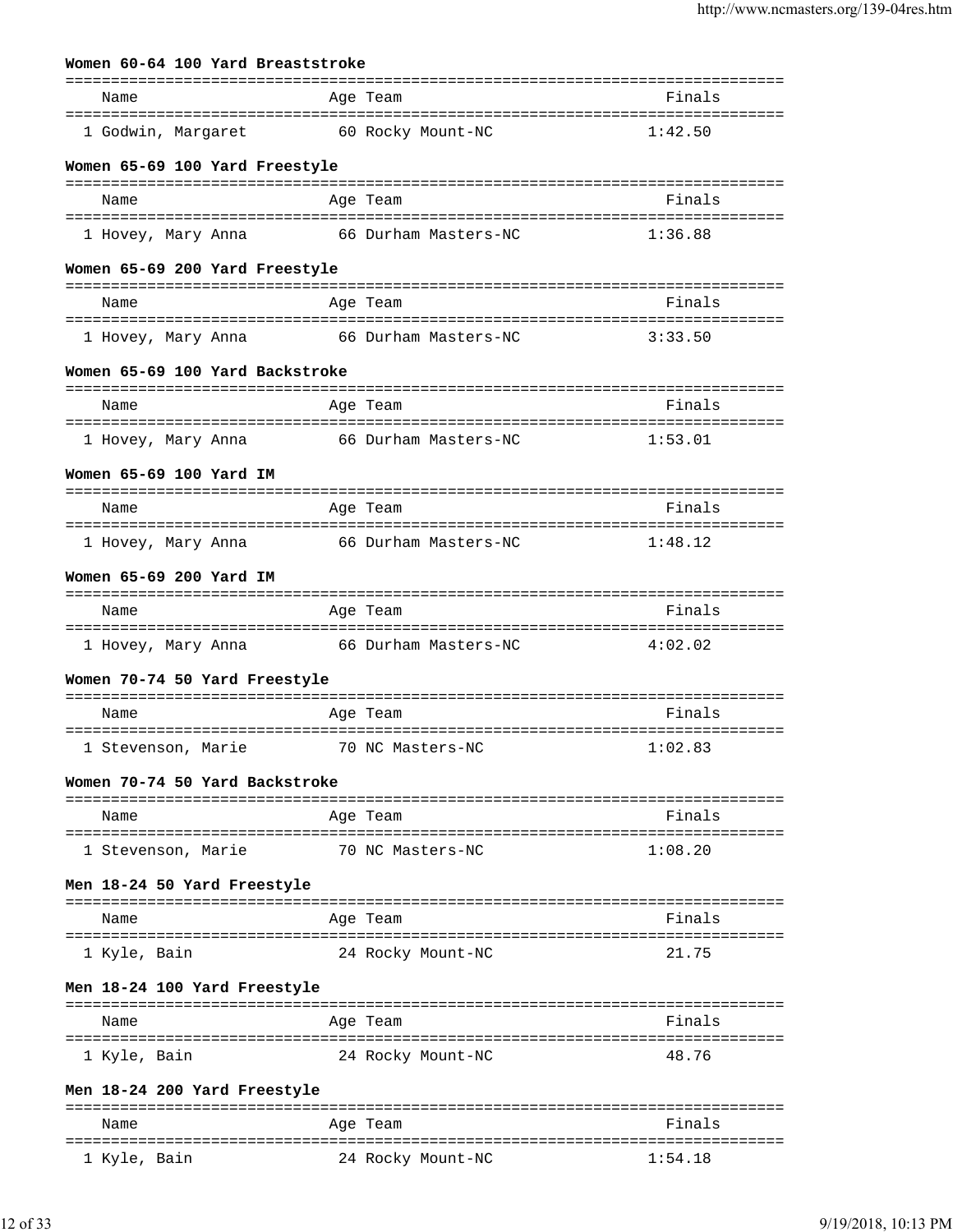|                              |  | Women 60-64 100 Yard Breaststroke |                                                        |                                |
|------------------------------|--|-----------------------------------|--------------------------------------------------------|--------------------------------|
| Name                         |  |                                   | Age Team                                               | Finals                         |
| 1 Godwin, Margaret           |  |                                   | 60 Rocky Mount-NC                                      | 1:42.50                        |
|                              |  | Women 65-69 100 Yard Freestyle    |                                                        |                                |
| Name                         |  |                                   | Age Team                                               | Finals                         |
| 1 Hovey, Mary Anna           |  |                                   | 66 Durham Masters-NC                                   | 1:36.88                        |
|                              |  | Women 65-69 200 Yard Freestyle    |                                                        |                                |
| Name                         |  |                                   | Age Team                                               | Finals                         |
| l Hovey, Mary Anna           |  |                                   | 66 Durham Masters-NC                                   | 3:33.50                        |
|                              |  | Women 65-69 100 Yard Backstroke   |                                                        |                                |
| Name                         |  |                                   | Age Team                                               | Finals                         |
|                              |  |                                   |                                                        |                                |
| 1 Hovey, Mary Anna           |  |                                   | 66 Durham Masters-NC                                   | 1:53.01                        |
| Women 65-69 100 Yard IM      |  |                                   |                                                        |                                |
| Name                         |  |                                   | Age Team                                               | Finals                         |
| 1 Hovey, Mary Anna           |  |                                   | 66 Durham Masters-NC                                   | 1:48.12                        |
| Women 65-69 200 Yard IM      |  |                                   |                                                        |                                |
| Name                         |  |                                   | Age Team                                               | Finals                         |
| 1 Hovey, Mary Anna           |  |                                   | 66 Durham Masters-NC                                   | 4:02.02                        |
|                              |  | Women 70-74 50 Yard Freestyle     |                                                        |                                |
| Name                         |  |                                   | Age Team                                               | Finals                         |
| 1 Stevenson, Marie           |  |                                   | 70 NC Masters-NC                                       | 1:02.83                        |
|                              |  | Women 70-74 50 Yard Backstroke    |                                                        |                                |
| Name                         |  |                                   | Age Team                                               | Finals                         |
| 1 Stevenson, Marie           |  |                                   | 70 NC Masters-NC                                       | 1:08.20                        |
|                              |  | Men 18-24 50 Yard Freestyle       |                                                        |                                |
|                              |  |                                   |                                                        |                                |
| Name<br>==================== |  |                                   | Age Team                                               | Finals                         |
| 1 Kyle, Bain                 |  |                                   | 24 Rocky Mount-NC                                      | 21.75                          |
|                              |  | Men 18-24 100 Yard Freestyle      |                                                        |                                |
| Name                         |  |                                   | Age Team                                               | Finals                         |
| 1 Kyle, Bain                 |  |                                   | 24 Rocky Mount-NC                                      | 48.76                          |
|                              |  | Men 18-24 200 Yard Freestyle      |                                                        |                                |
| Name                         |  |                                   | Age Team                                               | Finals                         |
| 1 Kyle, Bain                 |  |                                   | =================================<br>24 Rocky Mount-NC | :==================<br>1:54.18 |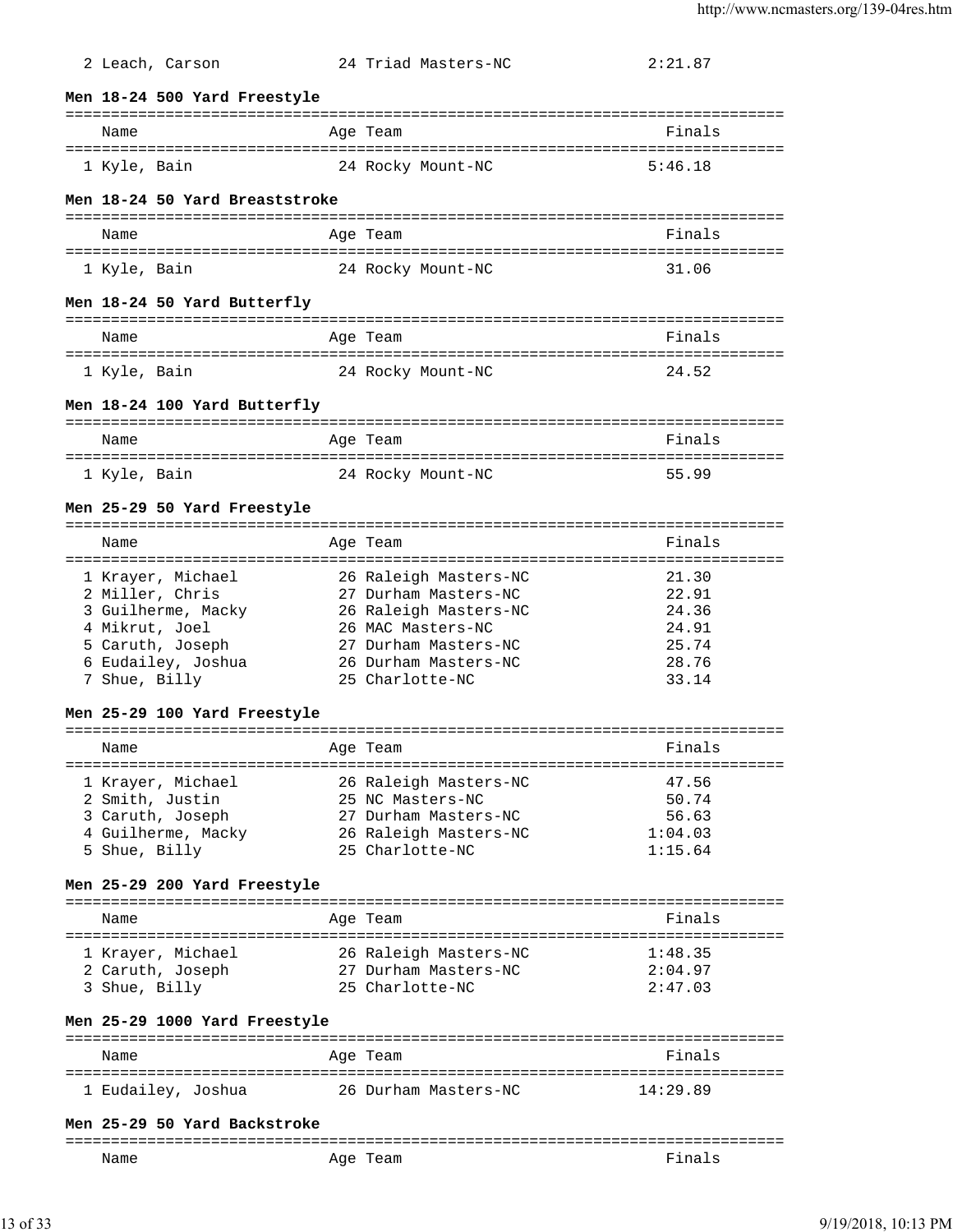| 2 Leach, Carson                       |          | 24 Triad Masters-NC   | 2:21.87                        |
|---------------------------------------|----------|-----------------------|--------------------------------|
| Men 18-24 500 Yard Freestyle          |          |                       |                                |
| Name                                  |          |                       | ============================== |
|                                       |          | Age Team              | Finals                         |
| 1 Kyle, Bain                          |          | 24 Rocky Mount-NC     | 5:46.18                        |
| Men 18-24 50 Yard Breaststroke        |          |                       |                                |
| Name                                  |          | Age Team              | Finals                         |
| 1 Kyle, Bain                          |          | 24 Rocky Mount-NC     | 31.06                          |
| Men 18-24 50 Yard Butterfly           |          |                       |                                |
| Name                                  |          | Age Team              | Finals                         |
| 1 Kyle, Bain                          |          | 24 Rocky Mount-NC     | 24.52                          |
| Men 18-24 100 Yard Butterfly          |          |                       |                                |
| Name                                  |          | Age Team              | Finals                         |
| 1 Kyle, Bain                          |          | 24 Rocky Mount-NC     | 55.99                          |
| Men 25-29 50 Yard Freestyle           |          |                       |                                |
| Name                                  |          | Age Team              | Finals                         |
|                                       |          |                       | ========================       |
| 1 Krayer, Michael                     |          | 26 Raleigh Masters-NC | 21.30                          |
| 2 Miller, Chris                       |          | 27 Durham Masters-NC  | 22.91                          |
| 3 Guilherme, Macky                    |          | 26 Raleigh Masters-NC | 24.36                          |
| 4 Mikrut, Joel                        |          | 26 MAC Masters-NC     | 24.91                          |
| 5 Caruth, Joseph                      |          | 27 Durham Masters-NC  | 25.74                          |
| 6 Eudailey, Joshua                    |          | 26 Durham Masters-NC  | 28.76                          |
| 7 Shue, Billy                         |          | 25 Charlotte-NC       | 33.14                          |
| Men 25-29 100 Yard Freestyle          |          |                       |                                |
| Name                                  | Age Team |                       | Finals                         |
|                                       |          |                       |                                |
| 1 Krayer, Michael                     |          | 26 Raleigh Masters-NC | 47.56                          |
| 2 Smith, Justin                       |          | 25 NC Masters-NC      | 50.74                          |
| 3 Caruth, Joseph                      |          | 27 Durham Masters-NC  | 56.63                          |
| 4 Guilherme, Macky                    |          | 26 Raleigh Masters-NC | 1:04.03                        |
| 5 Shue, Billy                         |          | 25 Charlotte-NC       | 1:15.64                        |
| Men 25-29 200 Yard Freestyle          |          |                       |                                |
| Name                                  |          | Age Team              | Finals                         |
| 1 Krayer, Michael                     |          | 26 Raleigh Masters-NC | 1:48.35                        |
| 2 Caruth, Joseph 27 Durham Masters-NC |          |                       | 2:04.97                        |
| 3 Shue, Billy                         |          | 25 Charlotte-NC       | 2:47.03                        |
| Men 25-29 1000 Yard Freestyle         |          |                       |                                |
|                                       |          |                       |                                |
| Name                                  |          | Age Team              | Finals                         |
|                                       |          |                       | 14:29.89                       |
| Men 25-29 50 Yard Backstroke          |          |                       |                                |
| Name                                  |          | Age Team              | Finals                         |

13 of 33 9/19/2018, 10:13 PM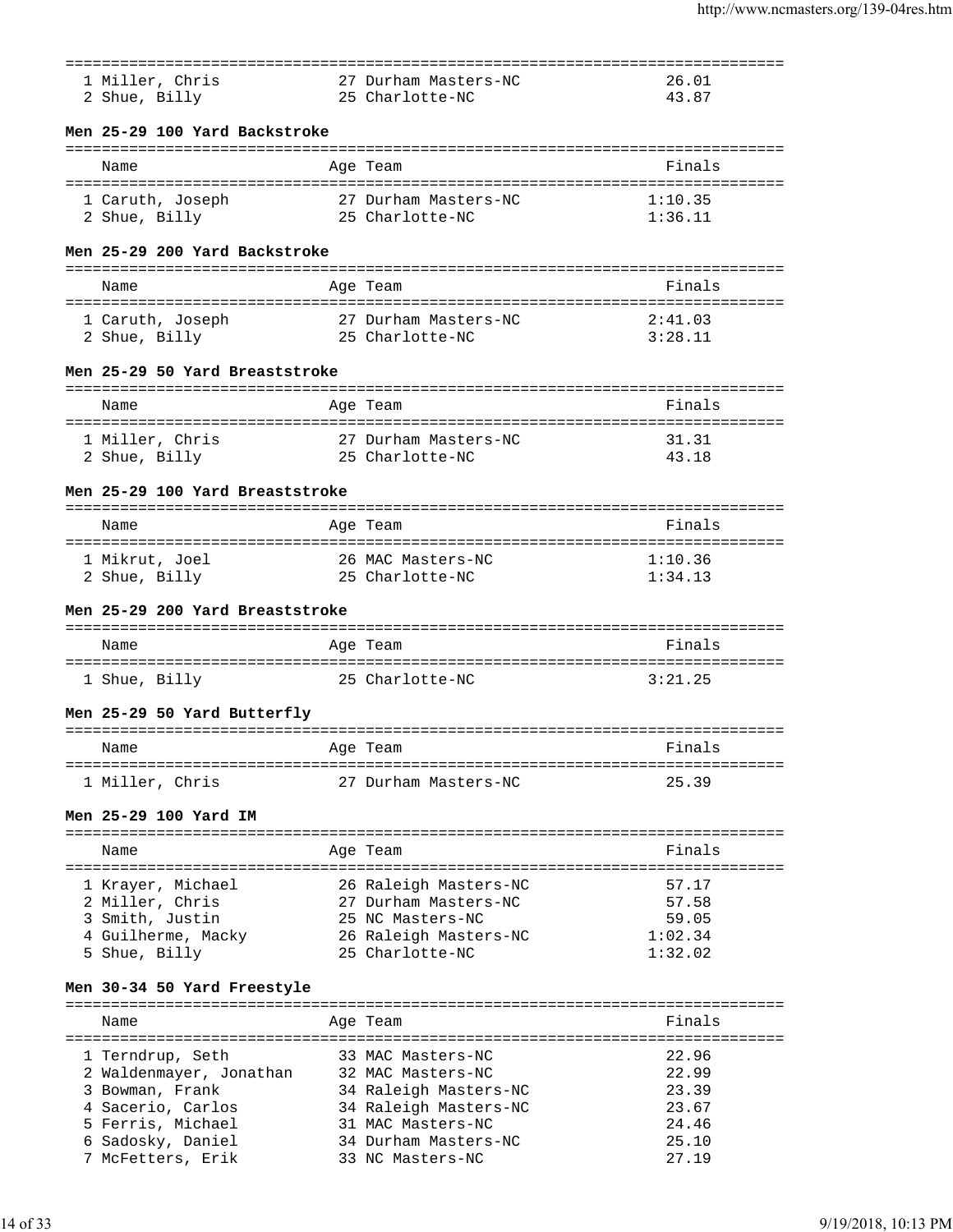| 1 Miller, Chris                    | 27 Durham Masters-NC  | 26.01   |
|------------------------------------|-----------------------|---------|
|                                    |                       |         |
| 2 Shue, Billy                      | 25 Charlotte-NC       | 43.87   |
|                                    |                       |         |
| Men 25-29 100 Yard Backstroke      |                       |         |
|                                    |                       |         |
| Name                               | Age Team              | Finals  |
|                                    |                       |         |
| 1 Caruth, Joseph                   | 27 Durham Masters-NC  | 1:10.35 |
| 2 Shue, Billy                      | 25 Charlotte-NC       | 1:36.11 |
|                                    |                       |         |
| Men 25-29 200 Yard Backstroke      |                       |         |
|                                    |                       |         |
| Name                               | Age Team              | Finals  |
|                                    |                       |         |
| 1 Caruth, Joseph                   | 27 Durham Masters-NC  | 2:41.03 |
| 2 Shue, Billy                      | 25 Charlotte-NC       | 3:28.11 |
|                                    |                       |         |
| Men 25-29 50 Yard Breaststroke     |                       |         |
|                                    |                       |         |
| Name                               | Age Team              | Finals  |
|                                    |                       |         |
| 1 Miller, Chris                    | 27 Durham Masters-NC  | 31.31   |
| 2 Shue, Billy                      | 25 Charlotte-NC       | 43.18   |
|                                    |                       |         |
| Men 25-29 100 Yard Breaststroke    |                       |         |
|                                    |                       |         |
| Name                               | Aqe Team              | Finals  |
| ---------------------------------- |                       |         |
| 1 Mikrut, Joel                     | 26 MAC Masters-NC     | 1:10.36 |
| 2 Shue, Billy                      | 25 Charlotte-NC       | 1:34.13 |
|                                    |                       |         |
| Men 25-29 200 Yard Breaststroke    |                       |         |
|                                    |                       |         |
| Name                               | Age Team              | Finals  |
|                                    |                       |         |
| 1 Shue, Billy                      | 25 Charlotte-NC       | 3:21.25 |
|                                    |                       |         |
| Men 25-29 50 Yard Butterfly        |                       |         |
|                                    |                       |         |
| Name                               | Age Team              | Finals  |
|                                    |                       |         |
| 1 Miller, Chris                    | 27 Durham Masters-NC  | 25.39   |
|                                    |                       |         |
| Men 25-29 100 Yard IM              |                       |         |
|                                    |                       |         |
| Name                               | Age Team              | Finals  |
|                                    |                       |         |
| 1 Krayer, Michael                  | 26 Raleigh Masters-NC | 57.17   |
| 2 Miller, Chris                    | 27 Durham Masters-NC  | 57.58   |
| 3 Smith, Justin                    | 25 NC Masters-NC      | 59.05   |
| 4 Guilherme, Macky                 | 26 Raleigh Masters-NC | 1:02.34 |
| 5 Shue, Billy                      | 25 Charlotte-NC       | 1:32.02 |
|                                    |                       |         |
| Men 30-34 50 Yard Freestyle        |                       |         |
|                                    |                       |         |
| Name                               | Age Team              | Finals  |
|                                    |                       |         |
| 1 Terndrup, Seth                   | 33 MAC Masters-NC     | 22.96   |
| 2 Waldenmayer, Jonathan            | 32 MAC Masters-NC     | 22.99   |
| 3 Bowman, Frank                    | 34 Raleigh Masters-NC | 23.39   |
| 4 Sacerio, Carlos                  | 34 Raleigh Masters-NC | 23.67   |
| 5 Ferris, Michael                  | 31 MAC Masters-NC     | 24.46   |
| 6 Sadosky, Daniel                  | 34 Durham Masters-NC  | 25.10   |
| 7 McFetters, Erik                  | 33 NC Masters-NC      | 27.19   |
|                                    |                       |         |
|                                    |                       |         |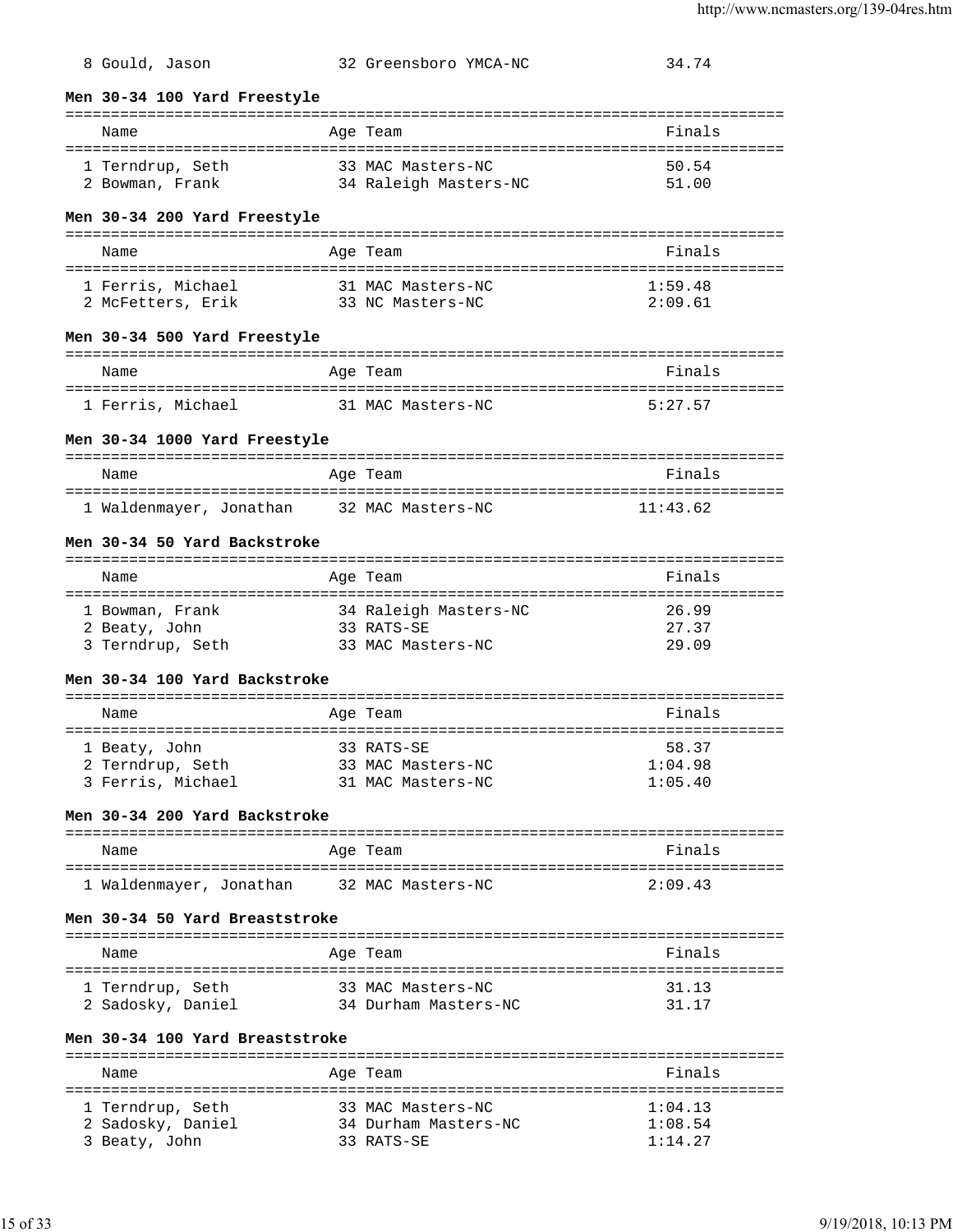**Men 30-34 100 Yard Freestyle** =============================================================================== Name **Age Team** Age Team **Finals** =============================================================================== 1 Terndrup, Seth 33 MAC Masters-NC 50.54 2 Bowman, Frank 34 Raleigh Masters-NC 51.00 **Men 30-34 200 Yard Freestyle** =============================================================================== Name **Age Team Age Team Age Team Rimals** =============================================================================== 1 Ferris, Michael 31 MAC Masters-NC 1:59.48 2 McFetters, Erik 33 NC Masters-NC 2:09.61 **Men 30-34 500 Yard Freestyle** =============================================================================== Name Age Team =============================================================================== 1 Ferris, Michael 31 MAC Masters-NC 5:27.57 **Men 30-34 1000 Yard Freestyle** =============================================================================== Name **Age Team** Age Team **Finals** =============================================================================== 1 Waldenmayer, Jonathan 32 MAC Masters-NC 11:43.62 **Men 30-34 50 Yard Backstroke** =============================================================================== Name Age Team Finals =============================================================================== 1 Bowman, Frank 34 Raleigh Masters-NC 26.99 2 Beaty, John 33 RATS-SE 27.37 3 Terndrup, Seth 33 MAC Masters-NC 29.09 **Men 30-34 100 Yard Backstroke** =============================================================================== Name **Age Team Age Team Age Team Age Team Pinals** =============================================================================== 1 Beaty, John 33 RATS-SE 58.37 2 Terndrup, Seth 33 MAC Masters-NC 1:04.98 3 Ferris, Michael 31 MAC Masters-NC 1:05.40 **Men 30-34 200 Yard Backstroke** =============================================================================== Name **Age Team** Age Team **Finals** =============================================================================== 1 Waldenmayer, Jonathan 32 MAC Masters-NC 2:09.43 **Men 30-34 50 Yard Breaststroke** =============================================================================== Name **Age Team** Age Team **Finals** =============================================================================== 1 Terndrup, Seth 33 MAC Masters-NC 31.13 2 Sadosky, Daniel 34 Durham Masters-NC 31.17 **Men 30-34 100 Yard Breaststroke** =============================================================================== Age Team **Finals** ===============================================================================

8 Gould, Jason 32 Greensboro YMCA-NC 34.74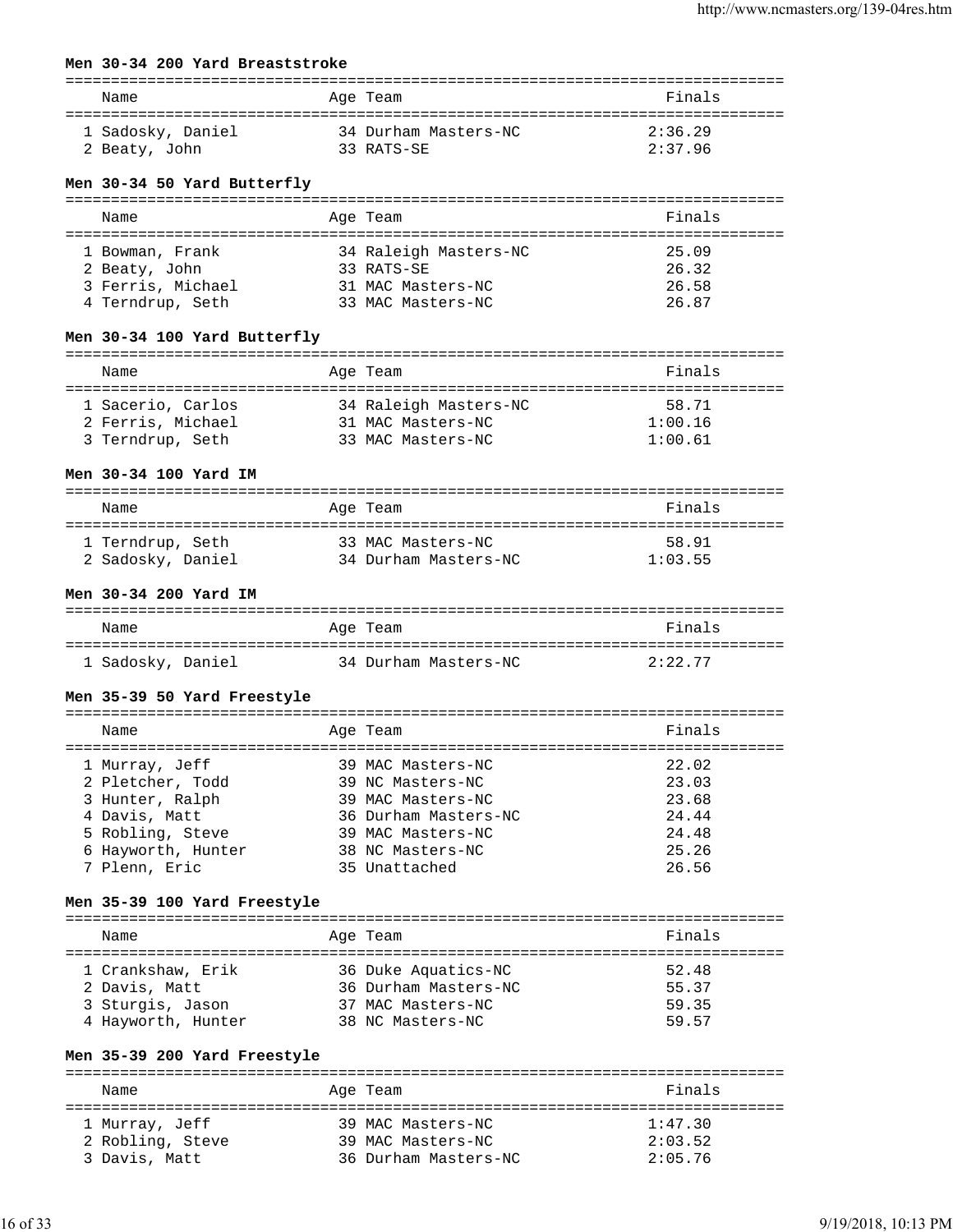### **Men 30-34 200 Yard Breaststroke**

| Name              | Age Team             | Finals  |
|-------------------|----------------------|---------|
| 1 Sadosky, Daniel | 34 Durham Masters-NC | 2:36.29 |
| 2 Beaty, John     | 33 RATS-SE           | 2:37.96 |

### **Men 30-34 50 Yard Butterfly**

| Name              | Age Team              | Finals |
|-------------------|-----------------------|--------|
| 1 Bowman, Frank   | 34 Raleigh Masters-NC | 25.09  |
| 2 Beaty, John     | 33 RATS-SE            | 26.32  |
| 3 Ferris, Michael | 31 MAC Masters-NC     | 26.58  |
| 4 Terndrup, Seth  | 33 MAC Masters-NC     | 26.87  |

### **Men 30-34 100 Yard Butterfly**

| Name              | Age Team              | Finals  |
|-------------------|-----------------------|---------|
| 1 Sacerio, Carlos | 34 Raleigh Masters-NC | 58.71   |
| 2 Ferris, Michael | 31 MAC Masters-NC     | 1:00.16 |
| 3 Terndrup, Seth  | 33 MAC Masters-NC     | 1:00.61 |

### **Men 30-34 100 Yard IM**

| Name              | Age Team             | Finals  |
|-------------------|----------------------|---------|
| 1 Terndrup, Seth  | 33 MAC Masters-NC    | 58.91   |
| 2 Sadosky, Daniel | 34 Durham Masters-NC | 1:03.55 |

# **Men 30-34 200 Yard IM**

| Name              | Age Team             | Finals  |
|-------------------|----------------------|---------|
| 1 Sadosky, Daniel | 34 Durham Masters-NC | 2:22.77 |

#### **Men 35-39 50 Yard Freestyle**

| Name               | Age Team             | Finals |
|--------------------|----------------------|--------|
| 1 Murray, Jeff     | 39 MAC Masters-NC    | 22.02  |
| 2 Pletcher, Todd   | 39 NC Masters-NC     | 23.03  |
| 3 Hunter, Ralph    | 39 MAC Masters-NC    | 23.68  |
| 4 Davis, Matt      | 36 Durham Masters-NC | 24.44  |
| 5 Robling, Steve   | 39 MAC Masters-NC    | 24.48  |
| 6 Hayworth, Hunter | 38 NC Masters-NC     | 25.26  |
| 7 Plenn, Eric      | 35 Unattached        | 26.56  |

### **Men 35-39 100 Yard Freestyle**

| Name |                                                                              | Age Team                                                                             | Finals                           |
|------|------------------------------------------------------------------------------|--------------------------------------------------------------------------------------|----------------------------------|
|      | 1 Crankshaw, Erik<br>2 Davis, Matt<br>3 Sturgis, Jason<br>4 Hayworth, Hunter | 36 Duke Aquatics-NC<br>36 Durham Masters-NC<br>37 MAC Masters-NC<br>38 NC Masters-NC | 52.48<br>55.37<br>59.35<br>59.57 |

### **Men 35-39 200 Yard Freestyle**

| Name                              | Age Team                                  | Finals             |
|-----------------------------------|-------------------------------------------|--------------------|
| 1 Murray, Jeff                    | 39 MAC Masters-NC                         | 1:47.30            |
| 2 Robling, Steve<br>3 Davis, Matt | 39 MAC Masters-NC<br>36 Durham Masters-NC | 2:03.52<br>2:05.76 |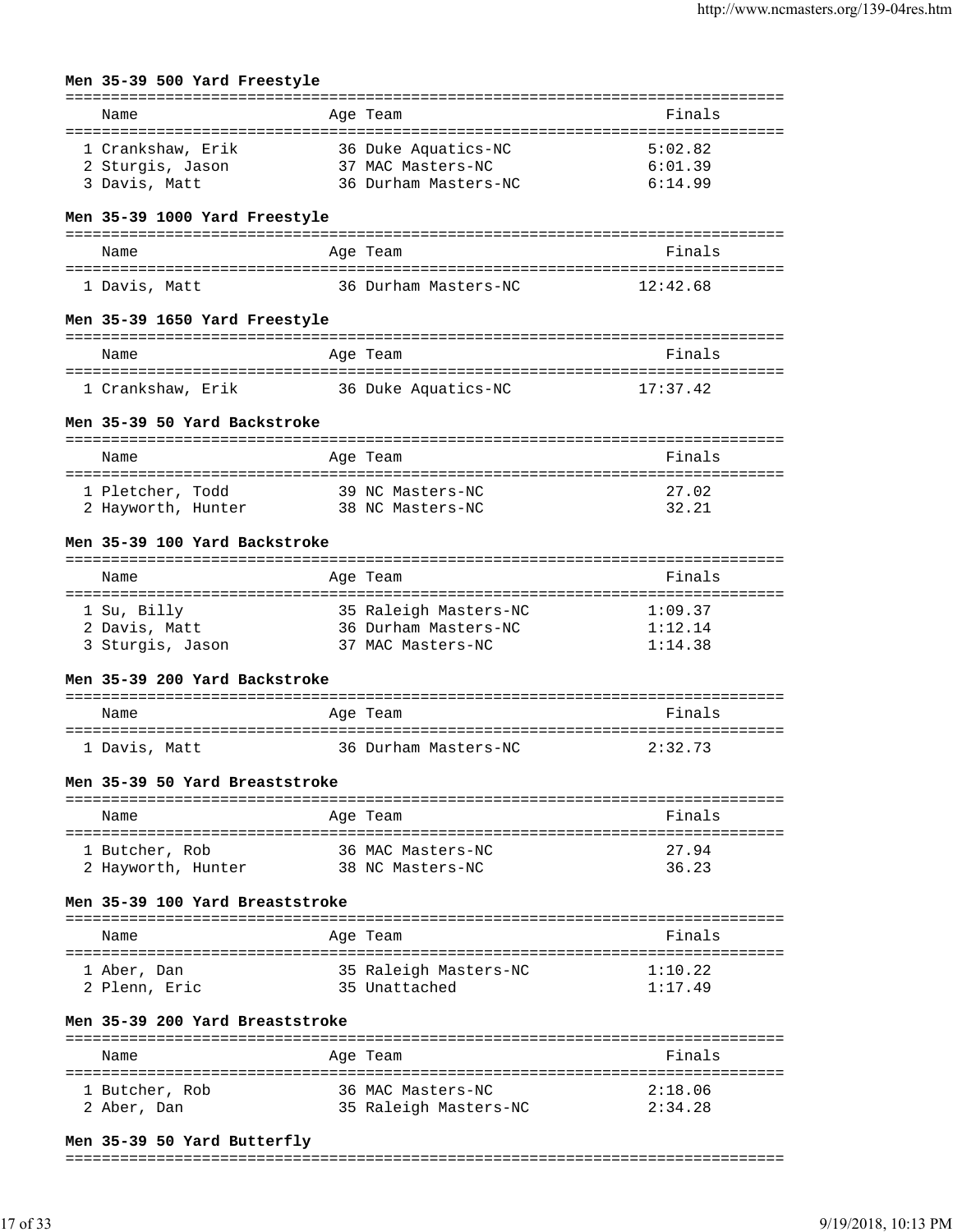| Men 35-39 500 Yard Freestyle                                            |                 |                                                                                                            |                                          |
|-------------------------------------------------------------------------|-----------------|------------------------------------------------------------------------------------------------------------|------------------------------------------|
| Name<br>======================================                          |                 | Age Team                                                                                                   | ================<br>Finals<br>========== |
| 1 Crankshaw, Erik<br>2 Sturgis, Jason<br>3 Davis, Matt                  |                 | =================================<br>36 Duke Aquatics-NC<br>37 MAC Masters-NC<br>36 Durham Masters-NC      | 5:02.82<br>6:01.39<br>6:14.99            |
| Men 35-39 1000 Yard Freestyle                                           |                 |                                                                                                            |                                          |
| Name                                                                    |                 | Age Team                                                                                                   | Finals                                   |
| 1 Davis, Matt                                                           |                 | 36 Durham Masters-NC                                                                                       | 12:42.68                                 |
| Men 35-39 1650 Yard Freestyle                                           |                 |                                                                                                            |                                          |
| Name                                                                    |                 | :===========<br>Age Team                                                                                   | Finals                                   |
| 1 Crankshaw, Erik                                                       |                 | 36 Duke Aquatics-NC                                                                                        | 17:37.42                                 |
| Men 35-39 50 Yard Backstroke                                            |                 |                                                                                                            |                                          |
| Name                                                                    |                 | Age Team                                                                                                   | Finals                                   |
| 1 Pletcher, Todd<br>2 Hayworth, Hunter                                  |                 | 39 NC Masters-NC<br>38 NC Masters-NC                                                                       | 27.02<br>32.21                           |
| Men 35-39 100 Yard Backstroke                                           |                 |                                                                                                            |                                          |
| Name                                                                    |                 | Age Team                                                                                                   | Finals                                   |
| ===================<br>1 Su, Billy<br>2 Davis, Matt<br>3 Sturgis, Jason |                 | :===================================<br>35 Raleigh Masters-NC<br>36 Durham Masters-NC<br>37 MAC Masters-NC | 1:09.37<br>1:12.14<br>1:14.38            |
| Men 35-39 200 Yard Backstroke                                           |                 |                                                                                                            |                                          |
| Name                                                                    |                 | Age Team                                                                                                   | Finals                                   |
| 1 Davis, Matt                                                           |                 | 36 Durham Masters-NC                                                                                       | 2:32.73                                  |
| Men 35-39 50 Yard Breaststroke                                          |                 |                                                                                                            |                                          |
| Name                                                                    |                 | Age Team                                                                                                   | Finals                                   |
| 1 Butcher, Rob<br>2 Hayworth, Hunter                                    |                 | 36 MAC Masters-NC<br>38 NC Masters-NC                                                                      | 27.94<br>36.23                           |
| Men 35-39 100 Yard Breaststroke                                         |                 |                                                                                                            |                                          |
| Name                                                                    |                 | Age Team                                                                                                   | Finals                                   |
| 1 Aber, Dan<br>2 Plenn, Eric                                            |                 | 35 Raleigh Masters-NC<br>35 Unattached                                                                     | 1:10.22<br>1:17.49                       |
| Men 35-39 200 Yard Breaststroke                                         |                 |                                                                                                            |                                          |
| Name<br>======================                                          | =============== | Age Team                                                                                                   | Finals                                   |
| 1 Butcher, Rob<br>2 Aber, Dan                                           |                 | 36 MAC Masters-NC<br>35 Raleigh Masters-NC                                                                 | 2:18.06<br>2:34.28                       |

### **Men 35-39 50 Yard Butterfly**

# ===============================================================================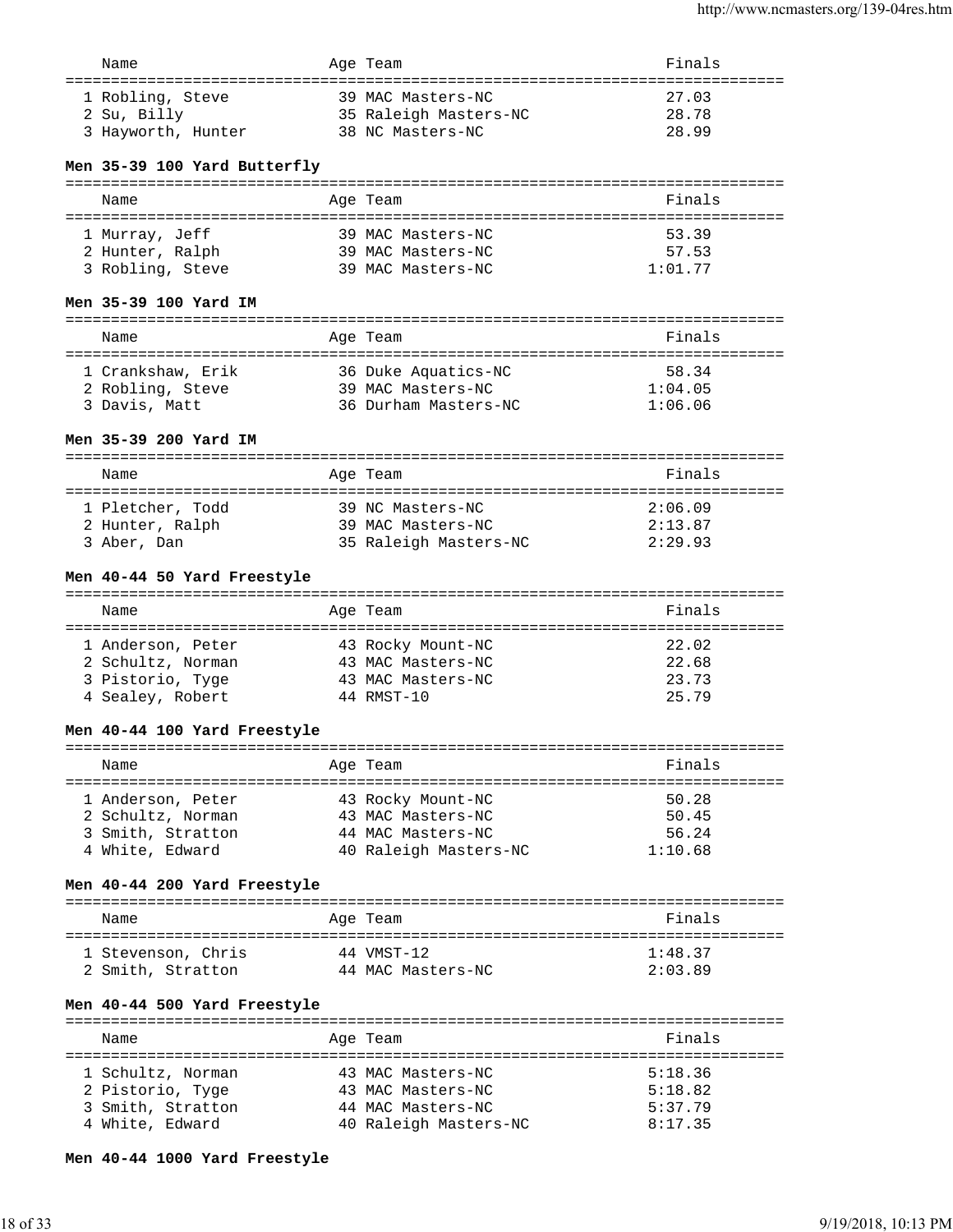| Name               | Age Team              | Finals |
|--------------------|-----------------------|--------|
| 1 Robling, Steve   | 39 MAC Masters-NC     | 27.03  |
| 2 Su, Billy        | 35 Raleigh Masters-NC | 28.78  |
| 3 Hayworth, Hunter | 38 NC Masters-NC      | 28.99  |

# **Men 35-39 100 Yard Butterfly**

| Name             | Age Team          | Finals  |
|------------------|-------------------|---------|
| 1 Murray, Jeff   | 39 MAC Masters-NC | 53.39   |
| 2 Hunter, Ralph  | 39 MAC Masters-NC | 57.53   |
| 3 Robling, Steve | 39 MAC Masters-NC | 1:01.77 |

# **Men 35-39 100 Yard IM**

| Name              | Age Team             | Finals  |  |  |
|-------------------|----------------------|---------|--|--|
|                   |                      |         |  |  |
| 1 Crankshaw, Erik | 36 Duke Aquatics-NC  | 58.34   |  |  |
| 2 Robling, Steve  | 39 MAC Masters-NC    | 1:04.05 |  |  |
| 3 Davis, Matt     | 36 Durham Masters-NC | 1:06.06 |  |  |
|                   |                      |         |  |  |

# **Men 35-39 200 Yard IM**

| Name             | Age Team              | Finals  |  |  |  |
|------------------|-----------------------|---------|--|--|--|
|                  |                       |         |  |  |  |
| 1 Pletcher, Todd | 39 NC Masters-NC      | 2:06.09 |  |  |  |
| 2 Hunter, Ralph  | 39 MAC Masters-NC     | 2:13.87 |  |  |  |
| 3 Aber, Dan      | 35 Raleigh Masters-NC | 2:29.93 |  |  |  |

# **Men 40-44 50 Yard Freestyle**

| Name              | Age Team          | Finals |
|-------------------|-------------------|--------|
| 1 Anderson, Peter | 43 Rocky Mount-NC | 22.02  |
| 2 Schultz, Norman | 43 MAC Masters-NC | 22.68  |
| 3 Pistorio, Tyge  | 43 MAC Masters-NC | 23.73  |
| 4 Sealey, Robert  | 44 RMST-10        | 25.79  |

# **Men 40-44 100 Yard Freestyle**

| Name              | Age Team              | Finals  |
|-------------------|-----------------------|---------|
| 1 Anderson, Peter | 43 Rocky Mount-NC     | 50.28   |
| 2 Schultz, Norman | 43 MAC Masters-NC     | 50.45   |
| 3 Smith, Stratton | 44 MAC Masters-NC     | 56.24   |
| 4 White, Edward   | 40 Raleigh Masters-NC | 1:10.68 |

# **Men 40-44 200 Yard Freestyle**

| Name               | Age Team          | Finals  |
|--------------------|-------------------|---------|
| 1 Stevenson, Chris | 44 VMST-12        | 1:48.37 |
| 2 Smith, Stratton  | 44 MAC Masters-NC | 2:03.89 |

# **Men 40-44 500 Yard Freestyle**

| Name              |  | Finals                                                                                           |
|-------------------|--|--------------------------------------------------------------------------------------------------|
|                   |  |                                                                                                  |
| 1 Schultz, Norman |  | 5:18.36                                                                                          |
| 2 Pistorio, Tyge  |  | 5:18.82                                                                                          |
| 3 Smith, Stratton |  | 5:37.79                                                                                          |
| 4 White, Edward   |  | 8:17.35                                                                                          |
|                   |  | Age Team<br>43 MAC Masters-NC<br>43 MAC Masters-NC<br>44 MAC Masters-NC<br>40 Raleigh Masters-NC |

# **Men 40-44 1000 Yard Freestyle**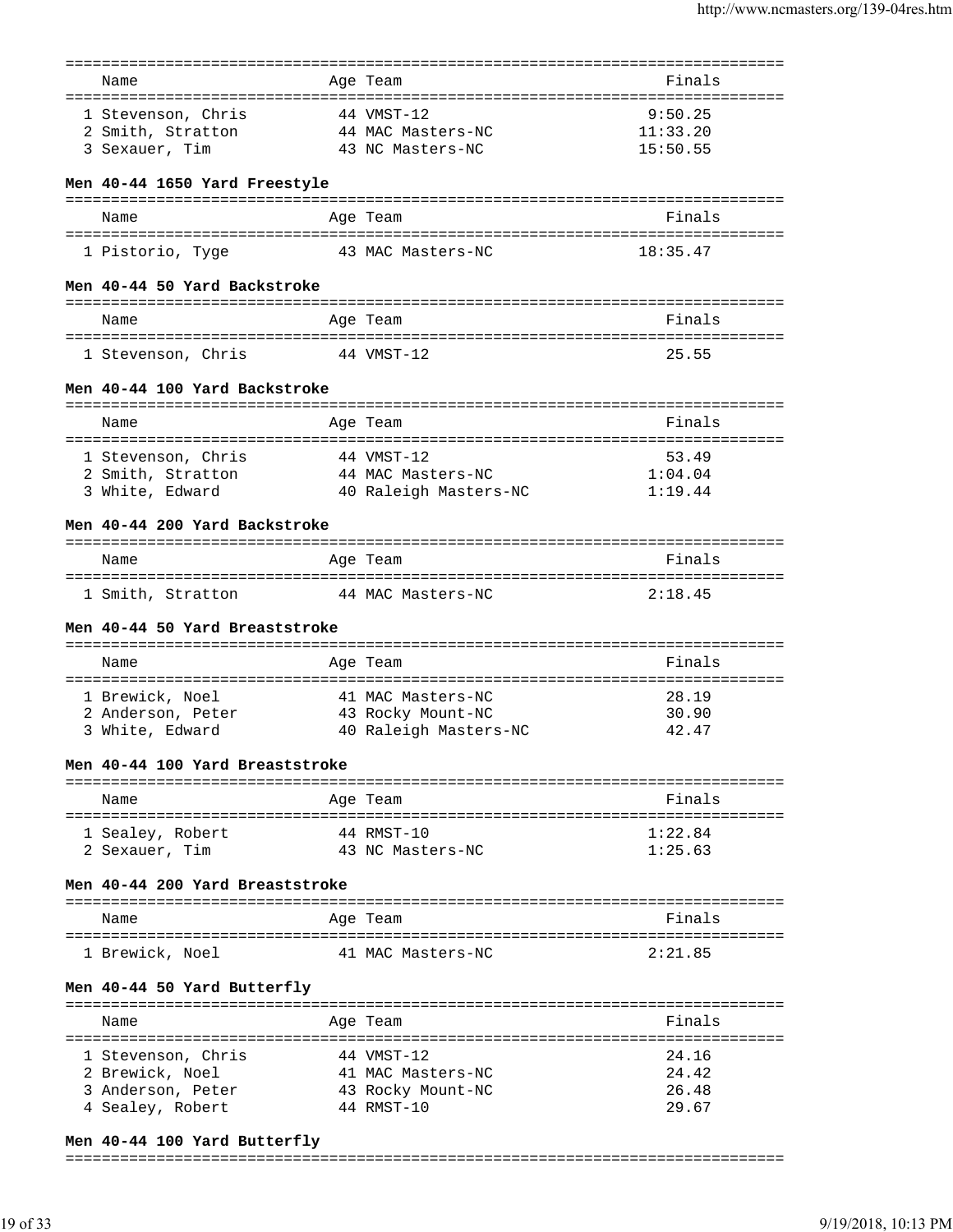| Name                            | Age Team              | Finals   |
|---------------------------------|-----------------------|----------|
|                                 |                       |          |
| 1 Stevenson, Chris              | 44 VMST-12            | 9:50.25  |
| 2 Smith, Stratton               | 44 MAC Masters-NC     | 11:33.20 |
| 3 Sexauer, Tim                  | 43 NC Masters-NC      | 15:50.55 |
|                                 |                       |          |
| Men 40-44 1650 Yard Freestyle   |                       |          |
| Name                            | Age Team              | Finals   |
|                                 |                       |          |
| 1 Pistorio, Tyge                | 43 MAC Masters-NC     | 18:35.47 |
| Men 40-44 50 Yard Backstroke    |                       |          |
| Name                            | Age Team              | Finals   |
|                                 |                       |          |
| 1 Stevenson, Chris              | 44 VMST-12            | 25.55    |
| Men 40-44 100 Yard Backstroke   |                       |          |
|                                 |                       |          |
| Name                            | Age Team              | Finals   |
| 1 Stevenson, Chris              | 44 VMST-12            | 53.49    |
| 2 Smith, Stratton               | 44 MAC Masters-NC     | 1:04.04  |
| 3 White, Edward                 | 40 Raleigh Masters-NC | 1:19.44  |
|                                 |                       |          |
| Men 40-44 200 Yard Backstroke   |                       |          |
| Name                            | Age Team              | Finals   |
|                                 |                       |          |
| 1 Smith, Stratton               | 44 MAC Masters-NC     | 2:18.45  |
| Men 40-44 50 Yard Breaststroke  |                       |          |
| Name                            |                       | Finals   |
|                                 | Age Team              |          |
| 1 Brewick, Noel                 | 41 MAC Masters-NC     | 28.19    |
| 2 Anderson, Peter               | 43 Rocky Mount-NC     | 30.90    |
| 3 White, Edward                 | 40 Raleigh Masters-NC | 42.47    |
|                                 |                       |          |
| Men 40-44 100 Yard Breaststroke |                       |          |
| Name                            | Age Team              | Finals   |
|                                 |                       |          |
| 1 Sealey, Robert                | 44 RMST-10            | 1:22.84  |
| 2 Sexauer, Tim                  | 43 NC Masters-NC      | 1:25.63  |
| Men 40-44 200 Yard Breaststroke |                       |          |
|                                 |                       |          |
| Name                            | Age Team              | Finals   |
| 1 Brewick, Noel                 | 41 MAC Masters-NC     | 2:21.85  |
| Men 40-44 50 Yard Butterfly     |                       |          |
|                                 | ============          |          |
| Name                            | Age Team              | Finals   |
|                                 |                       |          |
| 1 Stevenson, Chris              | 44 VMST-12            | 24.16    |
| 2 Brewick, Noel                 | 41 MAC Masters-NC     | 24.42    |
| 3 Anderson, Peter               | 43 Rocky Mount-NC     | 26.48    |
| 4 Sealey, Robert                | 44 RMST-10            | 29.67    |
|                                 |                       |          |

# **Men 40-44 100 Yard Butterfly**

### ===============================================================================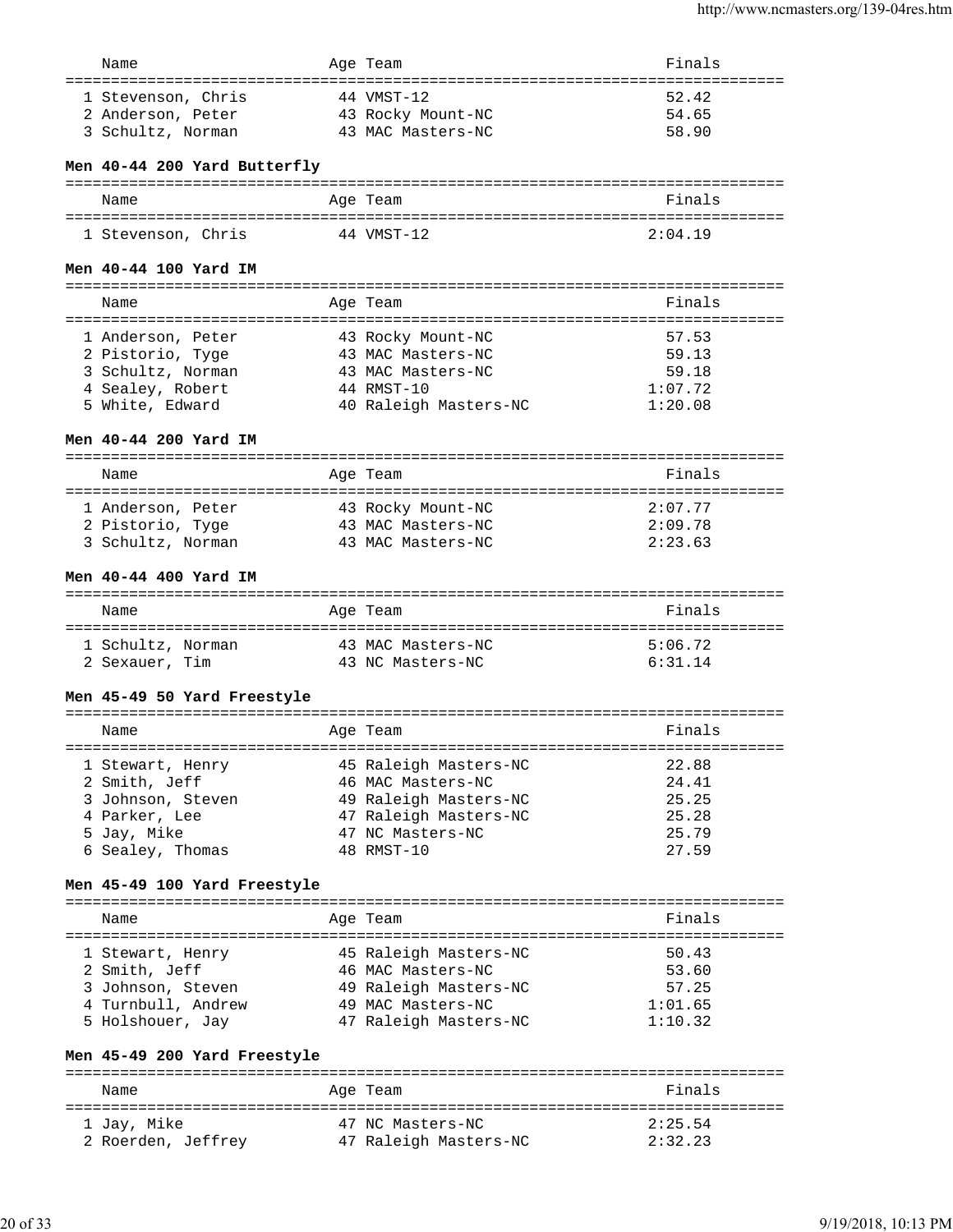| Name                                    | Age Team                        | Finals         |
|-----------------------------------------|---------------------------------|----------------|
| 1 Stevenson, Chris<br>2 Anderson, Peter | 44 VMST-12<br>43 Rocky Mount-NC | 52.42<br>54.65 |
| 3 Schultz, Norman                       | 43 MAC Masters-NC               | 58.90          |

# **Men 40-44 200 Yard Butterfly**

| Name               | Age Team   | Finals  |
|--------------------|------------|---------|
| 1 Stevenson, Chris | 44 VMST-12 | 2:04.19 |

# **Men 40-44 100 Yard IM**

=============================================================================== Name Age Team Finals =============================================================================== 1 Anderson, Peter 43 Rocky Mount-NC 57.53 2 Pistorio, Tyge 43 MAC Masters-NC 59.13 3 Schultz, Norman 43 MAC Masters-NC 59.18 4 Sealey, Robert 44 RMST-10 1:07.72 4 Sealey, Robert 44 RMST-10 <br>5 White, Edward 40 Raleigh Masters-NC 1:20.08

# **Men 40-44 200 Yard IM**

=============================================================================== Name **Age Team** Age Team **Finals** =============================================================================== 1 Anderson, Peter  $43$  Rocky Mount-NC  $2:07.77$ <br>
2 Pistorio, Tyge  $43$  MAC Masters-NC  $2:09.78$ 43 MAC Masters-NC  $2:09.78$ <br>43 MAC Masters-NC  $2:23.63$ 2 Pistorio, Tyge<br>3 Schultz, Norman

# **Men 40-44 400 Yard IM**

| Name              | Age Team          | Finals  |
|-------------------|-------------------|---------|
| 1 Schultz, Norman | 43 MAC Masters-NC | 5:06.72 |
| 2 Sexauer, Tim    | 43 NC Masters-NC  | 6:31.14 |

### **Men 45-49 50 Yard Freestyle**

| Name              | Age Team              | Finals |
|-------------------|-----------------------|--------|
| 1 Stewart, Henry  | 45 Raleigh Masters-NC | 22.88  |
| 2 Smith, Jeff     | 46 MAC Masters-NC     | 24.41  |
| 3 Johnson, Steven | 49 Raleigh Masters-NC | 25.25  |
| 4 Parker, Lee     | 47 Raleigh Masters-NC | 25.28  |
| 5 Jay, Mike       | 47 NC Masters-NC      | 25.79  |
| 6 Sealey, Thomas  | 48 RMST-10            | 27.59  |
|                   |                       |        |

# **Men 45-49 100 Yard Freestyle**

=============================================================================== Name Age Team Finals =============================================================================== 1 Stewart, Henry 45 Raleigh Masters-NC 50.43 2 Smith, Jeff 46 MAC Masters-NC 53.60 3 Johnson, Steven 49 Raleigh Masters-NC 57.25 4 Turnbull, Andrew 49 MAC Masters-NC 1:01.65 5 Holshouer, Jay 47 Raleigh Masters-NC 1:10.32

# **Men 45-49 200 Yard Freestyle**

| Name               | Age Team              | Finals  |
|--------------------|-----------------------|---------|
| 1 Jay, Mike        | 47 NC Masters-NC      | 2:25.54 |
| 2 Roerden, Jeffrey | 47 Raleigh Masters-NC | 2:32.23 |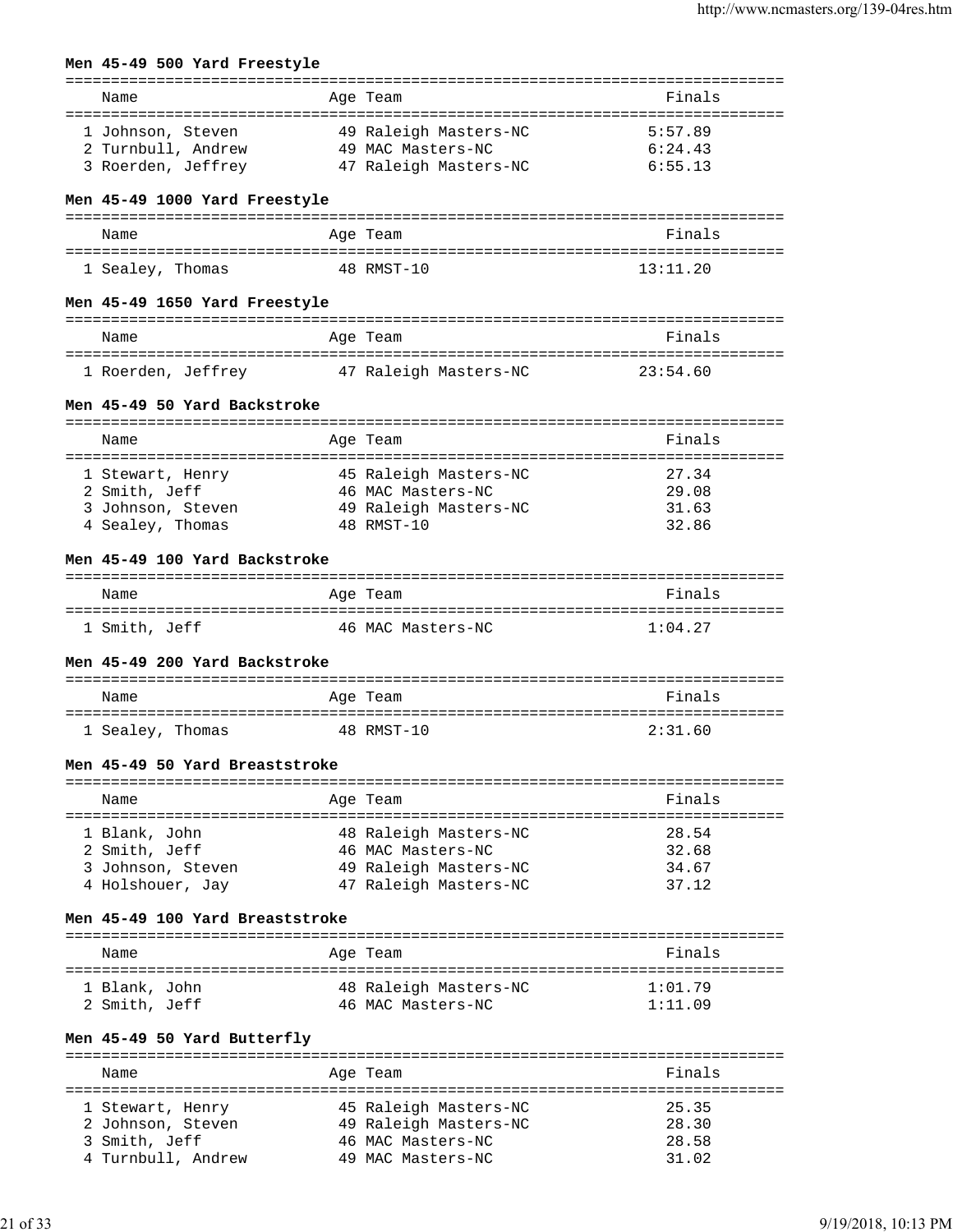# **Men 45-49 500 Yard Freestyle**

| Name                                     | Age Team                                   | Finals                               |
|------------------------------------------|--------------------------------------------|--------------------------------------|
| 1 Johnson, Steven                        | 49 Raleigh Masters-NC                      | 5:57.89                              |
| 2 Turnbull, Andrew                       | 49 MAC Masters-NC                          | 6:24.43                              |
| 3 Roerden, Jeffrey                       | 47 Raleigh Masters-NC                      | 6:55.13                              |
|                                          |                                            |                                      |
| Men 45-49 1000 Yard Freestyle            |                                            |                                      |
|                                          |                                            |                                      |
| Name                                     | Age Team                                   | Finals                               |
| 1 Sealey, Thomas                         | 48 RMST-10                                 | 13:11.20                             |
| Men 45-49 1650 Yard Freestyle            |                                            |                                      |
|                                          | ============                               |                                      |
| Name                                     | Age Team                                   | Finals                               |
|                                          |                                            | 23:54.60                             |
| 1 Roerden, Jeffrey 17 Raleigh Masters-NC |                                            |                                      |
| Men 45-49 50 Yard Backstroke             |                                            |                                      |
| Name                                     | Age Team                                   | Finals                               |
|                                          |                                            |                                      |
| 1 Stewart, Henry                         | 45 Raleigh Masters-NC                      | 27.34                                |
| 2 Smith, Jeff                            | 46 MAC Masters-NC                          | 29.08                                |
| 3 Johnson, Steven                        | 49 Raleigh Masters-NC                      | 31.63                                |
| 4 Sealey, Thomas                         | 48 RMST-10                                 | 32.86                                |
|                                          |                                            |                                      |
| Men 45-49 100 Yard Backstroke            |                                            |                                      |
| Name                                     | Age Team                                   | Finals                               |
| 1 Smith, Jeff                            | 46 MAC Masters-NC                          | 1:04.27                              |
|                                          |                                            |                                      |
| Men 45-49 200 Yard Backstroke            |                                            |                                      |
| Name                                     | Age Team                                   | Finals                               |
|                                          |                                            |                                      |
| 1 Sealey, Thomas                         | 48 RMST-10                                 | 2:31.60                              |
| Men 45-49 50 Yard Breaststroke           |                                            |                                      |
|                                          |                                            |                                      |
| Name                                     | Age Team                                   | Finals                               |
|                                          |                                            |                                      |
| 1 Blank, John<br>2 Smith, Jeff           | 48 Raleigh Masters-NC<br>46 MAC Masters-NC | 28.54<br>32.68                       |
| 3 Johnson, Steven                        | 49 Raleigh Masters-NC                      | 34.67                                |
| 4 Holshouer, Jay                         | 47 Raleigh Masters-NC                      | 37.12                                |
|                                          |                                            |                                      |
| Men 45-49 100 Yard Breaststroke          |                                            |                                      |
| Name                                     | Age Team                                   | Finals                               |
|                                          |                                            |                                      |
| 1 Blank, John                            | 48 Raleigh Masters-NC                      | 1:01.79                              |
| 2 Smith, Jeff                            | 46 MAC Masters-NC                          | 1:11.09                              |
| Men 45-49 50 Yard Butterfly              |                                            |                                      |
|                                          |                                            | ==================================== |
| Name                                     | Age Team                                   | Finals                               |
| 1 Stewart, Henry                         | 45 Raleigh Masters-NC                      | 25.35                                |
| 2 Johnson, Steven                        | 49 Raleigh Masters-NC                      | 28.30                                |
| 3 Smith, Jeff                            | 46 MAC Masters-NC                          | 28.58                                |
| 4 Turnbull, Andrew                       | 49 MAC Masters-NC                          | 31.02                                |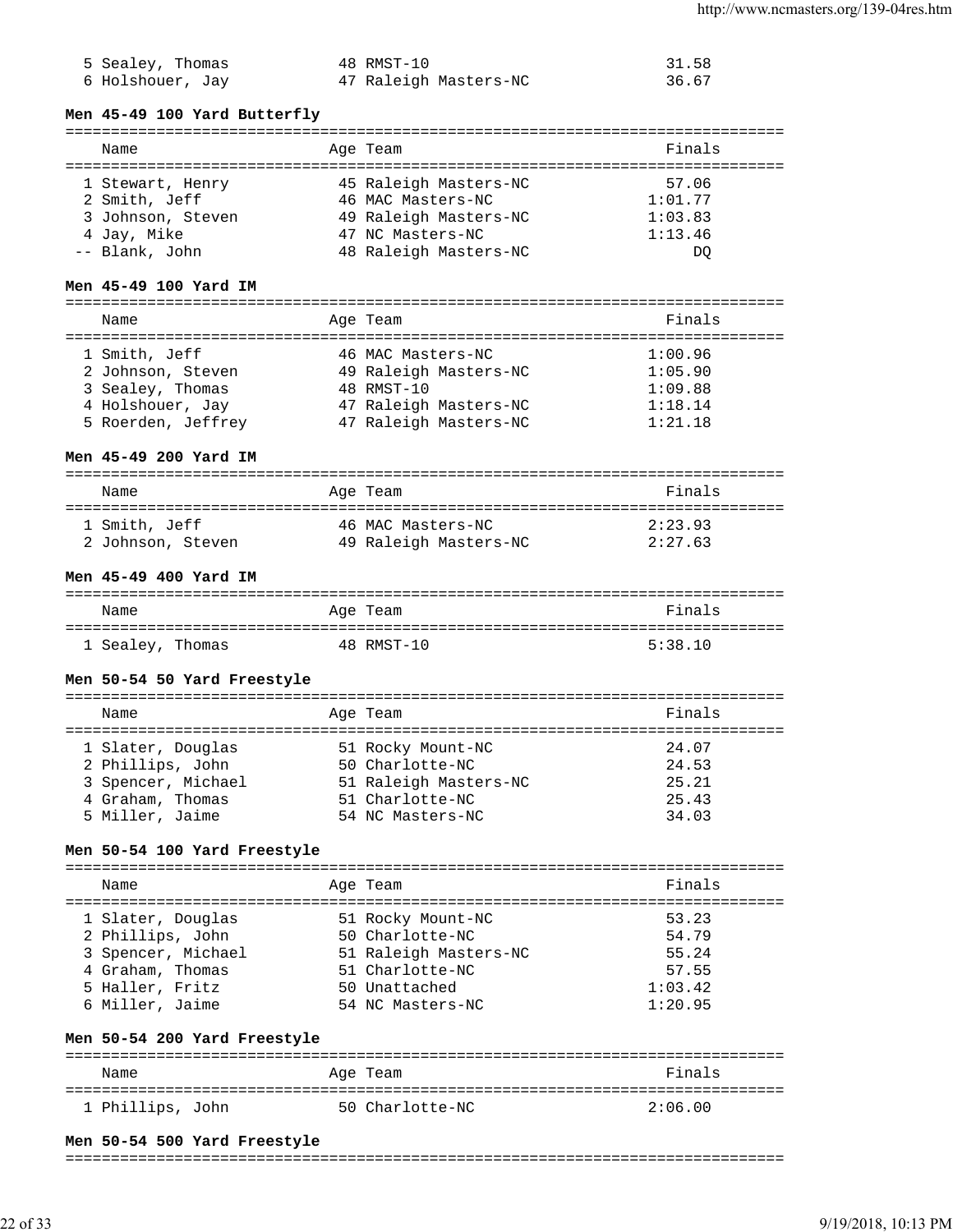| 5 Sealey, Thomas | 48 RMST-10            | 31.58 |
|------------------|-----------------------|-------|
| 6 Holshouer, Jay | 47 Raleigh Masters-NC | 36.67 |

- 
- 47 Raleigh Masters-NC
- 
- 

#### **Men 45-49 100 Yard Butterfly**

# ===============================================================================

| Name              | Age Team              | Finals  |
|-------------------|-----------------------|---------|
| 1 Stewart, Henry  | 45 Raleigh Masters-NC | 57.06   |
| 2 Smith, Jeff     | 46 MAC Masters-NC     | 1:01.77 |
| 3 Johnson, Steven | 49 Raleigh Masters-NC | 1:03.83 |
| 4 Jay, Mike       | 47 NC Masters-NC      | 1:13.46 |
| -- Blank, John    | 48 Raleigh Masters-NC | DO      |

# **Men 45-49 100 Yard IM**

| Name               |  | Age Team              | Finals  |  |  |  |
|--------------------|--|-----------------------|---------|--|--|--|
|                    |  |                       |         |  |  |  |
| 1 Smith, Jeff      |  | 46 MAC Masters-NC     | 1:00.96 |  |  |  |
| 2 Johnson, Steven  |  | 49 Raleigh Masters-NC | 1:05.90 |  |  |  |
| 3 Sealey, Thomas   |  | 48 RMST-10            | 1:09.88 |  |  |  |
| 4 Holshouer, Jay   |  | 47 Raleigh Masters-NC | 1:18.14 |  |  |  |
| 5 Roerden, Jeffrey |  | 47 Raleigh Masters-NC | 1:21.18 |  |  |  |

### **Men 45-49 200 Yard IM**

| Name              | Age Team              | Finals  |
|-------------------|-----------------------|---------|
| 1 Smith, Jeff     | 46 MAC Masters-NC     | 2:23.93 |
| 2 Johnson, Steven | 49 Raleigh Masters-NC | 2:27.63 |

### **Men 45-49 400 Yard IM**

| Name             | Age Team   | Finals  |
|------------------|------------|---------|
| 1 Sealey, Thomas | 48 RMST-10 | 5:38.10 |

### **Men 50-54 50 Yard Freestyle**

| Name               |  | Age Team              | Finals |  |  |
|--------------------|--|-----------------------|--------|--|--|
|                    |  |                       |        |  |  |
| 1 Slater, Douglas  |  | 51 Rocky Mount-NC     | 24.07  |  |  |
| 2 Phillips, John   |  | 50 Charlotte-NC       | 24.53  |  |  |
| 3 Spencer, Michael |  | 51 Raleigh Masters-NC | 25.21  |  |  |
| 4 Graham, Thomas   |  | 51 Charlotte-NC       | 25.43  |  |  |
| 5 Miller, Jaime    |  | 54 NC Masters-NC      | 34.03  |  |  |

#### **Men 50-54 100 Yard Freestyle**

| Name |                                       | Age Team                             | Finals         |
|------|---------------------------------------|--------------------------------------|----------------|
|      | 1 Slater, Douglas<br>2 Phillips, John | 51 Rocky Mount-NC<br>50 Charlotte-NC | 53.23<br>54.79 |
|      | 3 Spencer, Michael                    | 51 Raleigh Masters-NC                | 55.24          |
|      | 4 Graham, Thomas                      | 51 Charlotte-NC                      | 57.55          |
|      | 5 Haller, Fritz                       | 50 Unattached                        | 1:03.42        |
|      | 6 Miller, Jaime                       | 54 NC Masters-NC                     | 1:20.95        |

#### **Men 50-54 200 Yard Freestyle**

| Name             | Age Team        | Finals  |
|------------------|-----------------|---------|
| 1 Phillips, John | 50 Charlotte-NC | 2:06.00 |

#### **Men 50-54 500 Yard Freestyle**

#### ===============================================================================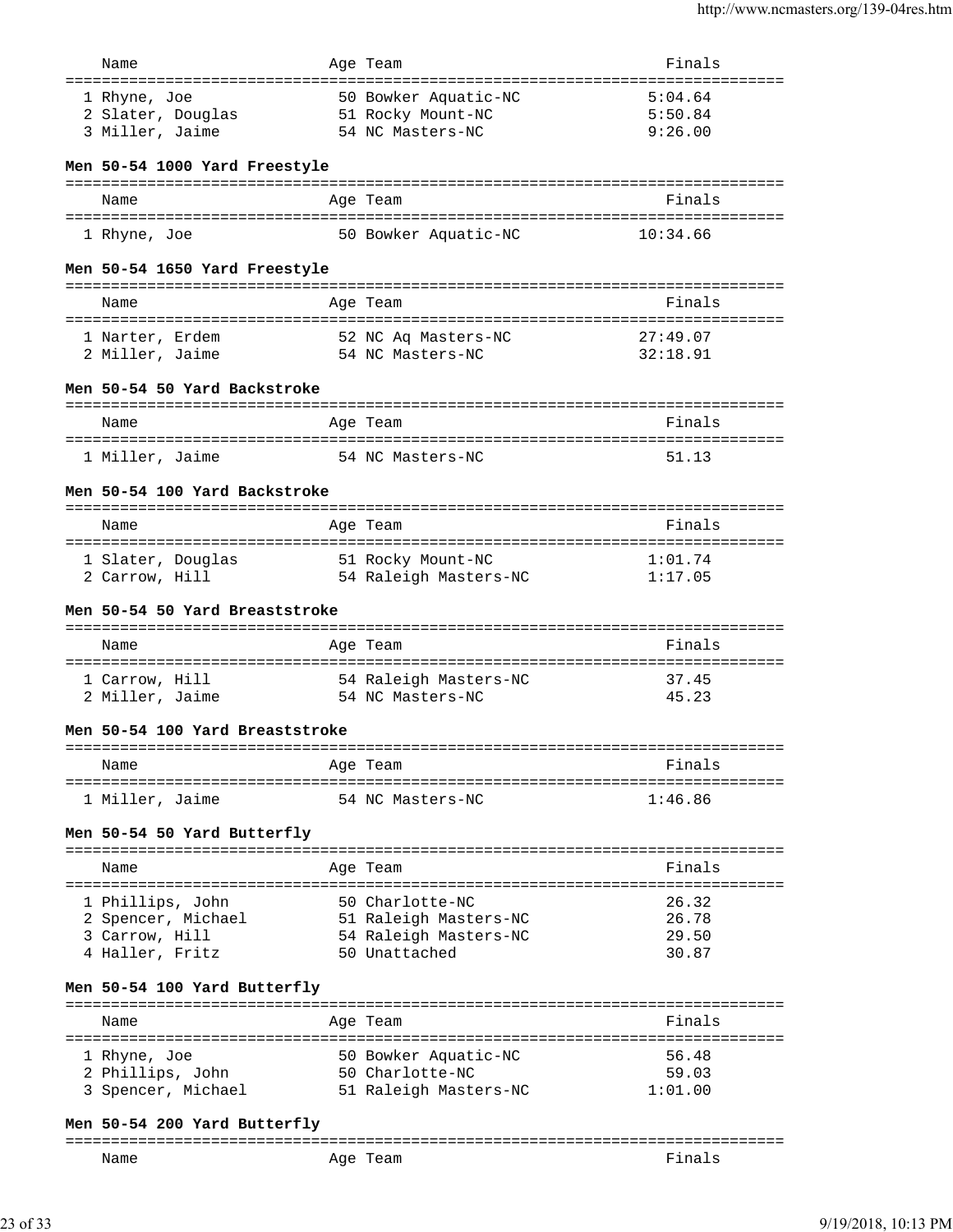| Name                               | Age Team                                  | Finals                                |
|------------------------------------|-------------------------------------------|---------------------------------------|
|                                    |                                           |                                       |
| 1 Rhyne, Joe<br>2 Slater, Douglas  | 50 Bowker Aquatic-NC                      | 5:04.64<br>5:50.84                    |
| 3 Miller, Jaime                    | 51 Rocky Mount-NC<br>54 NC Masters-NC     | 9:26.00                               |
|                                    |                                           |                                       |
| Men 50-54 1000 Yard Freestyle      |                                           |                                       |
| Name                               |                                           | Finals                                |
|                                    | Age Team                                  |                                       |
| 1 Rhyne, Joe                       | 50 Bowker Aquatic-NC                      | 10:34.66                              |
| Men 50-54 1650 Yard Freestyle      |                                           |                                       |
| Name                               | Age Team                                  | Finals                                |
|                                    |                                           | 27:49.07                              |
| 1 Narter, Erdem<br>2 Miller, Jaime | 52 NC Aq Masters-NC<br>54 NC Masters-NC   | 32:18.91                              |
|                                    |                                           |                                       |
| Men 50-54 50 Yard Backstroke       |                                           |                                       |
| Name                               | Age Team                                  | Finals                                |
|                                    |                                           |                                       |
| 1 Miller, Jaime                    | 54 NC Masters-NC                          | 51.13                                 |
| Men 50-54 100 Yard Backstroke      |                                           |                                       |
|                                    | =================                         | ----------                            |
| Name                               | Age Team                                  | Finals                                |
| 1 Slater, Douglas                  | 51 Rocky Mount-NC                         | 1:01.74                               |
| 2 Carrow, Hill                     | 54 Raleigh Masters-NC                     | 1:17.05                               |
|                                    |                                           |                                       |
| Men 50-54 50 Yard Breaststroke     |                                           |                                       |
| Name                               | Age Team                                  | Finals                                |
|                                    |                                           |                                       |
|                                    |                                           |                                       |
| 1 Carrow, Hill                     |                                           | 37.45                                 |
| 2 Miller, Jaime                    | 54 Raleigh Masters-NC<br>54 NC Masters-NC | 45.23                                 |
|                                    |                                           |                                       |
| Men 50-54 100 Yard Breaststroke    |                                           |                                       |
| Name                               |                                           | ===========================<br>Finals |
| ====================               | Age Team                                  |                                       |
| 1 Miller, Jaime                    | 54 NC Masters-NC                          | 1:46.86                               |
| Men 50-54 50 Yard Butterfly        |                                           |                                       |
|                                    |                                           |                                       |
| Name                               | Age Team                                  | Finals                                |
| 1 Phillips, John                   | 50 Charlotte-NC                           | 26.32                                 |
| 2 Spencer, Michael                 | 51 Raleigh Masters-NC                     | 26.78                                 |
| 3 Carrow, Hill                     | 54 Raleigh Masters-NC                     | 29.50                                 |
| 4 Haller, Fritz                    | 50 Unattached                             | 30.87                                 |
| Men 50-54 100 Yard Butterfly       |                                           |                                       |
| :========================          | ------                                    |                                       |
| Name                               | Age Team                                  | Finals                                |
| 1 Rhyne, Joe                       | 50 Bowker Aquatic-NC                      | 56.48                                 |
| 2 Phillips, John                   | 50 Charlotte-NC                           | 59.03                                 |
| 3 Spencer, Michael                 | 51 Raleigh Masters-NC                     | 1:01.00                               |
|                                    |                                           |                                       |
| Men 50-54 200 Yard Butterfly       |                                           |                                       |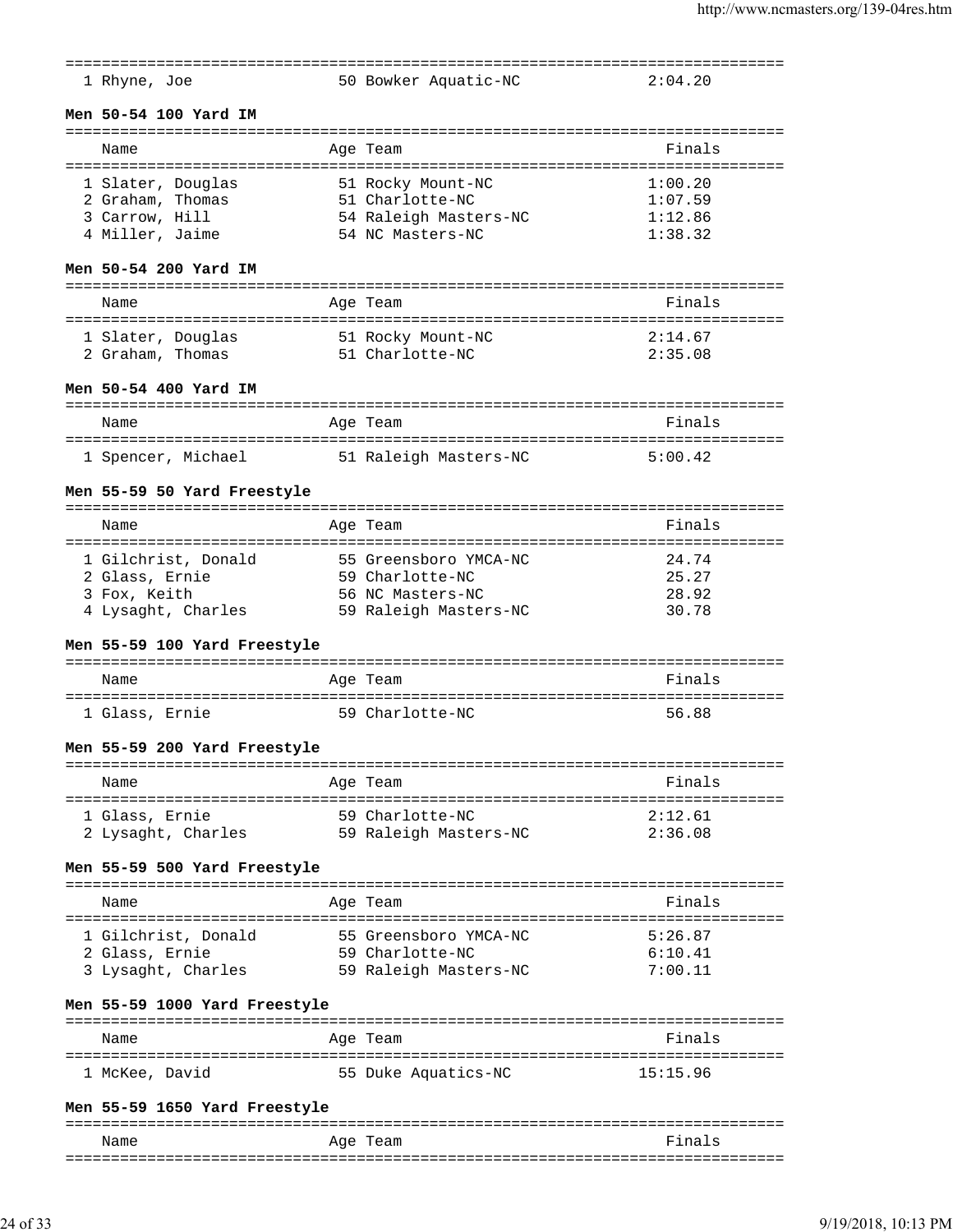|                                      |                       | :=====================                        |
|--------------------------------------|-----------------------|-----------------------------------------------|
| 1 Rhyne, Joe                         | 50 Bowker Aquatic-NC  | 2:04.20                                       |
| Men 50-54 100 Yard IM                |                       |                                               |
| Name                                 | Age Team              | Finals                                        |
| 1 Slater, Douglas                    | 51 Rocky Mount-NC     | 1:00.20                                       |
| 2 Graham, Thomas                     | 51 Charlotte-NC       | 1:07.59                                       |
| 3 Carrow, Hill                       | 54 Raleigh Masters-NC | 1:12.86                                       |
| 4 Miller, Jaime                      | 54 NC Masters-NC      | 1:38.32                                       |
|                                      |                       |                                               |
| Men 50-54 200 Yard IM                |                       |                                               |
| Name                                 | Age Team              | Finals                                        |
| 1 Slater, Douglas                    | 51 Rocky Mount-NC     | 2:14.67                                       |
| 2 Graham, Thomas                     | 51 Charlotte-NC       | 2:35.08                                       |
|                                      |                       |                                               |
| Men 50-54 400 Yard IM                |                       |                                               |
| Name                                 | Age Team              | Finals                                        |
|                                      |                       |                                               |
| 1 Spencer, Michael                   | 51 Raleigh Masters-NC | 5:00.42                                       |
| Men 55-59 50 Yard Freestyle          |                       |                                               |
| Name                                 | Age Team              | ===================================<br>Finals |
| ==================================== |                       |                                               |
| 1 Gilchrist, Donald                  | 55 Greensboro YMCA-NC | 24.74                                         |
| 2 Glass, Ernie                       | 59 Charlotte-NC       | 25.27                                         |
| 3 Fox, Keith                         | 56 NC Masters-NC      | 28.92                                         |
| 4 Lysaght, Charles                   | 59 Raleigh Masters-NC | 30.78                                         |
| Men 55-59 100 Yard Freestyle         |                       |                                               |
| Name                                 | Age Team              | Finals                                        |
| 1 Glass, Ernie                       | 59 Charlotte-NC       | 56.88                                         |
|                                      |                       |                                               |
| Men 55-59 200 Yard Freestyle         |                       |                                               |
| Name                                 | Age Team              | Finals                                        |
| 1 Glass, Ernie                       | 59 Charlotte-NC       | 2:12.61                                       |
| 2 Lysaght, Charles                   | 59 Raleigh Masters-NC | 2:36.08                                       |
| Men 55-59 500 Yard Freestyle         |                       |                                               |
|                                      |                       |                                               |
| Name                                 | Age Team              | Finals                                        |
| 1 Gilchrist, Donald                  | 55 Greensboro YMCA-NC | 5:26.87                                       |
| 2 Glass, Ernie                       | 59 Charlotte-NC       | 6:10.41                                       |
| 3 Lysaght, Charles                   | 59 Raleigh Masters-NC | 7:00.11                                       |
| Men 55-59 1000 Yard Freestyle        |                       |                                               |
|                                      |                       | =====================================         |
| Name                                 | Age Team              | Finals                                        |
| 1 McKee, David                       | 55 Duke Aquatics-NC   | 15:15.96                                      |
| Men 55-59 1650 Yard Freestyle        |                       |                                               |

=============================================================================== Name Research Age Team and the Sea Research School and Times and Sea Research School and Times and Times and T ===============================================================================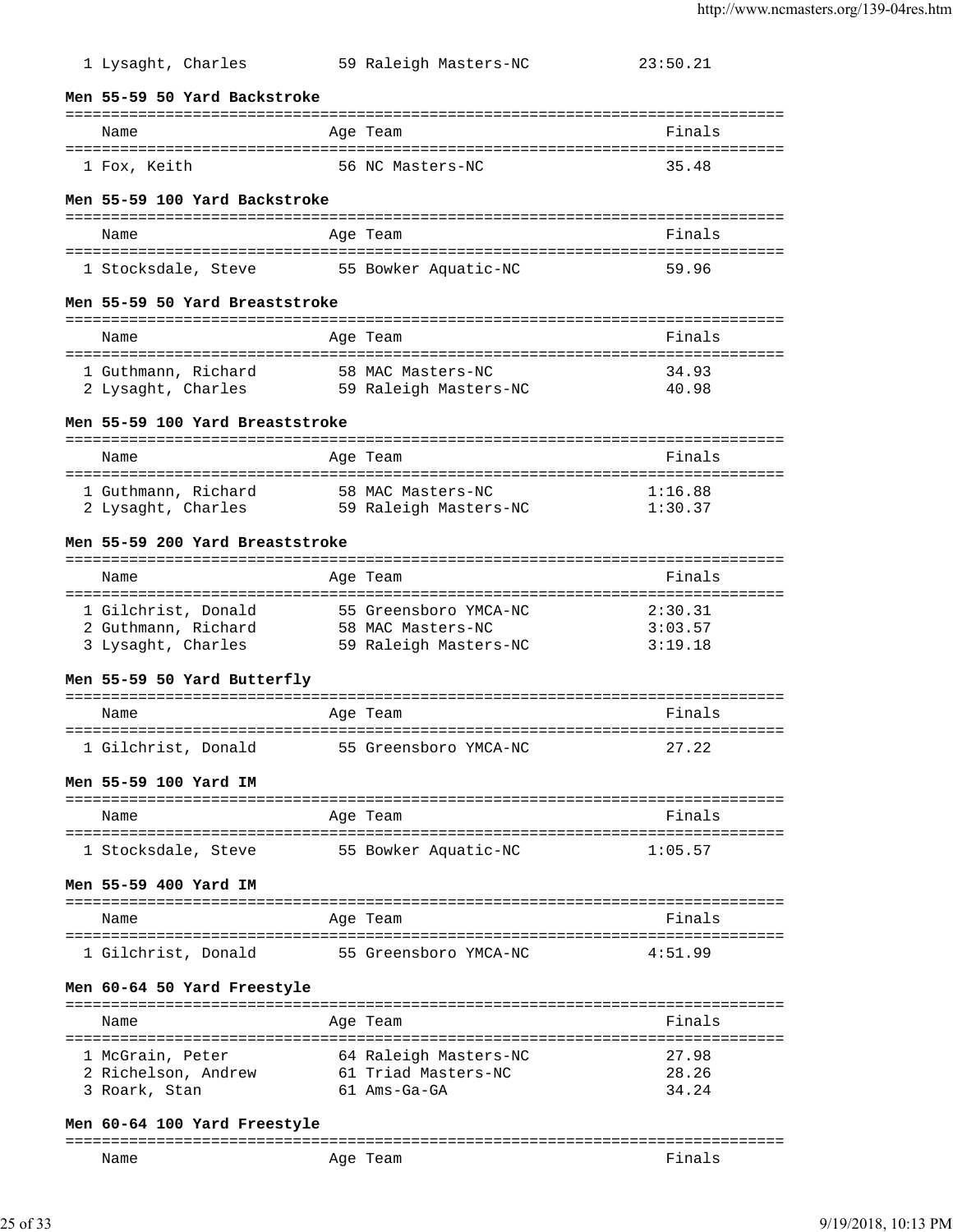| 1 Lysaght, Charles                                               | 59 Raleigh Masters-NC                                               | 23:50.21                          |
|------------------------------------------------------------------|---------------------------------------------------------------------|-----------------------------------|
| Men 55-59 50 Yard Backstroke                                     |                                                                     |                                   |
| Name                                                             | Age Team                                                            | Finals                            |
| 1 Fox, Keith                                                     | 56 NC Masters-NC                                                    | 35.48                             |
| Men 55-59 100 Yard Backstroke                                    | :========                                                           |                                   |
| Name                                                             | Age Team                                                            | Finals                            |
| 1 Stocksdale, Steve 55 Bowker Aquatic-NC                         |                                                                     | 59.96                             |
| Men 55-59 50 Yard Breaststroke                                   |                                                                     |                                   |
| Name                                                             | Age Team                                                            | Finals                            |
| 1 Guthmann, Richard<br>2 Lysaght, Charles                        | 58 MAC Masters-NC<br>59 Raleigh Masters-NC                          | 34.93<br>40.98                    |
| Men 55-59 100 Yard Breaststroke                                  |                                                                     |                                   |
| Name                                                             | Age Team<br>: = = = = = = = = = :                                   | Finals                            |
| 1 Guthmann, Richard<br>2 Lysaght, Charles                        | 58 MAC Masters-NC<br>59 Raleigh Masters-NC                          | 1:16.88<br>1:30.37                |
| Men 55-59 200 Yard Breaststroke                                  |                                                                     |                                   |
| Name                                                             | Age Team                                                            | Finals                            |
| 1 Gilchrist, Donald<br>2 Guthmann, Richard<br>3 Lysaght, Charles | 55 Greensboro YMCA-NC<br>58 MAC Masters-NC<br>59 Raleigh Masters-NC | 2:30.31<br>3:03.57<br>3:19.18     |
| Men 55-59 50 Yard Butterfly                                      |                                                                     |                                   |
| Name                                                             | Age Team                                                            | Finals<br>==================      |
| 1 Gilchrist, Donald                                              | 55 Greensboro YMCA-NC                                               | 27.22                             |
| Men 55-59 100 Yard IM                                            |                                                                     |                                   |
| Name                                                             | Age Team                                                            | Finals                            |
| 1 Stocksdale, Steve                                              | 55 Bowker Aquatic-NC                                                | 1:05.57                           |
| Men 55-59 400 Yard IM                                            |                                                                     | --------------------------------- |
| Name                                                             | Age Team                                                            | Finals                            |
| 1 Gilchrist, Donald                                              | 55 Greensboro YMCA-NC                                               | 4:51.99                           |
| Men 60-64 50 Yard Freestyle                                      |                                                                     |                                   |
| Name                                                             | Age Team                                                            | Finals                            |
| 1 McGrain, Peter<br>2 Richelson, Andrew<br>3 Roark, Stan         | 64 Raleigh Masters-NC<br>61 Triad Masters-NC<br>61 Ams-Ga-GA        | 27.98<br>28.26<br>34.24           |

# **Men 60-64 100 Yard Freestyle**

| ---- |                       | . _ _ _ _ _ _ _ _ _ _ _ _ _ |
|------|-----------------------|-----------------------------|
| Name | Aqe<br>cam<br>-<br>__ | na                          |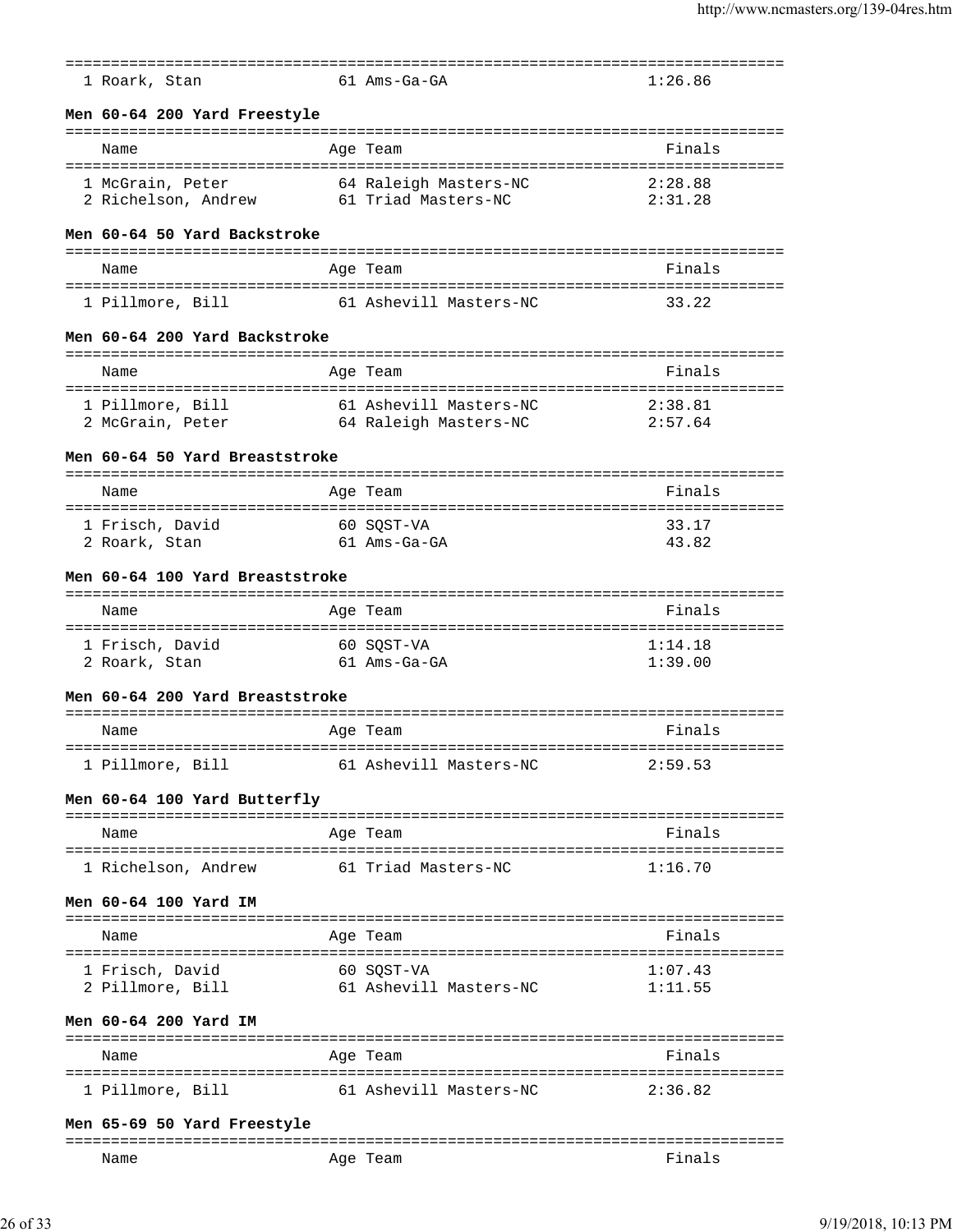| 1 Roark, Stan                                                          | $61$ Ams-Ga-GA                                  | 1:26.86                         |
|------------------------------------------------------------------------|-------------------------------------------------|---------------------------------|
| Men 60-64 200 Yard Freestyle                                           |                                                 |                                 |
| Name                                                                   | Age Team                                        | Finals                          |
| 1 McGrain, Peter<br>2 Richelson, Andrew                                | 64 Raleigh Masters-NC<br>61 Triad Masters-NC    | 2:28.88<br>2:31.28              |
| Men 60-64 50 Yard Backstroke                                           |                                                 |                                 |
| Name                                                                   | Age Team                                        | Finals                          |
| 1 Pillmore, Bill                                                       | 61 Ashevill Masters-NC                          | 33.22                           |
| Men 60-64 200 Yard Backstroke                                          |                                                 |                                 |
| Name                                                                   | Age Team                                        | Finals                          |
| 1 Pillmore, Bill<br>2 McGrain, Peter                                   | 61 Ashevill Masters-NC<br>64 Raleigh Masters-NC | 2:38.81<br>2:57.64              |
| Men 60-64 50 Yard Breaststroke                                         |                                                 |                                 |
| Name                                                                   | Age Team                                        | Finals                          |
| ==================================<br>1 Frisch, David<br>2 Roark, Stan | 60 SOST-VA<br>61 Ams-Ga-GA                      | 33.17<br>43.82                  |
| Men 60-64 100 Yard Breaststroke                                        |                                                 |                                 |
| Name                                                                   | Age Team                                        | Finals                          |
| 1 Frisch, David<br>2 Roark, Stan                                       | 60 SQST-VA<br>61 Ams-Ga-GA                      | 1:14.18<br>1:39.00              |
| Men 60-64 200 Yard Breaststroke                                        |                                                 |                                 |
| Name                                                                   | Age Team                                        | Finals                          |
| 1 Pillmore, Bill                                                       | 61 Ashevill Masters-NC                          | ====================<br>2:59.53 |
| Men 60-64 100 Yard Butterfly                                           |                                                 |                                 |
| ----------------------------<br>Name                                   | =================<br>Age Team                   | Finals                          |
| 1 Richelson, Andrew                                                    | 61 Triad Masters-NC                             | 1:16.70                         |
| Men 60-64 100 Yard IM                                                  |                                                 |                                 |
| Name                                                                   | Age Team                                        | Finals                          |
| 1 Frisch, David<br>2 Pillmore, Bill                                    | 60 SOST-VA<br>61 Ashevill Masters-NC            | 1:07.43<br>1:11.55              |
| Men 60-64 200 Yard IM                                                  |                                                 |                                 |
| Name                                                                   | Age Team                                        | Finals                          |
| 1 Pillmore, Bill                                                       | 61 Ashevill Masters-NC                          | 2:36.82                         |
| Men 65-69 50 Yard Freestyle                                            |                                                 |                                 |

=============================================================================== Age Team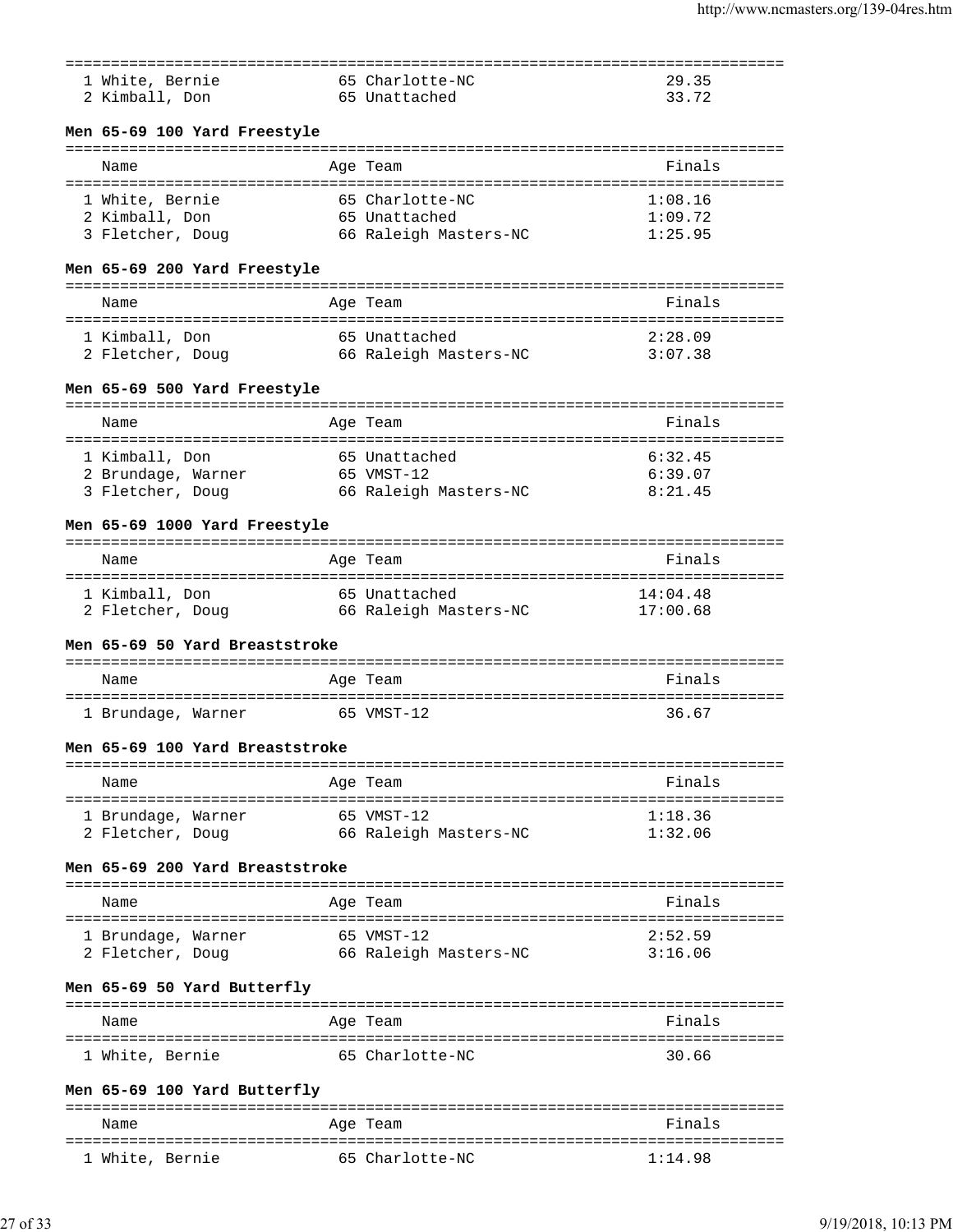| 1 White, Bernie                 | 65 Charlotte-NC       | 29.35                 |
|---------------------------------|-----------------------|-----------------------|
| 2 Kimball, Don                  | 65 Unattached         | 33.72                 |
|                                 |                       |                       |
| Men 65-69 100 Yard Freestyle    |                       |                       |
| Name                            | Age Team              | Finals                |
|                                 |                       |                       |
| 1 White, Bernie                 | 65 Charlotte-NC       | 1:08.16               |
| 2 Kimball, Don                  | 65 Unattached         | 1:09.72               |
| 3 Fletcher, Doug                | 66 Raleigh Masters-NC | 1:25.95               |
| Men 65-69 200 Yard Freestyle    |                       |                       |
|                                 |                       |                       |
| Name                            | Age Team              | Finals                |
| 1 Kimball, Don                  | 65 Unattached         | 2:28.09               |
| 2 Fletcher, Doug                | 66 Raleigh Masters-NC | 3:07.38               |
| Men 65-69 500 Yard Freestyle    |                       |                       |
|                                 |                       |                       |
| Name                            | Age Team              | Finals                |
| 1 Kimball, Don                  | 65 Unattached         | 6:32.45               |
| 2 Brundage, Warner              | 65 VMST-12            | 6:39.07               |
| 3 Fletcher, Doug                | 66 Raleigh Masters-NC | 8:21.45               |
|                                 |                       |                       |
| Men 65-69 1000 Yard Freestyle   |                       | --------------------- |
| Name                            | Age Team              | Finals                |
| 1 Kimball, Don                  | 65 Unattached         | 14:04.48              |
| 2 Fletcher, Doug                | 66 Raleigh Masters-NC | 17:00.68              |
| Men 65-69 50 Yard Breaststroke  |                       |                       |
|                                 |                       |                       |
| Name                            | Age Team              | Finals                |
| 1 Brundage, Warner              | 65 VMST-12            | 36.67                 |
|                                 |                       |                       |
| Men 65-69 100 Yard Breaststroke |                       |                       |
| Name                            | Age Team              | Finals                |
|                                 |                       |                       |
| 1 Brundage, Warner              | 65 VMST-12            | 1:18.36               |
| 2 Fletcher, Doug                | 66 Raleigh Masters-NC | 1:32.06               |
| Men 65-69 200 Yard Breaststroke |                       |                       |
|                                 |                       |                       |
| Name                            | Age Team              | Finals                |
| 1 Brundage, Warner              | 65 VMST-12            | 2:52.59               |
| 2 Fletcher, Doug                | 66 Raleigh Masters-NC | 3:16.06               |
| Men 65-69 50 Yard Butterfly     |                       |                       |
|                                 |                       |                       |
| Name                            | Age Team              | Finals                |
| 1 White, Bernie                 | 65 Charlotte-NC       | 30.66                 |
|                                 |                       |                       |
| Men 65-69 100 Yard Butterfly    |                       |                       |

| Name            | Age Team        | Finals  |
|-----------------|-----------------|---------|
| 1 White, Bernie | 65 Charlotte-NC | 1:14.98 |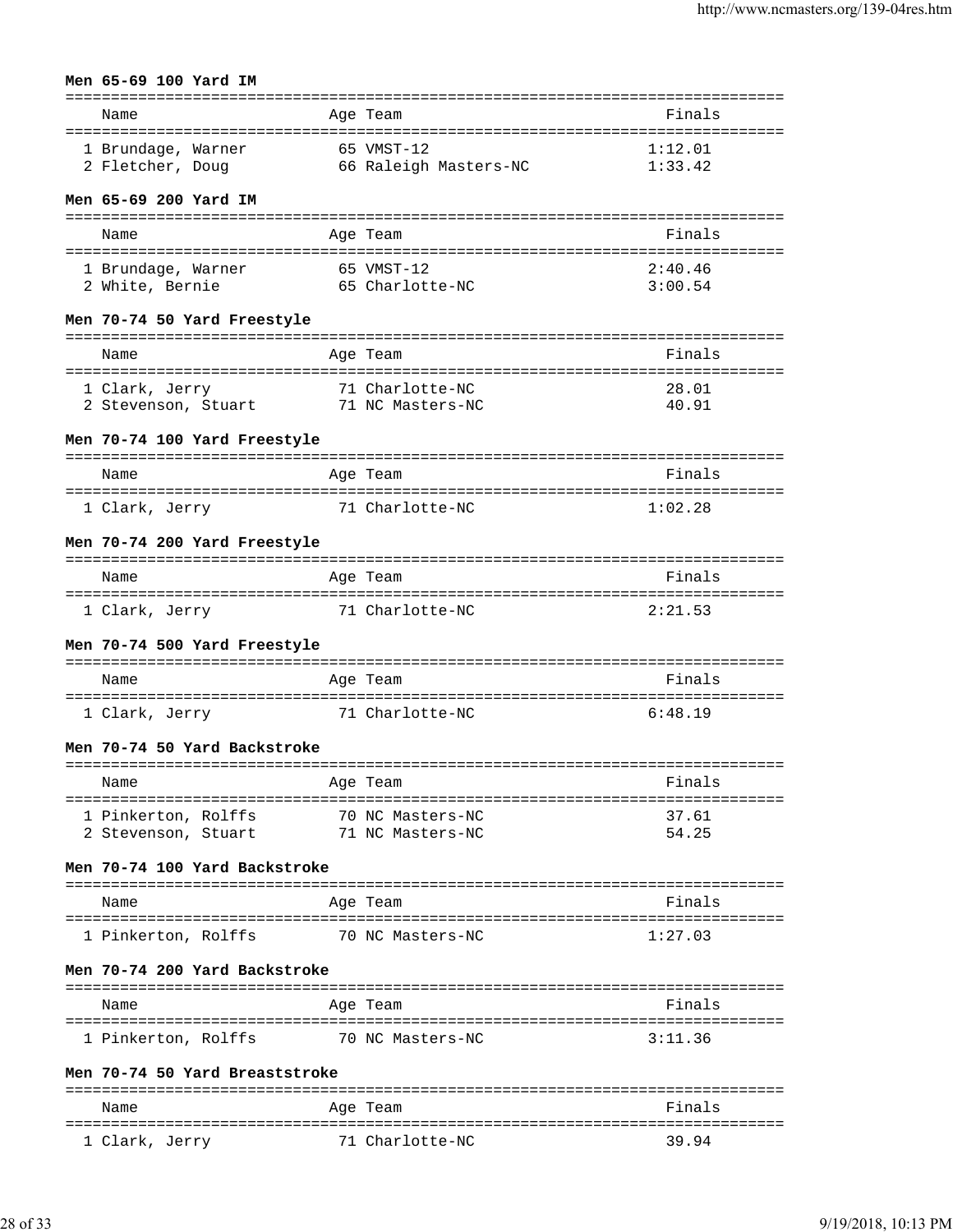### **Men 65-69 100 Yard IM**

| Name               | Age Team              | Finals  |
|--------------------|-----------------------|---------|
| 1 Brundage, Warner | 65 VMST-12            | 1:12.01 |
| 2 Fletcher, Doug   | 66 Raleigh Masters-NC | 1:33.42 |

#### **Men 65-69 200 Yard IM**

| Name               | Age Team        | Finals  |
|--------------------|-----------------|---------|
| 1 Brundage, Warner | 65 VMST-12      | 2:40.46 |
| 2 White, Bernie    | 65 Charlotte-NC | 3:00.54 |

### **Men 70-74 50 Yard Freestyle**

| Name                                  | Age Team                            | Finals         |
|---------------------------------------|-------------------------------------|----------------|
| 1 Clark, Jerry<br>2 Stevenson, Stuart | 71 Charlotte-NC<br>71 NC Masters-NC | 28.01<br>40.91 |

### **Men 70-74 100 Yard Freestyle**

| Name           | Age Team        | Finals  |
|----------------|-----------------|---------|
| 1 Clark, Jerry | 71 Charlotte-NC | 1:02.28 |

### **Men 70-74 200 Yard Freestyle**

| Name           | Age Team        | Finals  |
|----------------|-----------------|---------|
| 1 Clark, Jerry | 71 Charlotte-NC | 2:21.53 |

### **Men 70-74 500 Yard Freestyle**

| Name           | Age Team        | Finals  |
|----------------|-----------------|---------|
| 1 Clark, Jerry | 71 Charlotte-NC | 6:48.19 |

### **Men 70-74 50 Yard Backstroke**

| Name                | Age Team         | Finals |
|---------------------|------------------|--------|
| 1 Pinkerton, Rolffs | 70 NC Masters-NC | 37 61  |
| 2 Stevenson, Stuart | 71 NC Masters-NC | 54.25  |

### **Men 70-74 100 Yard Backstroke**

| Name                | Age Team         | Finals  |
|---------------------|------------------|---------|
| 1 Pinkerton, Rolffs | 70 NC Masters-NC | 1:27.03 |

### **Men 70-74 200 Yard Backstroke**

| Name                | Age Team         | Finals  |
|---------------------|------------------|---------|
| 1 Pinkerton, Rolffs | 70 NC Masters-NC | 3:11.36 |

### **Men 70-74 50 Yard Breaststroke**

| Name           | Age Team        | Finals |
|----------------|-----------------|--------|
| 1 Clark, Jerry | 71 Charlotte-NC | 39.94  |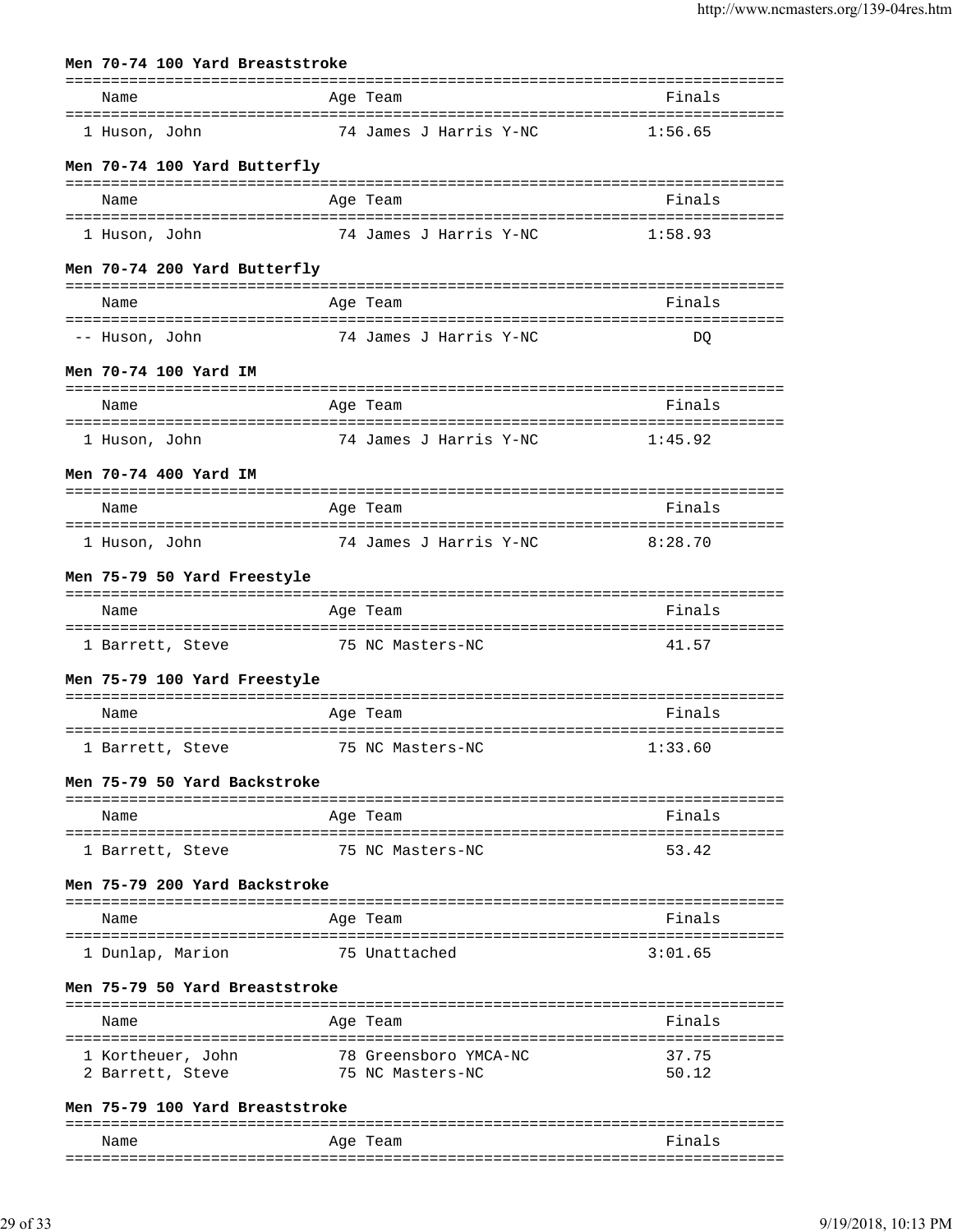|                                       |  | Men 70-74 100 Yard Breaststroke |                                           |                |
|---------------------------------------|--|---------------------------------|-------------------------------------------|----------------|
| Name                                  |  |                                 | Age Team                                  | Finals         |
| 1 Huson, John                         |  |                                 | 74 James J Harris Y-NC                    | 1:56.65        |
|                                       |  | Men 70-74 100 Yard Butterfly    |                                           |                |
| Name                                  |  |                                 | Age Team                                  | Finals         |
| 1 Huson, John                         |  |                                 | 74 James J Harris Y-NC                    | 1:58.93        |
|                                       |  | Men 70-74 200 Yard Butterfly    |                                           |                |
| Name                                  |  |                                 | Age Team                                  | Finals         |
| -- Huson, John                        |  |                                 | 74 James J Harris Y-NC                    | DO             |
| Men 70-74 100 Yard IM                 |  |                                 |                                           |                |
| Name                                  |  |                                 | Age Team                                  | Finals         |
| 1 Huson, John                         |  |                                 | 74 James J Harris Y-NC                    | 1:45.92        |
| Men 70-74 400 Yard IM                 |  |                                 |                                           |                |
| Name                                  |  |                                 | Age Team                                  | Finals         |
| 1 Huson, John                         |  |                                 | 74 James J Harris Y-NC                    | 8:28.70        |
|                                       |  | Men 75-79 50 Yard Freestyle     |                                           |                |
| Name                                  |  |                                 | Age Team                                  | Finals         |
|                                       |  |                                 | 1 Barrett, Steve 75 NC Masters-NC         | 41.57          |
|                                       |  | Men 75-79 100 Yard Freestyle    |                                           |                |
| Name                                  |  |                                 | Age Team                                  | Finals         |
|                                       |  |                                 | 1 Barrett, Steve 51 75 NC Masters-NC      | 1:33.60        |
|                                       |  | Men 75-79 50 Yard Backstroke    |                                           |                |
| Name                                  |  |                                 | Age Team                                  | Finals         |
| 1 Barrett, Steve                      |  |                                 | 75 NC Masters-NC                          | 53.42          |
|                                       |  | Men 75-79 200 Yard Backstroke   |                                           |                |
| Name                                  |  |                                 | Age Team                                  | Finals         |
| 1 Dunlap, Marion                      |  |                                 | 75 Unattached                             | 3:01.65        |
|                                       |  | Men 75-79 50 Yard Breaststroke  |                                           |                |
| Name                                  |  |                                 | Age Team                                  | Finals         |
|                                       |  |                                 |                                           |                |
| 1 Kortheuer, John<br>2 Barrett, Steve |  |                                 | 78 Greensboro YMCA-NC<br>75 NC Masters-NC | 37.75<br>50.12 |
|                                       |  | Men 75-79 100 Yard Breaststroke |                                           |                |
|                                       |  | =============================   |                                           |                |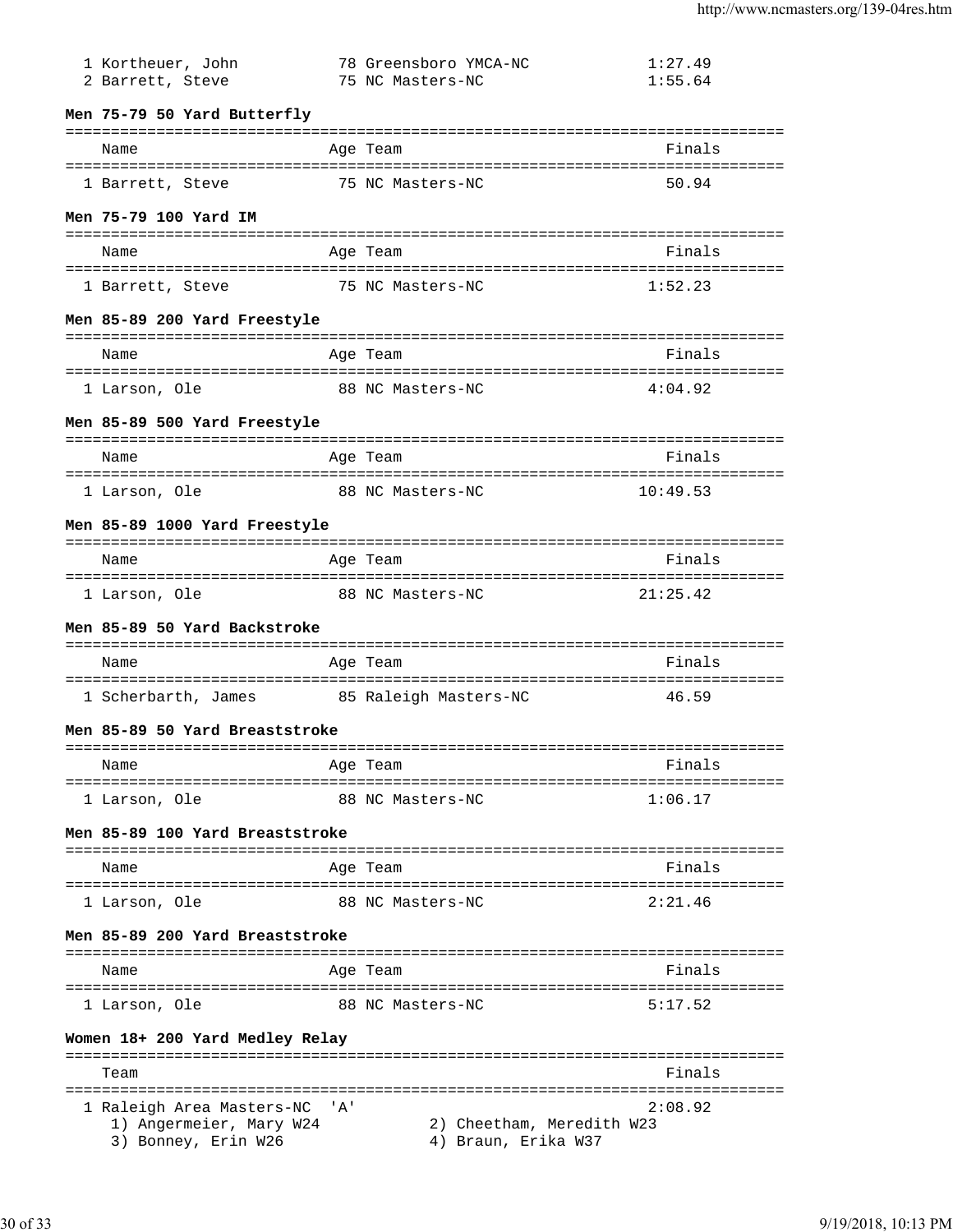| 2 Barrett, Steve                                                            |       | 75 NC Masters-NC                                 | 1:55.64  |
|-----------------------------------------------------------------------------|-------|--------------------------------------------------|----------|
| Men 75-79 50 Yard Butterfly                                                 |       |                                                  |          |
| Name                                                                        |       | Age Team                                         | Finals   |
| 1 Barrett, Steve 35 NC Masters-NC                                           |       |                                                  | 50.94    |
| Men 75-79 100 Yard IM                                                       |       |                                                  |          |
| Name                                                                        |       | Age Team                                         | Finals   |
| 1 Barrett, Steve 55 NC Masters-NC                                           |       |                                                  | 1:52.23  |
| Men 85–89 200 Yard Freestyle                                                |       |                                                  |          |
| Name                                                                        |       | Age Team                                         | Finals   |
| 1 Larson, Ole                                                               |       | 88 NC Masters-NC                                 | 4:04.92  |
| Men 85-89 500 Yard Freestyle                                                |       |                                                  |          |
| Name                                                                        |       | Age Team                                         | Finals   |
| 1 Larson, Ole                                                               |       | 88 NC Masters-NC                                 | 10:49.53 |
| Men 85-89 1000 Yard Freestyle                                               |       |                                                  |          |
| Name                                                                        |       | Age Team                                         | Finals   |
| 1 Larson, Ole 68 NC Masters-NC                                              |       |                                                  | 21:25.42 |
| Men 85-89 50 Yard Backstroke                                                |       |                                                  |          |
|                                                                             |       |                                                  |          |
|                                                                             |       |                                                  |          |
| Name                                                                        |       | Age Team                                         | Finals   |
| 1 Scherbarth, James 65 Raleigh Masters-NC                                   |       |                                                  | 46.59    |
| Men 85-89 50 Yard Breaststroke                                              |       |                                                  |          |
| Name                                                                        |       | Age Team                                         | Finals   |
|                                                                             |       | 88 NC Masters-NC                                 | 1:06.17  |
| 1 Larson, Ole<br>Men 85-89 100 Yard Breaststroke                            |       |                                                  |          |
|                                                                             |       |                                                  | Finals   |
| Name                                                                        |       | Age Team                                         |          |
| 1 Larson, Ole                                                               |       | 88 NC Masters-NC                                 | 2:21.46  |
| Men 85-89 200 Yard Breaststroke                                             |       |                                                  |          |
| Name                                                                        |       | Age Team                                         | Finals   |
| 1 Larson, Ole                                                               |       | 88 NC Masters-NC                                 | 5:17.52  |
| Women 18+ 200 Yard Medley Relay                                             |       |                                                  |          |
| Team                                                                        |       |                                                  | Finals   |
| 1 Raleigh Area Masters-NC<br>1) Angermeier, Mary W24<br>3) Bonney, Erin W26 | ' A ' | 2) Cheetham, Meredith W23<br>4) Braun, Erika W37 | 2:08.92  |

1 Kortheuer, John 78 Greensboro YMCA-NC 1:27.49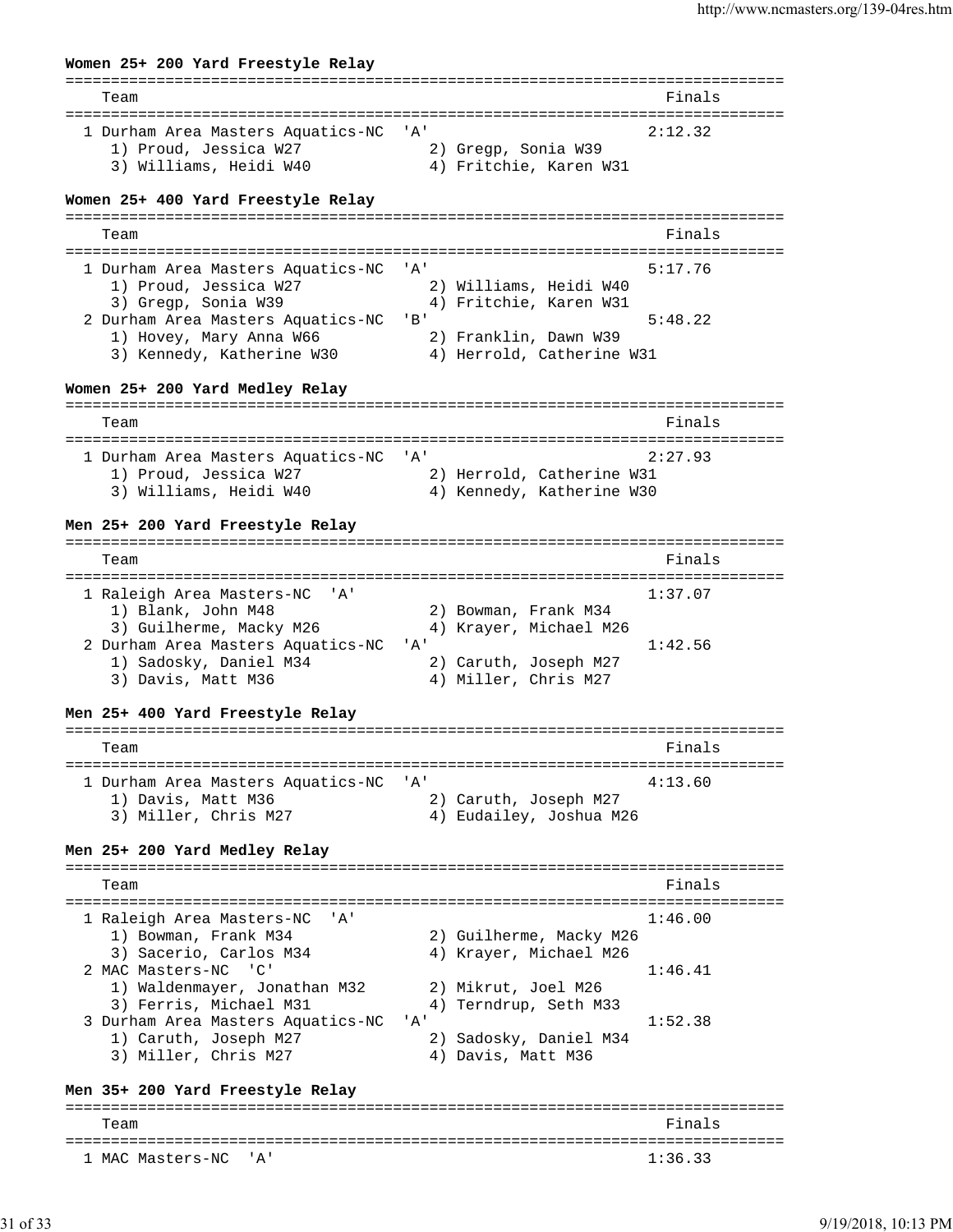# **Women 25+ 200 Yard Freestyle Relay** =============================================================================== Team Finals =============================================================================== 1 Durham Area Masters Aquatics-NC 'A' 2:12.32 1) Proud, Jessica W27 2) Gregp, Sonia W39 3) Williams, Heidi W40 4) Fritchie, Karen W31 **Women 25+ 400 Yard Freestyle Relay** =============================================================================== Team Finals =============================================================================== 1 Durham Area Masters Aquatics-NC 'A' 5:17.76 1) Proud, Jessica W27 2) Williams, Heidi W40 3) Gregp, Sonia W39 4) Fritchie, Karen W31 2 Durham Area Masters Aquatics-NC 'B' 5:48.22 1) Hovey, Mary Anna W66 2) Franklin, Dawn W39 3) Kennedy, Katherine W30 4) Herrold, Catherine W31 **Women 25+ 200 Yard Medley Relay** =============================================================================== Team Finals =============================================================================== 1 Durham Area Masters Aquatics-NC 'A' 2:27.93 1) Proud, Jessica W27 2) Herrold, Catherine W31 3) Williams, Heidi W40 4) Kennedy, Katherine W30 **Men 25+ 200 Yard Freestyle Relay** =============================================================================== Team Finals =============================================================================== 1 Raleigh Area Masters-NC 'A' 1:37.07 1) Blank, John M48 2) Bowman, Frank M34 3) Guilherme, Macky M26 4) Krayer, Michael M26 2 Durham Area Masters Aquatics-NC 'A' 1:42.56 1) Sadosky, Daniel M34 2) Caruth, Joseph M27 3) Davis, Matt M36 4) Miller, Chris M27 **Men 25+ 400 Yard Freestyle Relay** =============================================================================== Team Finals =============================================================================== 1 Durham Area Masters Aquatics-NC 'A' 4:13.60 1) Davis, Matt M36 2) Caruth, Joseph M27 3) Miller, Chris M27 4) Eudailey, Joshua M26 **Men 25+ 200 Yard Medley Relay** =============================================================================== Team Finals =============================================================================== 1 Raleigh Area Masters-NC 'A' 1:46.00 1) Bowman, Frank M34 2) Guilherme, Macky M26 3) Sacerio, Carlos M34 4) Krayer, Michael M26 2 MAC Masters-NC 'C' 1:46.41 1) Waldenmayer, Jonathan M32 2) Mikrut, Joel M26 3) Ferris, Michael M31 4) Terndrup, Seth M33 3 Durham Area Masters Aquatics-NC 'A' 1:52.38 1) Caruth, Joseph M27 2) Sadosky, Daniel M34 3) Miller, Chris M27 (4) Davis, Matt M36 **Men 35+ 200 Yard Freestyle Relay**

=============================================================================== Team Finals =============================================================================== 1 MAC Masters-NC 'A' 1:36.33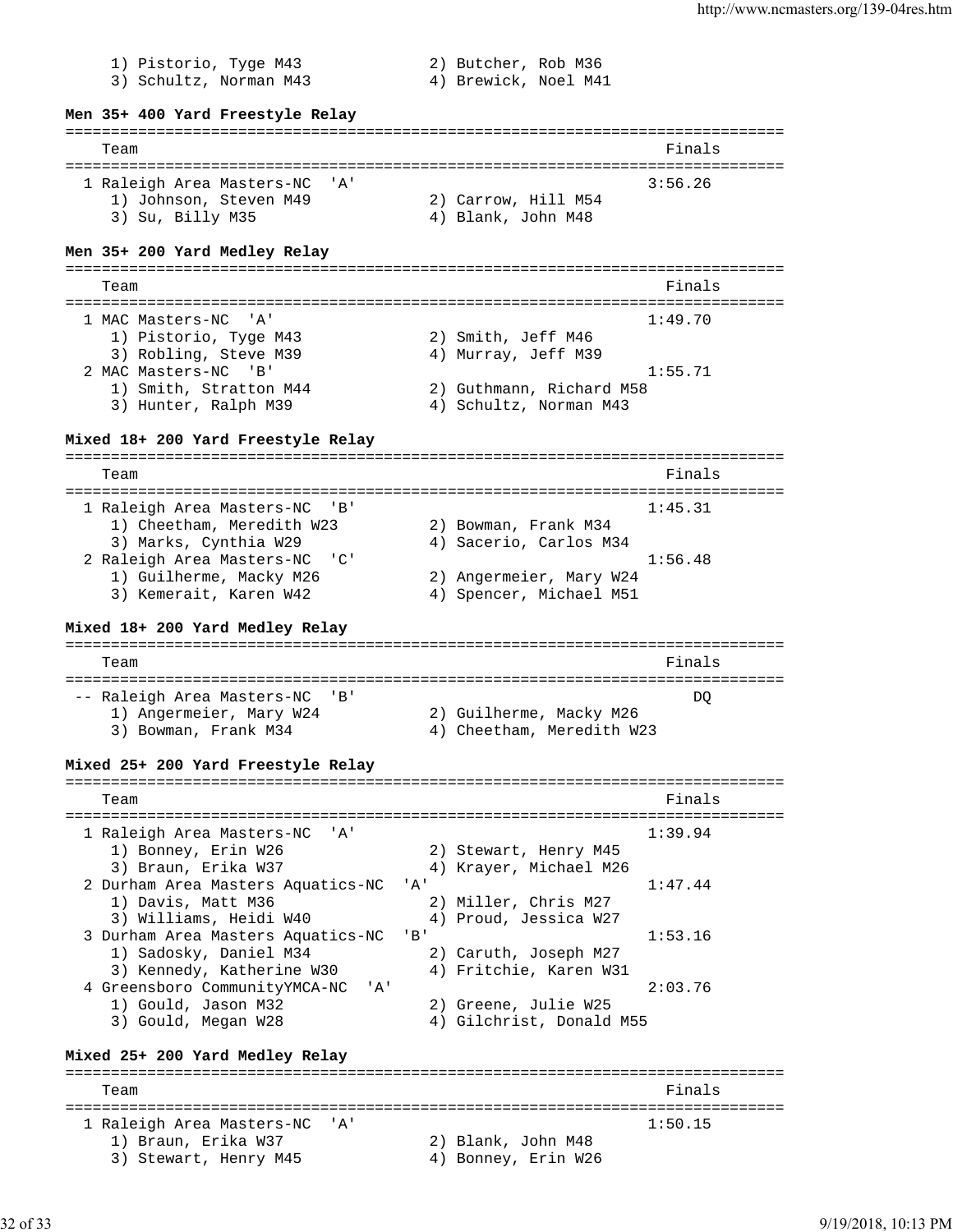1) Pistorio, Tyge M43 2) Butcher, Rob M36 3) Schultz, Norman M43 4) Brewick, Noel M41 **Men 35+ 400 Yard Freestyle Relay** =============================================================================== Team Finals =============================================================================== 1 Raleigh Area Masters-NC 'A' 3:56.26 1) Johnson, Steven M49 2) Carrow, Hill M54 3) Su, Billy M35 4) Blank, John M48 **Men 35+ 200 Yard Medley Relay** =============================================================================== Team Finals =============================================================================== 1 MAC Masters-NC 'A' 1:49.70 1) Pistorio, Tyge M43 2) Smith, Jeff M46 3) Robling, Steve M39  $\hskip1cm$  4) Murray, Jeff M39 2 MAC Masters-NC 'B' 1:55.71 1) Smith, Stratton M44 2) Guthmann, Richard M58 3) Hunter, Ralph M39 4) Schultz, Norman M43 **Mixed 18+ 200 Yard Freestyle Relay** =============================================================================== Team Finals =============================================================================== 1 Raleigh Area Masters-NC 'B' 1:45.31 1) Cheetham, Meredith W23 2) Bowman, Frank M34 3) Marks, Cynthia W29 4) Sacerio, Carlos M34 2 Raleigh Area Masters-NC 'C' 1:56.48 1) Guilherme, Macky M26 2) Angermeier, Mary W24 3) Kemerait, Karen W42 4) Spencer, Michael M51 **Mixed 18+ 200 Yard Medley Relay** =============================================================================== Team Finals =============================================================================== -- Raleigh Area Masters-NC 'B'<br>
1) Angermeier, Mary W24 2) Guilherme, Macky M26<br>
2) Borman, Furnit V24 1) Angermeier, Mary W24 2) Guilherme, Macky M26 3) Bowman, Frank M34 4) Cheetham, Meredith W23 **Mixed 25+ 200 Yard Freestyle Relay** =============================================================================== Team Finals =============================================================================== 1 Raleigh Area Masters-NC 'A' 1:39.94 1) Bonney, Erin W26 2) Stewart, Henry M45 3) Braun, Erika W37 4) Krayer, Michael M26 2 Durham Area Masters Aquatics-NC 'A' 1:47.44 1) Davis, Matt M36 2) Miller, Chris M27 3) Williams, Heidi W40 4) Proud, Jessica W27 3 Durham Area Masters Aquatics-NC 'B' 1:53.16 1) Sadosky, Daniel M34 2) Caruth, Joseph M27 3) Kennedy, Katherine W30 4) Fritchie, Karen W31 4 Greensboro CommunityYMCA-NC 'A' 2:03.76 1) Gould, Jason M32 2) Greene, Julie W25 3) Gould, Megan W28 4) Gilchrist, Donald M55 **Mixed 25+ 200 Yard Medley Relay** =============================================================================== Team Finals =============================================================================== 1 Raleigh Area Masters-NC 'A' 1:50.15 1) Braun, Erika W37 2) Blank, John M48 3) Stewart, Henry M45 (4) Bonney, Erin W26